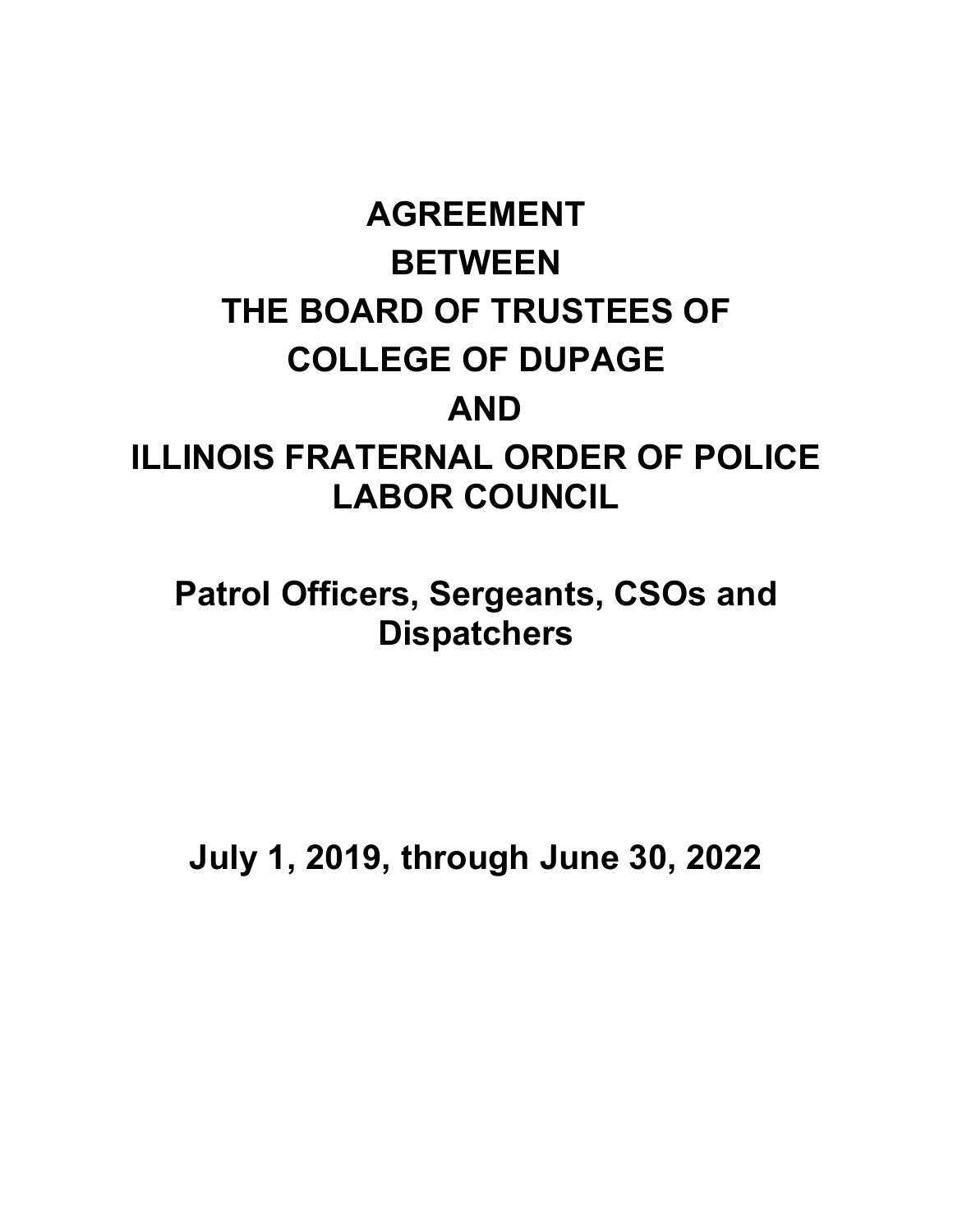# **AGREEMENT BETWEEN THE BOARD OF TRUSTEES OF COLLEGE OF DUPAGE AND ILLINOIS FRATERNAL ORDER OF POLICE LABOR COUNCIL**

**Patrol Officers, Sergeants, CSOs and Dispatchers**

**July 1, 2019, through June 30, 2022**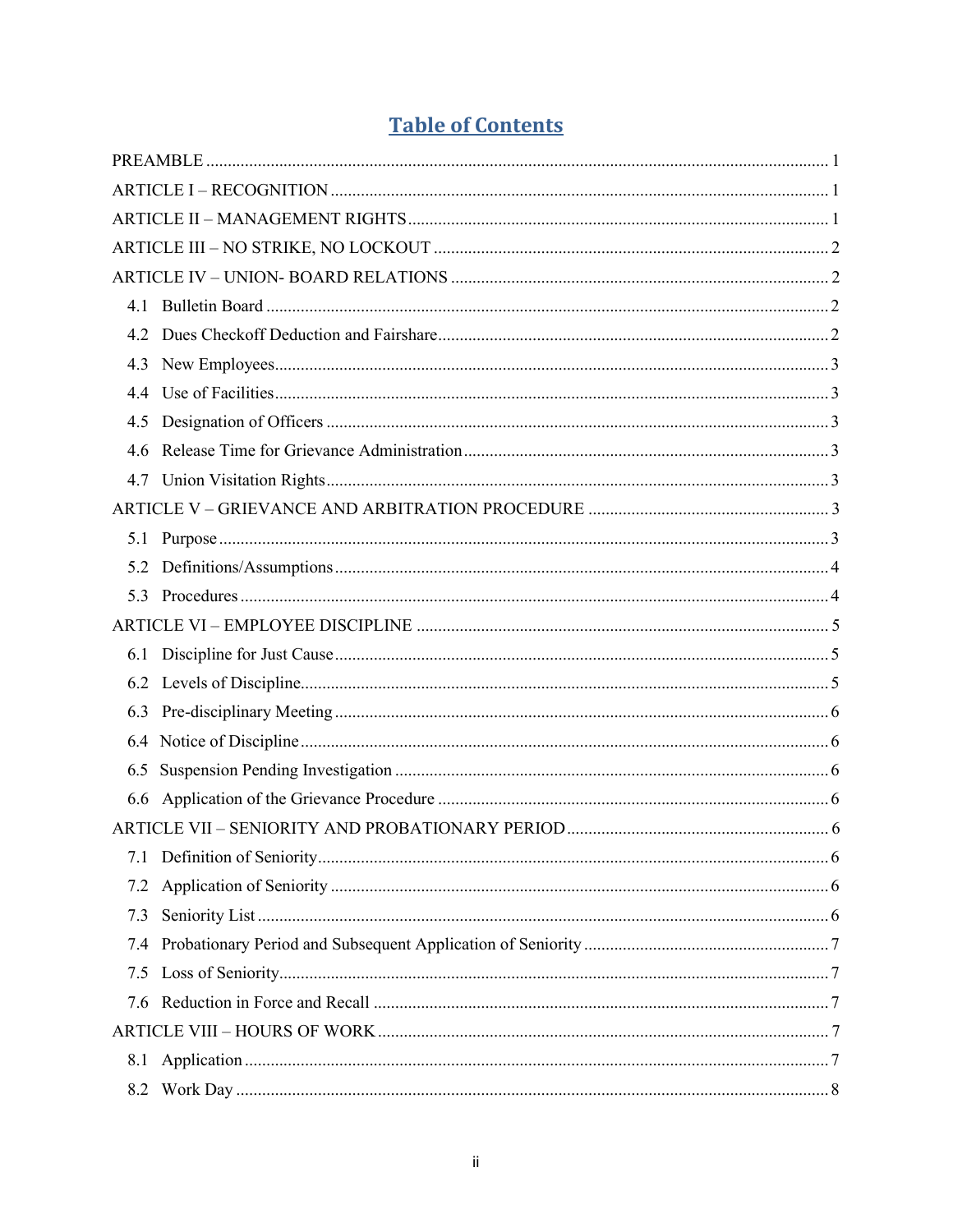|  | <b>Table of Contents</b> |  |
|--|--------------------------|--|
|  |                          |  |

| 4.3 |  |
|-----|--|
|     |  |
|     |  |
| 4.6 |  |
|     |  |
|     |  |
|     |  |
|     |  |
| 5.3 |  |
|     |  |
|     |  |
|     |  |
|     |  |
|     |  |
| 6.5 |  |
|     |  |
|     |  |
|     |  |
| 7.2 |  |
| 7.3 |  |
| 7.4 |  |
| 7.5 |  |
|     |  |
|     |  |
|     |  |
|     |  |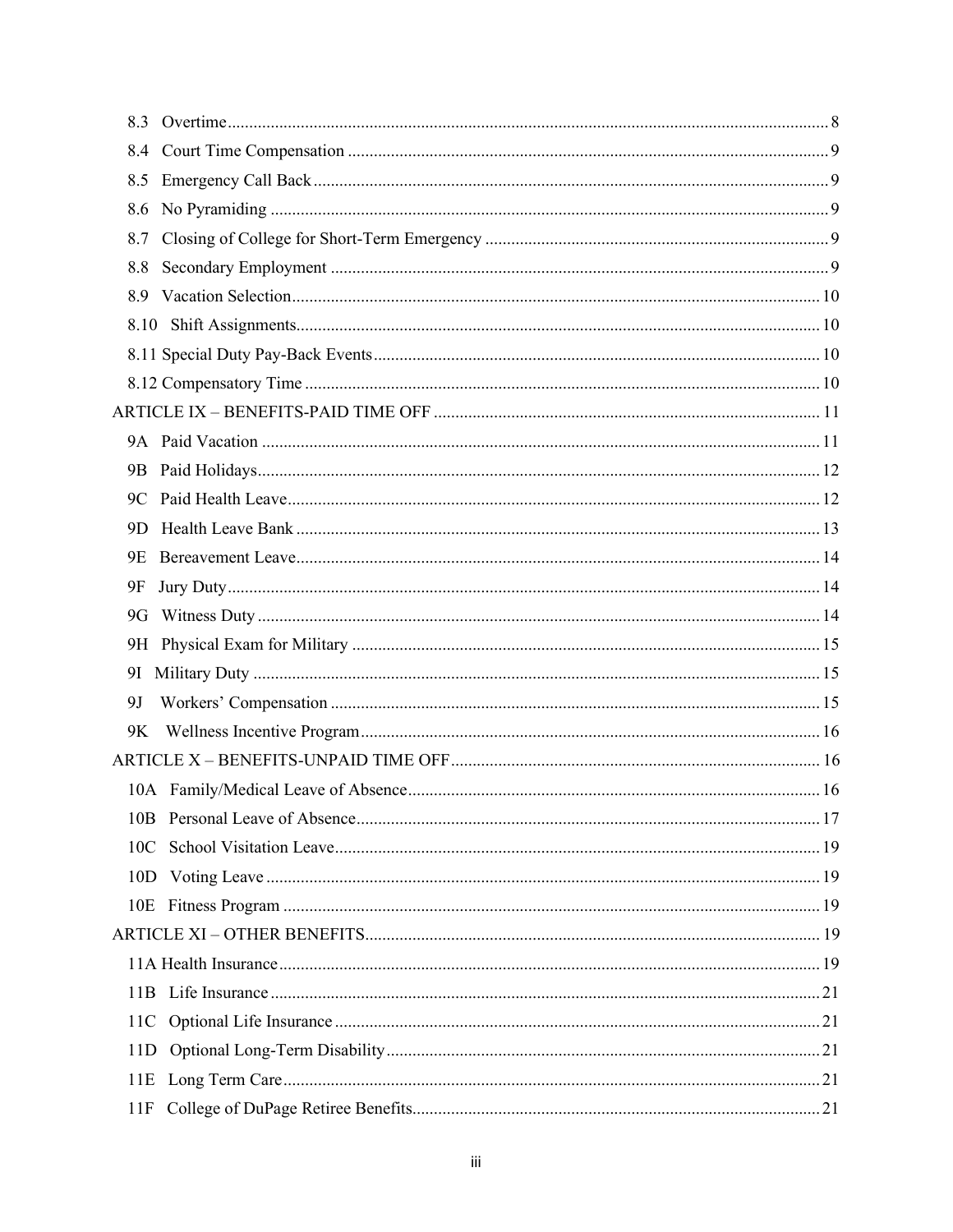| 8.5       |  |
|-----------|--|
| 8.6       |  |
| 8.7       |  |
| 8.8       |  |
|           |  |
|           |  |
|           |  |
|           |  |
|           |  |
|           |  |
| 9B        |  |
|           |  |
| 9D.       |  |
| 9E        |  |
| 9F        |  |
| 9G        |  |
|           |  |
|           |  |
| <b>9J</b> |  |
| 9K        |  |
|           |  |
|           |  |
|           |  |
|           |  |
|           |  |
|           |  |
|           |  |
|           |  |
|           |  |
|           |  |
| 11D       |  |
|           |  |
| 11F       |  |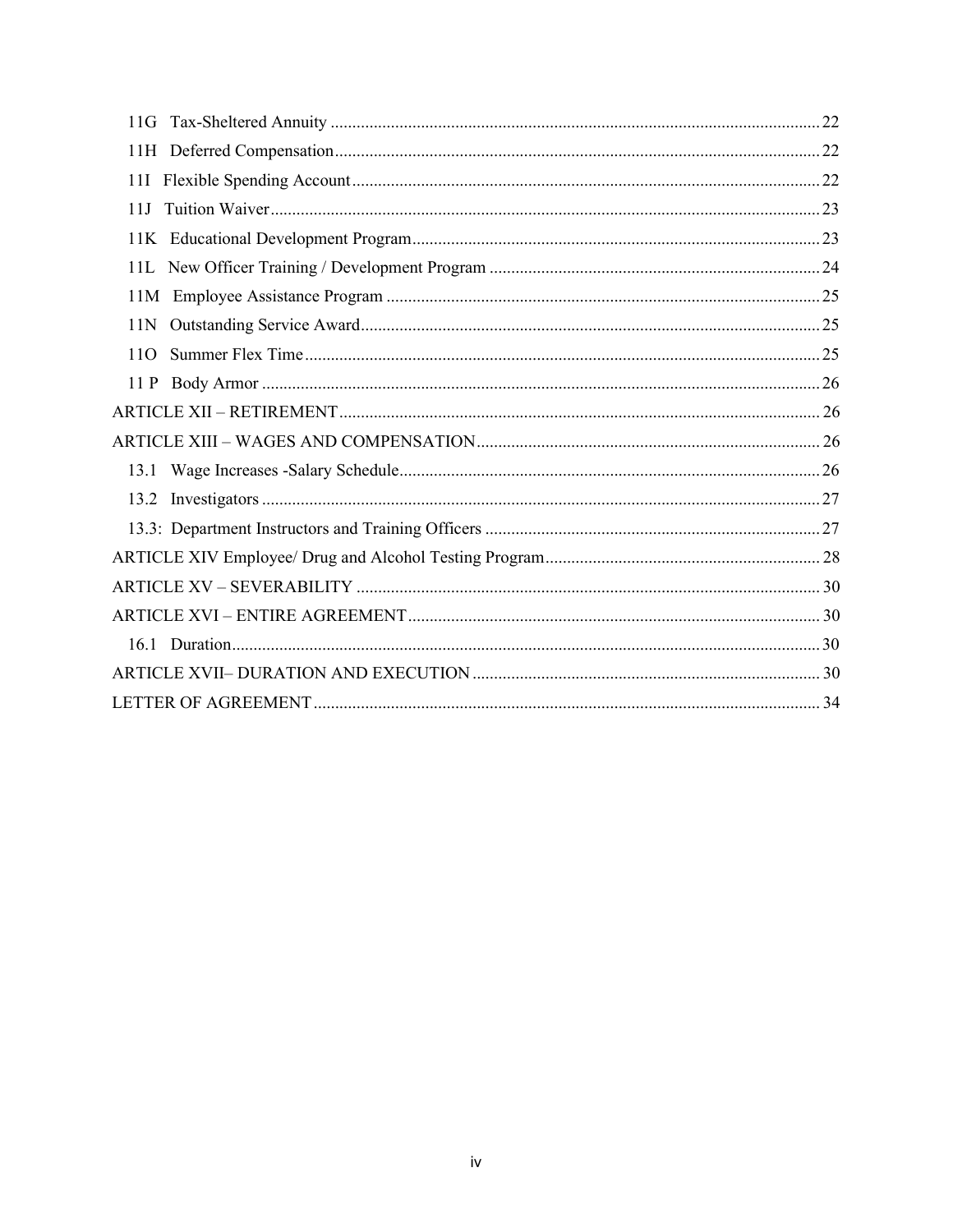| 11J     |  |
|---------|--|
|         |  |
|         |  |
|         |  |
|         |  |
| $110 -$ |  |
|         |  |
|         |  |
|         |  |
|         |  |
|         |  |
|         |  |
|         |  |
|         |  |
|         |  |
|         |  |
|         |  |
|         |  |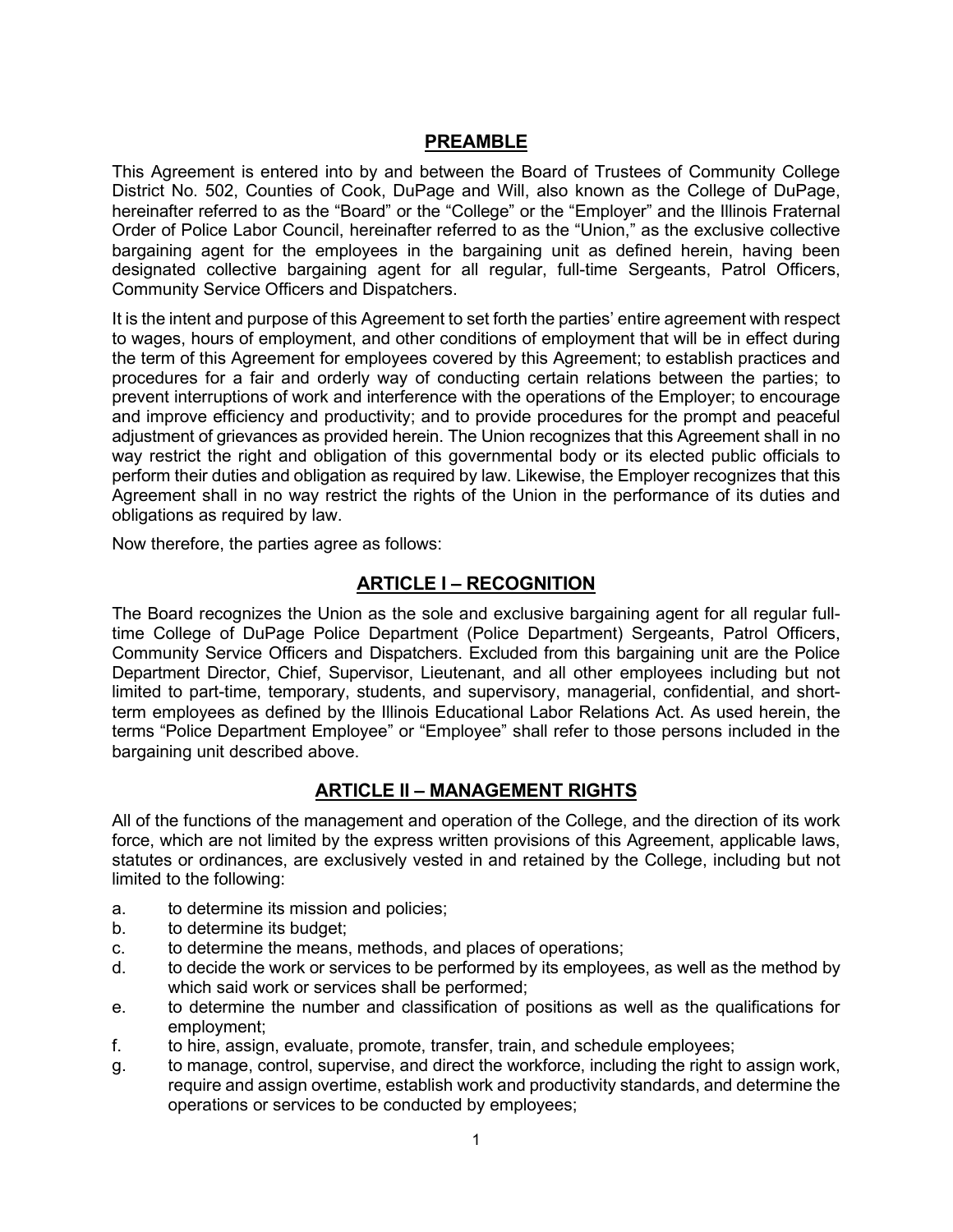## **PREAMBLE**

This Agreement is entered into by and between the Board of Trustees of Community College District No. 502, Counties of Cook, DuPage and Will, also known as the College of DuPage, hereinafter referred to as the "Board" or the "College" or the "Employer" and the Illinois Fraternal Order of Police Labor Council, hereinafter referred to as the "Union," as the exclusive collective bargaining agent for the employees in the bargaining unit as defined herein, having been designated collective bargaining agent for all regular, full-time Sergeants, Patrol Officers, Community Service Officers and Dispatchers.

It is the intent and purpose of this Agreement to set forth the parties' entire agreement with respect to wages, hours of employment, and other conditions of employment that will be in effect during the term of this Agreement for employees covered by this Agreement; to establish practices and procedures for a fair and orderly way of conducting certain relations between the parties; to prevent interruptions of work and interference with the operations of the Employer; to encourage and improve efficiency and productivity; and to provide procedures for the prompt and peaceful adjustment of grievances as provided herein. The Union recognizes that this Agreement shall in no way restrict the right and obligation of this governmental body or its elected public officials to perform their duties and obligation as required by law. Likewise, the Employer recognizes that this Agreement shall in no way restrict the rights of the Union in the performance of its duties and obligations as required by law.

Now therefore, the parties agree as follows:

## **ARTICLE I – RECOGNITION**

The Board recognizes the Union as the sole and exclusive bargaining agent for all regular fulltime College of DuPage Police Department (Police Department) Sergeants, Patrol Officers, Community Service Officers and Dispatchers. Excluded from this bargaining unit are the Police Department Director, Chief, Supervisor, Lieutenant, and all other employees including but not limited to part-time, temporary, students, and supervisory, managerial, confidential, and shortterm employees as defined by the Illinois Educational Labor Relations Act. As used herein, the terms "Police Department Employee" or "Employee" shall refer to those persons included in the bargaining unit described above.

## **ARTICLE II – MANAGEMENT RIGHTS**

All of the functions of the management and operation of the College, and the direction of its work force, which are not limited by the express written provisions of this Agreement, applicable laws, statutes or ordinances, are exclusively vested in and retained by the College, including but not limited to the following:

- a. to determine its mission and policies;
- b. to determine its budget;
- c. to determine the means, methods, and places of operations;
- d. to decide the work or services to be performed by its employees, as well as the method by which said work or services shall be performed;
- e. to determine the number and classification of positions as well as the qualifications for employment;
- f. to hire, assign, evaluate, promote, transfer, train, and schedule employees;
- g. to manage, control, supervise, and direct the workforce, including the right to assign work, require and assign overtime, establish work and productivity standards, and determine the operations or services to be conducted by employees;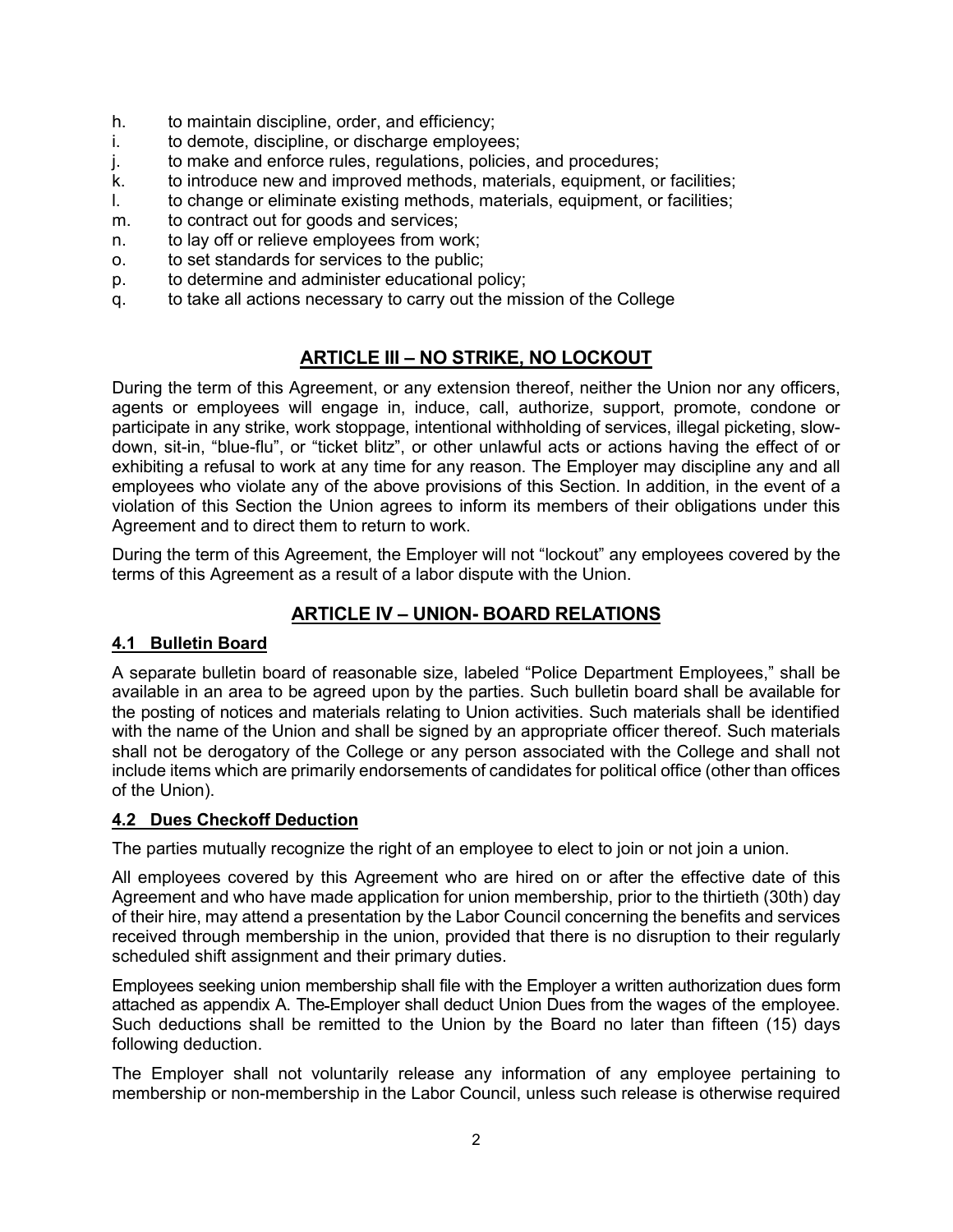- h. to maintain discipline, order, and efficiency;
- i. to demote, discipline, or discharge employees;
- j. to make and enforce rules, regulations, policies, and procedures;
- k. to introduce new and improved methods, materials, equipment, or facilities;
- l. to change or eliminate existing methods, materials, equipment, or facilities;
- m. to contract out for goods and services;
- n. to lay off or relieve employees from work;
- o. to set standards for services to the public;
- p. to determine and administer educational policy;
- q. to take all actions necessary to carry out the mission of the College

## **ARTICLE III – NO STRIKE, NO LOCKOUT**

During the term of this Agreement, or any extension thereof, neither the Union nor any officers, agents or employees will engage in, induce, call, authorize, support, promote, condone or participate in any strike, work stoppage, intentional withholding of services, illegal picketing, slowdown, sit-in, "blue-flu", or "ticket blitz", or other unlawful acts or actions having the effect of or exhibiting a refusal to work at any time for any reason. The Employer may discipline any and all employees who violate any of the above provisions of this Section. In addition, in the event of a violation of this Section the Union agrees to inform its members of their obligations under this Agreement and to direct them to return to work.

During the term of this Agreement, the Employer will not "lockout" any employees covered by the terms of this Agreement as a result of a labor dispute with the Union.

## **ARTICLE IV – UNION- BOARD RELATIONS**

#### **4.1 Bulletin Board**

A separate bulletin board of reasonable size, labeled "Police Department Employees," shall be available in an area to be agreed upon by the parties. Such bulletin board shall be available for the posting of notices and materials relating to Union activities. Such materials shall be identified with the name of the Union and shall be signed by an appropriate officer thereof. Such materials shall not be derogatory of the College or any person associated with the College and shall not include items which are primarily endorsements of candidates for political office (other than offices of the Union).

#### **4.2 Dues Checkoff Deduction**

The parties mutually recognize the right of an employee to elect to join or not join a union.

All employees covered by this Agreement who are hired on or after the effective date of this Agreement and who have made application for union membership, prior to the thirtieth (30th) day of their hire, may attend a presentation by the Labor Council concerning the benefits and services received through membership in the union, provided that there is no disruption to their regularly scheduled shift assignment and their primary duties.

Employees seeking union membership shall file with the Employer a written authorization dues form attached as appendix A. The Employer shall deduct Union Dues from the wages of the employee. Such deductions shall be remitted to the Union by the Board no later than fifteen (15) days following deduction.

The Employer shall not voluntarily release any information of any employee pertaining to membership or non-membership in the Labor Council, unless such release is otherwise required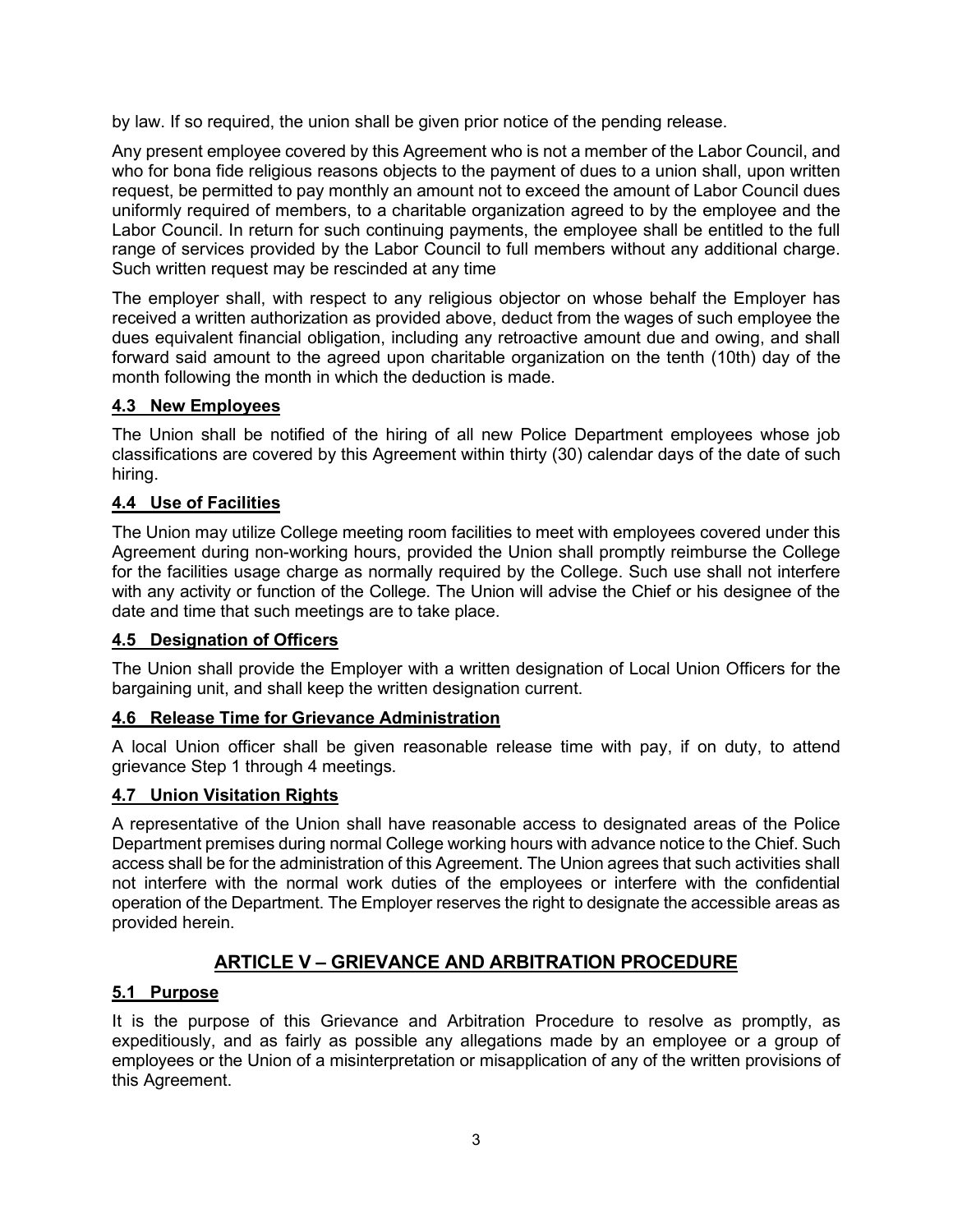by law. If so required, the union shall be given prior notice of the pending release.

Any present employee covered by this Agreement who is not a member of the Labor Council, and who for bona fide religious reasons objects to the payment of dues to a union shall, upon written request, be permitted to pay monthly an amount not to exceed the amount of Labor Council dues uniformly required of members, to a charitable organization agreed to by the employee and the Labor Council. In return for such continuing payments, the employee shall be entitled to the full range of services provided by the Labor Council to full members without any additional charge. Such written request may be rescinded at any time

The employer shall, with respect to any religious objector on whose behalf the Employer has received a written authorization as provided above, deduct from the wages of such employee the dues equivalent financial obligation, including any retroactive amount due and owing, and shall forward said amount to the agreed upon charitable organization on the tenth (10th) day of the month following the month in which the deduction is made.

## **4.3 New Employees**

The Union shall be notified of the hiring of all new Police Department employees whose job classifications are covered by this Agreement within thirty (30) calendar days of the date of such hiring.

## **4.4 Use of Facilities**

The Union may utilize College meeting room facilities to meet with employees covered under this Agreement during non-working hours, provided the Union shall promptly reimburse the College for the facilities usage charge as normally required by the College. Such use shall not interfere with any activity or function of the College. The Union will advise the Chief or his designee of the date and time that such meetings are to take place.

#### **4.5 Designation of Officers**

The Union shall provide the Employer with a written designation of Local Union Officers for the bargaining unit, and shall keep the written designation current.

#### **4.6 Release Time for Grievance Administration**

A local Union officer shall be given reasonable release time with pay, if on duty, to attend grievance Step 1 through 4 meetings.

#### **4.7 Union Visitation Rights**

A representative of the Union shall have reasonable access to designated areas of the Police Department premises during normal College working hours with advance notice to the Chief. Such access shall be for the administration of this Agreement. The Union agrees that such activities shall not interfere with the normal work duties of the employees or interfere with the confidential operation of the Department. The Employer reserves the right to designate the accessible areas as provided herein.

## **ARTICLE V – GRIEVANCE AND ARBITRATION PROCEDURE**

#### **5.1 Purpose**

It is the purpose of this Grievance and Arbitration Procedure to resolve as promptly, as expeditiously, and as fairly as possible any allegations made by an employee or a group of employees or the Union of a misinterpretation or misapplication of any of the written provisions of this Agreement.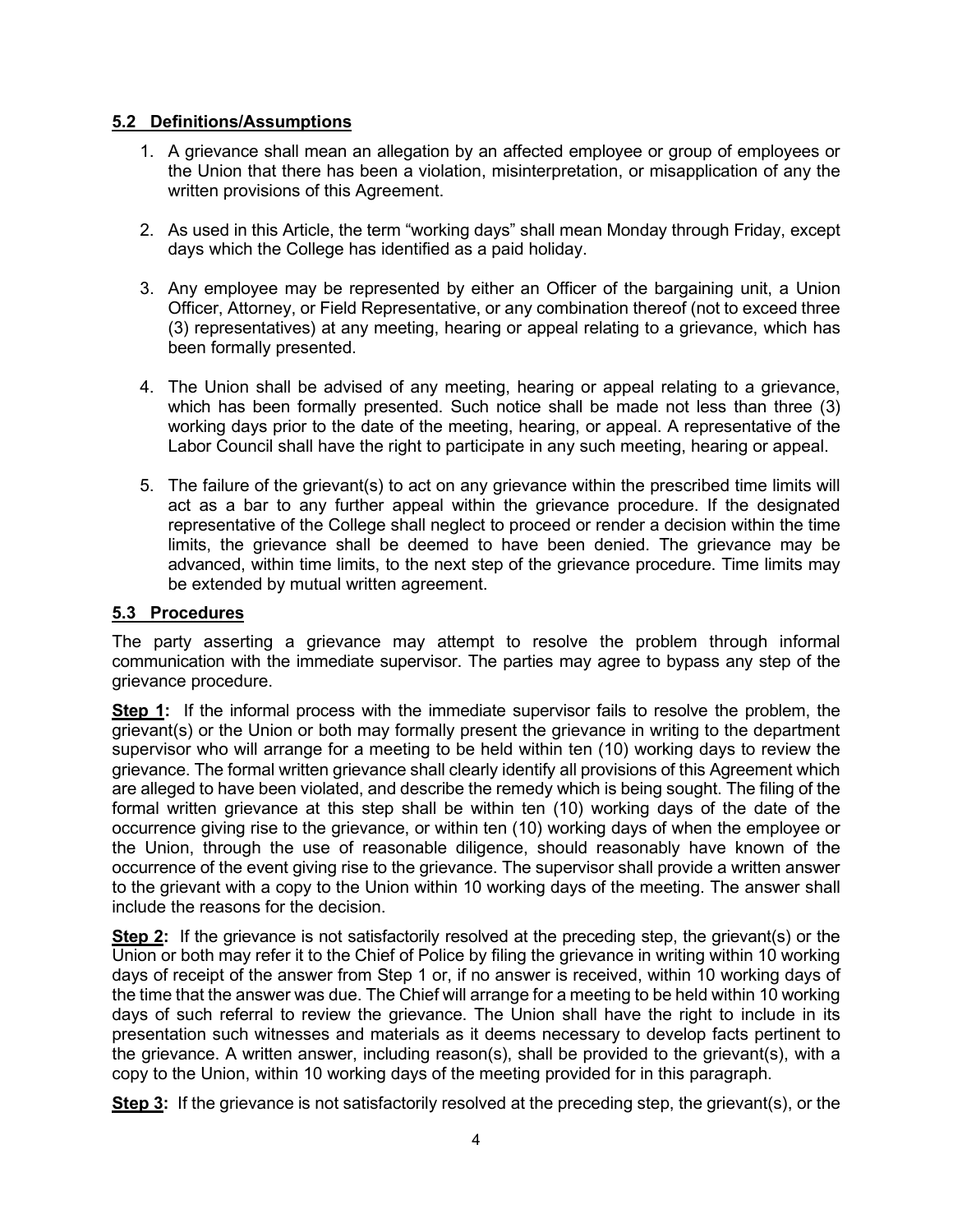#### **5.2 Definitions/Assumptions**

- 1. A grievance shall mean an allegation by an affected employee or group of employees or the Union that there has been a violation, misinterpretation, or misapplication of any the written provisions of this Agreement.
- 2. As used in this Article, the term "working days" shall mean Monday through Friday, except days which the College has identified as a paid holiday.
- 3. Any employee may be represented by either an Officer of the bargaining unit, a Union Officer, Attorney, or Field Representative, or any combination thereof (not to exceed three (3) representatives) at any meeting, hearing or appeal relating to a grievance, which has been formally presented.
- 4. The Union shall be advised of any meeting, hearing or appeal relating to a grievance, which has been formally presented. Such notice shall be made not less than three (3) working days prior to the date of the meeting, hearing, or appeal. A representative of the Labor Council shall have the right to participate in any such meeting, hearing or appeal.
- 5. The failure of the grievant(s) to act on any grievance within the prescribed time limits will act as a bar to any further appeal within the grievance procedure. If the designated representative of the College shall neglect to proceed or render a decision within the time limits, the grievance shall be deemed to have been denied. The grievance may be advanced, within time limits, to the next step of the grievance procedure. Time limits may be extended by mutual written agreement.

#### **5.3 Procedures**

The party asserting a grievance may attempt to resolve the problem through informal communication with the immediate supervisor. The parties may agree to bypass any step of the grievance procedure.

**Step 1:** If the informal process with the immediate supervisor fails to resolve the problem, the grievant(s) or the Union or both may formally present the grievance in writing to the department supervisor who will arrange for a meeting to be held within ten (10) working days to review the grievance. The formal written grievance shall clearly identify all provisions of this Agreement which are alleged to have been violated, and describe the remedy which is being sought. The filing of the formal written grievance at this step shall be within ten (10) working days of the date of the occurrence giving rise to the grievance, or within ten (10) working days of when the employee or the Union, through the use of reasonable diligence, should reasonably have known of the occurrence of the event giving rise to the grievance. The supervisor shall provide a written answer to the grievant with a copy to the Union within 10 working days of the meeting. The answer shall include the reasons for the decision.

**Step 2:** If the grievance is not satisfactorily resolved at the preceding step, the grievant(s) or the Union or both may refer it to the Chief of Police by filing the grievance in writing within 10 working days of receipt of the answer from Step 1 or, if no answer is received, within 10 working days of the time that the answer was due. The Chief will arrange for a meeting to be held within 10 working days of such referral to review the grievance. The Union shall have the right to include in its presentation such witnesses and materials as it deems necessary to develop facts pertinent to the grievance. A written answer, including reason(s), shall be provided to the grievant(s), with a copy to the Union, within 10 working days of the meeting provided for in this paragraph.

**Step 3:** If the grievance is not satisfactorily resolved at the preceding step, the grievant(s), or the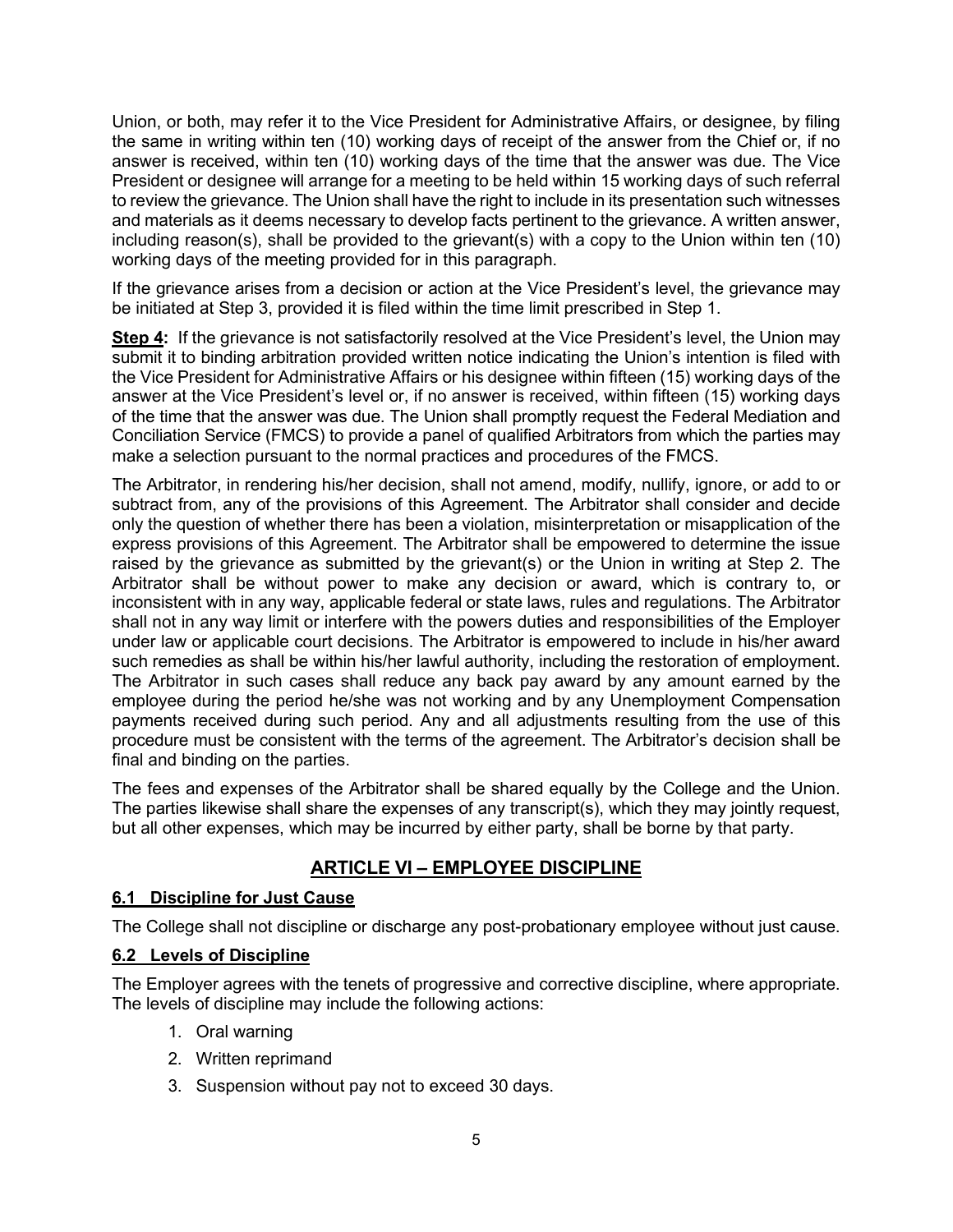Union, or both, may refer it to the Vice President for Administrative Affairs, or designee, by filing the same in writing within ten (10) working days of receipt of the answer from the Chief or, if no answer is received, within ten (10) working days of the time that the answer was due. The Vice President or designee will arrange for a meeting to be held within 15 working days of such referral to review the grievance. The Union shall have the right to include in its presentation such witnesses and materials as it deems necessary to develop facts pertinent to the grievance. A written answer, including reason(s), shall be provided to the grievant(s) with a copy to the Union within ten (10) working days of the meeting provided for in this paragraph.

If the grievance arises from a decision or action at the Vice President's level, the grievance may be initiated at Step 3, provided it is filed within the time limit prescribed in Step 1.

**Step 4:** If the grievance is not satisfactorily resolved at the Vice President's level, the Union may submit it to binding arbitration provided written notice indicating the Union's intention is filed with the Vice President for Administrative Affairs or his designee within fifteen (15) working days of the answer at the Vice President's level or, if no answer is received, within fifteen (15) working days of the time that the answer was due. The Union shall promptly request the Federal Mediation and Conciliation Service (FMCS) to provide a panel of qualified Arbitrators from which the parties may make a selection pursuant to the normal practices and procedures of the FMCS.

The Arbitrator, in rendering his/her decision, shall not amend, modify, nullify, ignore, or add to or subtract from, any of the provisions of this Agreement. The Arbitrator shall consider and decide only the question of whether there has been a violation, misinterpretation or misapplication of the express provisions of this Agreement. The Arbitrator shall be empowered to determine the issue raised by the grievance as submitted by the grievant(s) or the Union in writing at Step 2. The Arbitrator shall be without power to make any decision or award, which is contrary to, or inconsistent with in any way, applicable federal or state laws, rules and regulations. The Arbitrator shall not in any way limit or interfere with the powers duties and responsibilities of the Employer under law or applicable court decisions. The Arbitrator is empowered to include in his/her award such remedies as shall be within his/her lawful authority, including the restoration of employment. The Arbitrator in such cases shall reduce any back pay award by any amount earned by the employee during the period he/she was not working and by any Unemployment Compensation payments received during such period. Any and all adjustments resulting from the use of this procedure must be consistent with the terms of the agreement. The Arbitrator's decision shall be final and binding on the parties.

The fees and expenses of the Arbitrator shall be shared equally by the College and the Union. The parties likewise shall share the expenses of any transcript(s), which they may jointly request, but all other expenses, which may be incurred by either party, shall be borne by that party.

## **ARTICLE VI – EMPLOYEE DISCIPLINE**

## **6.1 Discipline for Just Cause**

The College shall not discipline or discharge any post-probationary employee without just cause.

## **6.2 Levels of Discipline**

The Employer agrees with the tenets of progressive and corrective discipline, where appropriate. The levels of discipline may include the following actions:

- 1. Oral warning
- 2. Written reprimand
- 3. Suspension without pay not to exceed 30 days.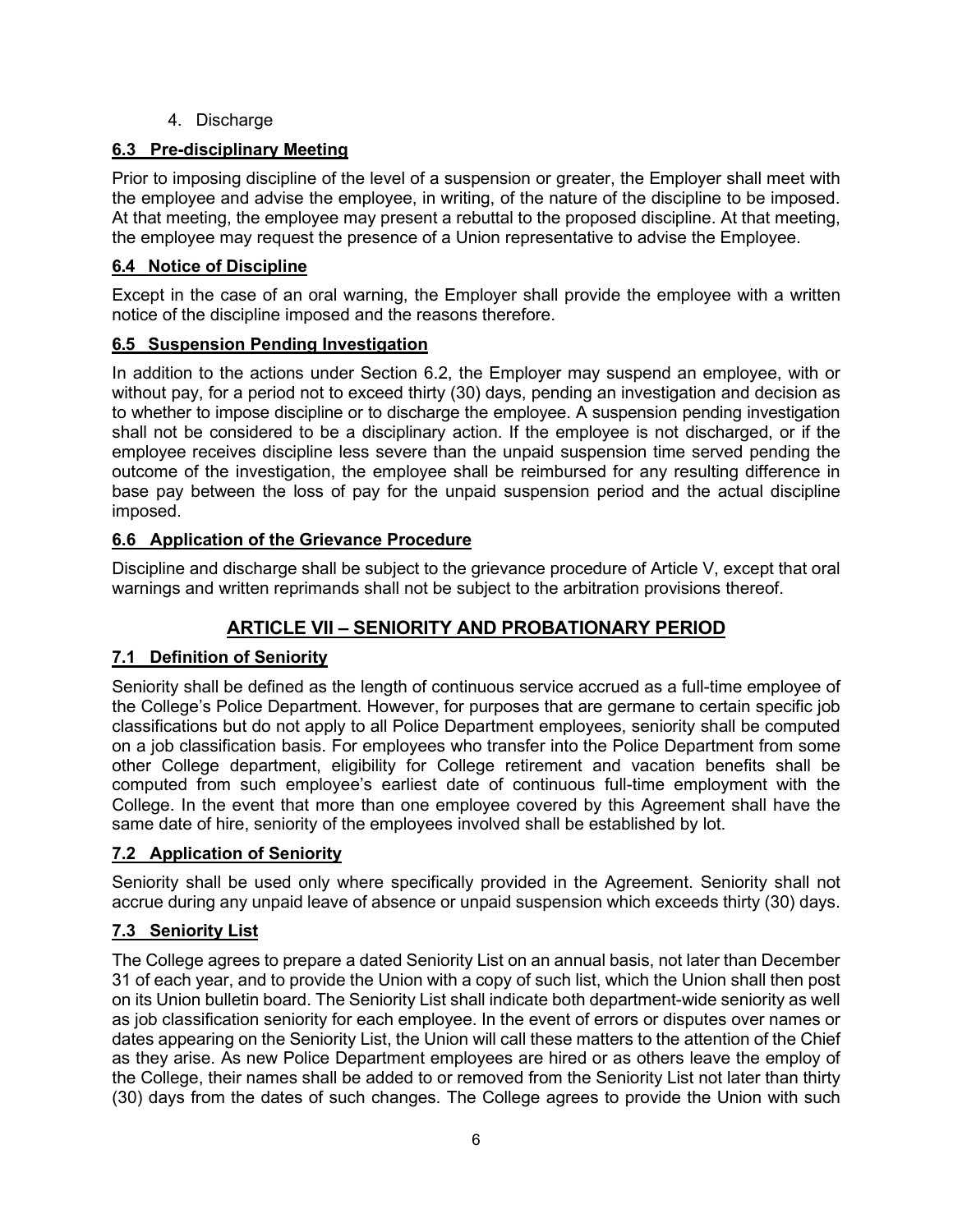4. Discharge

## **6.3 Pre-disciplinary Meeting**

Prior to imposing discipline of the level of a suspension or greater, the Employer shall meet with the employee and advise the employee, in writing, of the nature of the discipline to be imposed. At that meeting, the employee may present a rebuttal to the proposed discipline. At that meeting, the employee may request the presence of a Union representative to advise the Employee.

## **6.4 Notice of Discipline**

Except in the case of an oral warning, the Employer shall provide the employee with a written notice of the discipline imposed and the reasons therefore.

## **6.5 Suspension Pending Investigation**

In addition to the actions under Section 6.2, the Employer may suspend an employee, with or without pay, for a period not to exceed thirty (30) days, pending an investigation and decision as to whether to impose discipline or to discharge the employee. A suspension pending investigation shall not be considered to be a disciplinary action. If the employee is not discharged, or if the employee receives discipline less severe than the unpaid suspension time served pending the outcome of the investigation, the employee shall be reimbursed for any resulting difference in base pay between the loss of pay for the unpaid suspension period and the actual discipline imposed.

## **6.6 Application of the Grievance Procedure**

Discipline and discharge shall be subject to the grievance procedure of Article V, except that oral warnings and written reprimands shall not be subject to the arbitration provisions thereof.

## **ARTICLE VII – SENIORITY AND PROBATIONARY PERIOD**

## **7.1 Definition of Seniority**

Seniority shall be defined as the length of continuous service accrued as a full-time employee of the College's Police Department. However, for purposes that are germane to certain specific job classifications but do not apply to all Police Department employees, seniority shall be computed on a job classification basis. For employees who transfer into the Police Department from some other College department, eligibility for College retirement and vacation benefits shall be computed from such employee's earliest date of continuous full-time employment with the College. In the event that more than one employee covered by this Agreement shall have the same date of hire, seniority of the employees involved shall be established by lot.

## **7.2 Application of Seniority**

Seniority shall be used only where specifically provided in the Agreement. Seniority shall not accrue during any unpaid leave of absence or unpaid suspension which exceeds thirty (30) days.

## **7.3 Seniority List**

The College agrees to prepare a dated Seniority List on an annual basis, not later than December 31 of each year, and to provide the Union with a copy of such list, which the Union shall then post on its Union bulletin board. The Seniority List shall indicate both department-wide seniority as well as job classification seniority for each employee. In the event of errors or disputes over names or dates appearing on the Seniority List, the Union will call these matters to the attention of the Chief as they arise. As new Police Department employees are hired or as others leave the employ of the College, their names shall be added to or removed from the Seniority List not later than thirty (30) days from the dates of such changes. The College agrees to provide the Union with such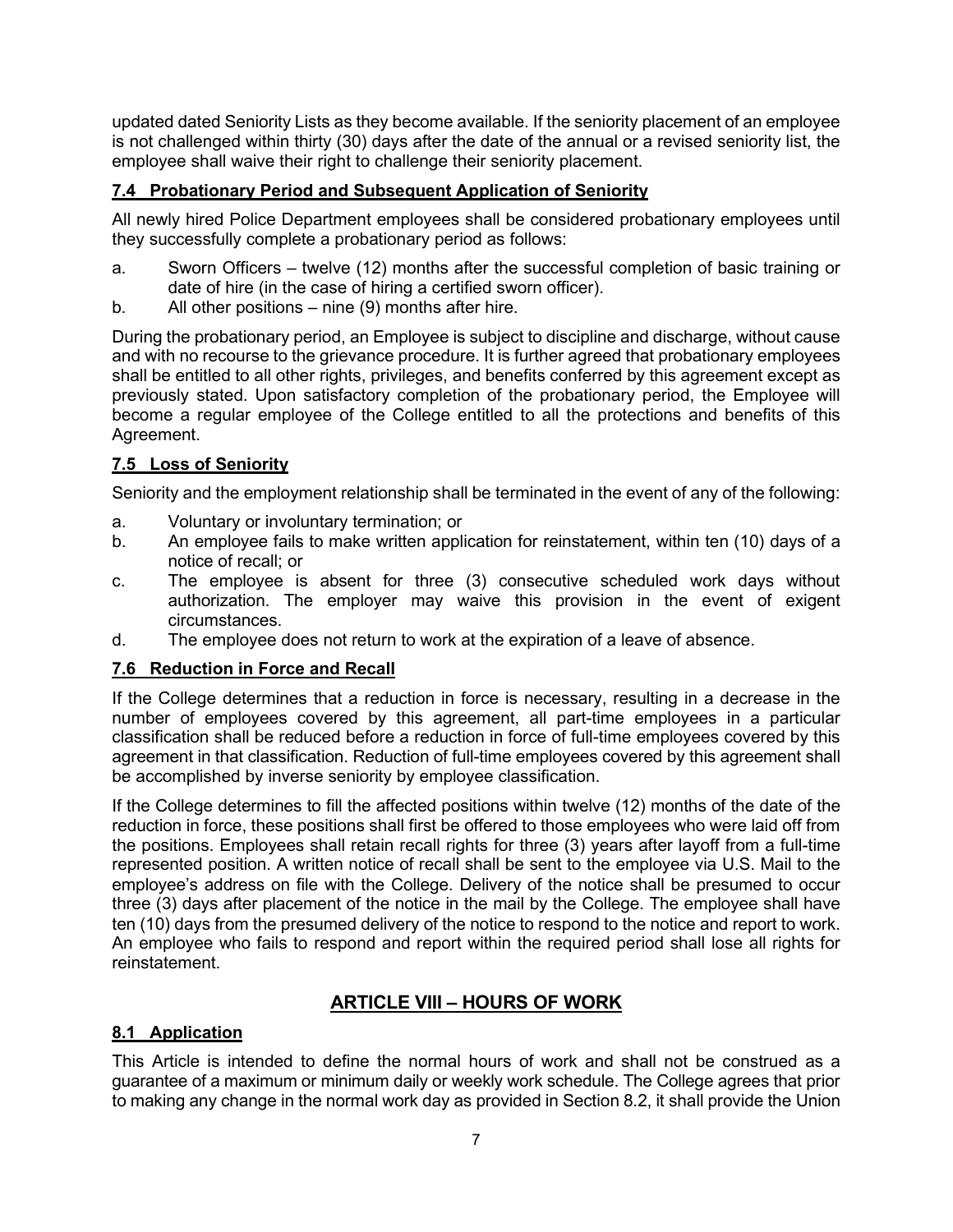updated dated Seniority Lists as they become available. If the seniority placement of an employee is not challenged within thirty (30) days after the date of the annual or a revised seniority list, the employee shall waive their right to challenge their seniority placement.

## **7.4 Probationary Period and Subsequent Application of Seniority**

All newly hired Police Department employees shall be considered probationary employees until they successfully complete a probationary period as follows:

- a. Sworn Officers twelve (12) months after the successful completion of basic training or date of hire (in the case of hiring a certified sworn officer).
- b. All other positions nine (9) months after hire.

During the probationary period, an Employee is subject to discipline and discharge, without cause and with no recourse to the grievance procedure. It is further agreed that probationary employees shall be entitled to all other rights, privileges, and benefits conferred by this agreement except as previously stated. Upon satisfactory completion of the probationary period, the Employee will become a regular employee of the College entitled to all the protections and benefits of this Agreement.

## **7.5 Loss of Seniority**

Seniority and the employment relationship shall be terminated in the event of any of the following:

- a. Voluntary or involuntary termination; or
- b. An employee fails to make written application for reinstatement, within ten (10) days of a notice of recall; or
- c. The employee is absent for three (3) consecutive scheduled work days without authorization. The employer may waive this provision in the event of exigent circumstances.
- d. The employee does not return to work at the expiration of a leave of absence.

## **7.6 Reduction in Force and Recall**

If the College determines that a reduction in force is necessary, resulting in a decrease in the number of employees covered by this agreement, all part-time employees in a particular classification shall be reduced before a reduction in force of full-time employees covered by this agreement in that classification. Reduction of full-time employees covered by this agreement shall be accomplished by inverse seniority by employee classification.

If the College determines to fill the affected positions within twelve (12) months of the date of the reduction in force, these positions shall first be offered to those employees who were laid off from the positions. Employees shall retain recall rights for three (3) years after layoff from a full-time represented position. A written notice of recall shall be sent to the employee via U.S. Mail to the employee's address on file with the College. Delivery of the notice shall be presumed to occur three (3) days after placement of the notice in the mail by the College. The employee shall have ten (10) days from the presumed delivery of the notice to respond to the notice and report to work. An employee who fails to respond and report within the required period shall lose all rights for reinstatement.

## **ARTICLE VIII – HOURS OF WORK**

## **8.1 Application**

This Article is intended to define the normal hours of work and shall not be construed as a guarantee of a maximum or minimum daily or weekly work schedule. The College agrees that prior to making any change in the normal work day as provided in Section 8.2, it shall provide the Union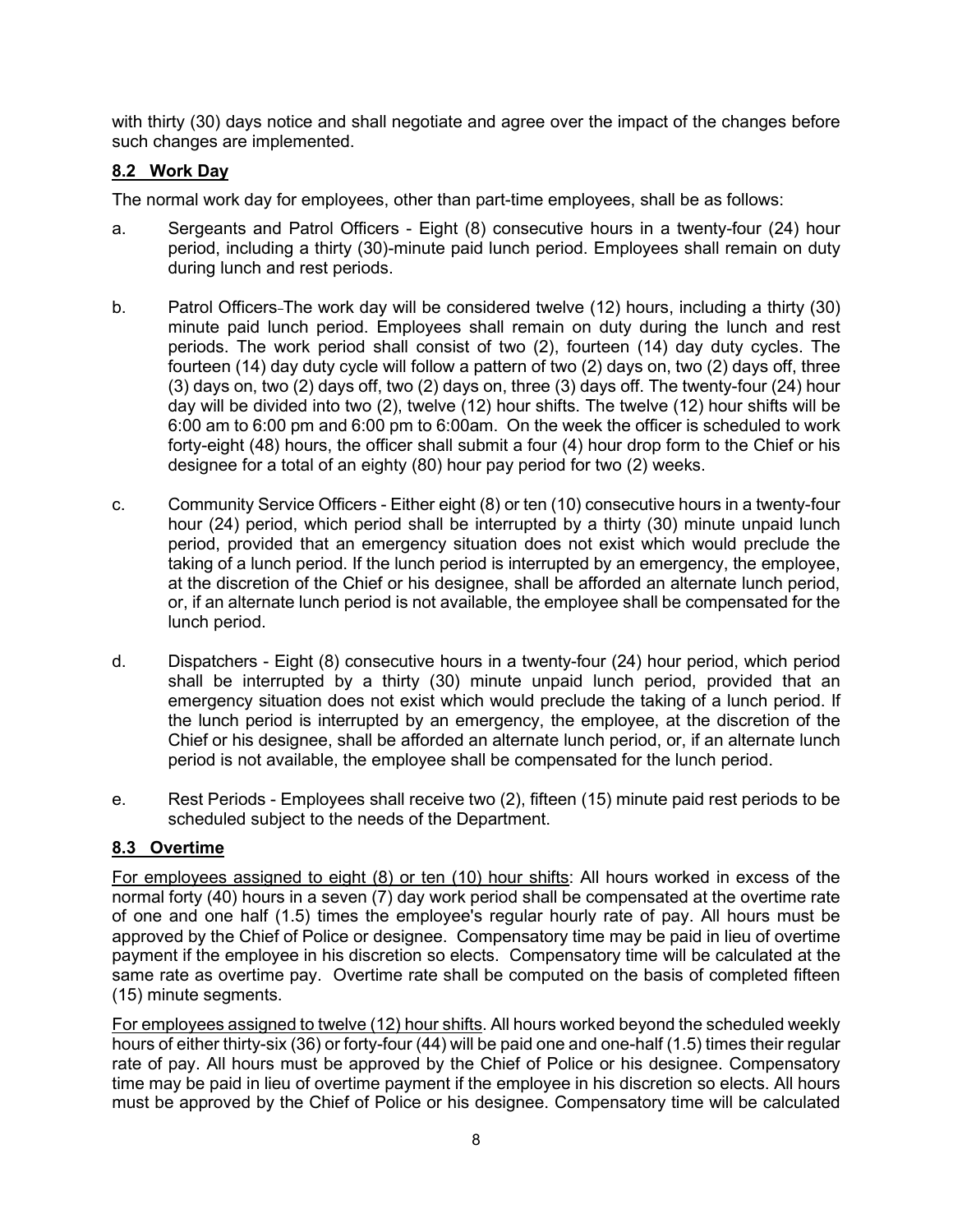with thirty (30) days notice and shall negotiate and agree over the impact of the changes before such changes are implemented.

## **8.2 Work Day**

The normal work day for employees, other than part-time employees, shall be as follows:

- a. Sergeants and Patrol Officers Eight (8) consecutive hours in a twenty-four (24) hour period, including a thirty (30)-minute paid lunch period. Employees shall remain on duty during lunch and rest periods.
- b. Patrol Officers-The work day will be considered twelve (12) hours, including a thirty (30) minute paid lunch period. Employees shall remain on duty during the lunch and rest periods. The work period shall consist of two (2), fourteen (14) day duty cycles. The fourteen (14) day duty cycle will follow a pattern of two (2) days on, two (2) days off, three (3) days on, two (2) days off, two (2) days on, three (3) days off. The twenty-four (24) hour day will be divided into two (2), twelve (12) hour shifts. The twelve (12) hour shifts will be 6:00 am to 6:00 pm and 6:00 pm to 6:00am. On the week the officer is scheduled to work forty-eight (48) hours, the officer shall submit a four (4) hour drop form to the Chief or his designee for a total of an eighty (80) hour pay period for two (2) weeks.
- c. Community Service Officers Either eight (8) or ten (10) consecutive hours in a twenty-four hour (24) period, which period shall be interrupted by a thirty (30) minute unpaid lunch period, provided that an emergency situation does not exist which would preclude the taking of a lunch period. If the lunch period is interrupted by an emergency, the employee, at the discretion of the Chief or his designee, shall be afforded an alternate lunch period, or, if an alternate lunch period is not available, the employee shall be compensated for the lunch period.
- d. Dispatchers Eight (8) consecutive hours in a twenty-four (24) hour period, which period shall be interrupted by a thirty (30) minute unpaid lunch period, provided that an emergency situation does not exist which would preclude the taking of a lunch period. If the lunch period is interrupted by an emergency, the employee, at the discretion of the Chief or his designee, shall be afforded an alternate lunch period, or, if an alternate lunch period is not available, the employee shall be compensated for the lunch period.
- e. Rest Periods Employees shall receive two (2), fifteen (15) minute paid rest periods to be scheduled subject to the needs of the Department.

#### **8.3 Overtime**

For employees assigned to eight (8) or ten (10) hour shifts: All hours worked in excess of the normal forty (40) hours in a seven (7) day work period shall be compensated at the overtime rate of one and one half (1.5) times the employee's regular hourly rate of pay. All hours must be approved by the Chief of Police or designee. Compensatory time may be paid in lieu of overtime payment if the employee in his discretion so elects. Compensatory time will be calculated at the same rate as overtime pay. Overtime rate shall be computed on the basis of completed fifteen (15) minute segments.

For employees assigned to twelve (12) hour shifts. All hours worked beyond the scheduled weekly hours of either thirty-six (36) or forty-four (44) will be paid one and one-half (1.5) times their regular rate of pay. All hours must be approved by the Chief of Police or his designee. Compensatory time may be paid in lieu of overtime payment if the employee in his discretion so elects. All hours must be approved by the Chief of Police or his designee. Compensatory time will be calculated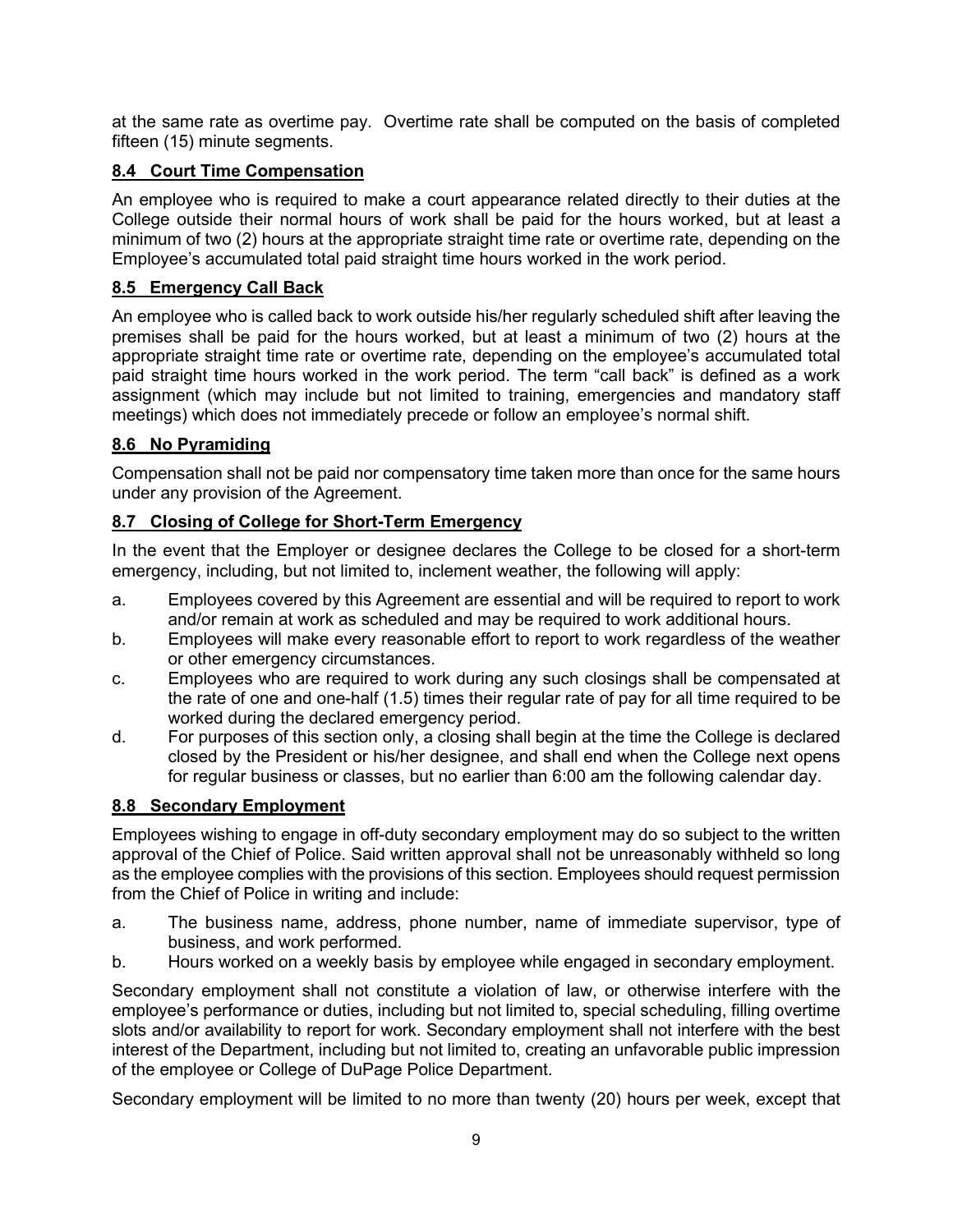at the same rate as overtime pay. Overtime rate shall be computed on the basis of completed fifteen (15) minute segments.

## **8.4 Court Time Compensation**

An employee who is required to make a court appearance related directly to their duties at the College outside their normal hours of work shall be paid for the hours worked, but at least a minimum of two (2) hours at the appropriate straight time rate or overtime rate, depending on the Employee's accumulated total paid straight time hours worked in the work period.

## **8.5 Emergency Call Back**

An employee who is called back to work outside his/her regularly scheduled shift after leaving the premises shall be paid for the hours worked, but at least a minimum of two (2) hours at the appropriate straight time rate or overtime rate, depending on the employee's accumulated total paid straight time hours worked in the work period. The term "call back" is defined as a work assignment (which may include but not limited to training, emergencies and mandatory staff meetings) which does not immediately precede or follow an employee's normal shift.

## **8.6 No Pyramiding**

Compensation shall not be paid nor compensatory time taken more than once for the same hours under any provision of the Agreement.

## **8.7 Closing of College for Short-Term Emergency**

In the event that the Employer or designee declares the College to be closed for a short-term emergency, including, but not limited to, inclement weather, the following will apply:

- a. Employees covered by this Agreement are essential and will be required to report to work and/or remain at work as scheduled and may be required to work additional hours.
- b. Employees will make every reasonable effort to report to work regardless of the weather or other emergency circumstances.
- c. Employees who are required to work during any such closings shall be compensated at the rate of one and one-half (1.5) times their regular rate of pay for all time required to be worked during the declared emergency period.
- d. For purposes of this section only, a closing shall begin at the time the College is declared closed by the President or his/her designee, and shall end when the College next opens for regular business or classes, but no earlier than 6:00 am the following calendar day.

## **8.8 Secondary Employment**

Employees wishing to engage in off-duty secondary employment may do so subject to the written approval of the Chief of Police. Said written approval shall not be unreasonably withheld so long as the employee complies with the provisions of this section. Employees should request permission from the Chief of Police in writing and include:

- a. The business name, address, phone number, name of immediate supervisor, type of business, and work performed.
- b. Hours worked on a weekly basis by employee while engaged in secondary employment.

Secondary employment shall not constitute a violation of law, or otherwise interfere with the employee's performance or duties, including but not limited to, special scheduling, filling overtime slots and/or availability to report for work. Secondary employment shall not interfere with the best interest of the Department, including but not limited to, creating an unfavorable public impression of the employee or College of DuPage Police Department.

Secondary employment will be limited to no more than twenty (20) hours per week, except that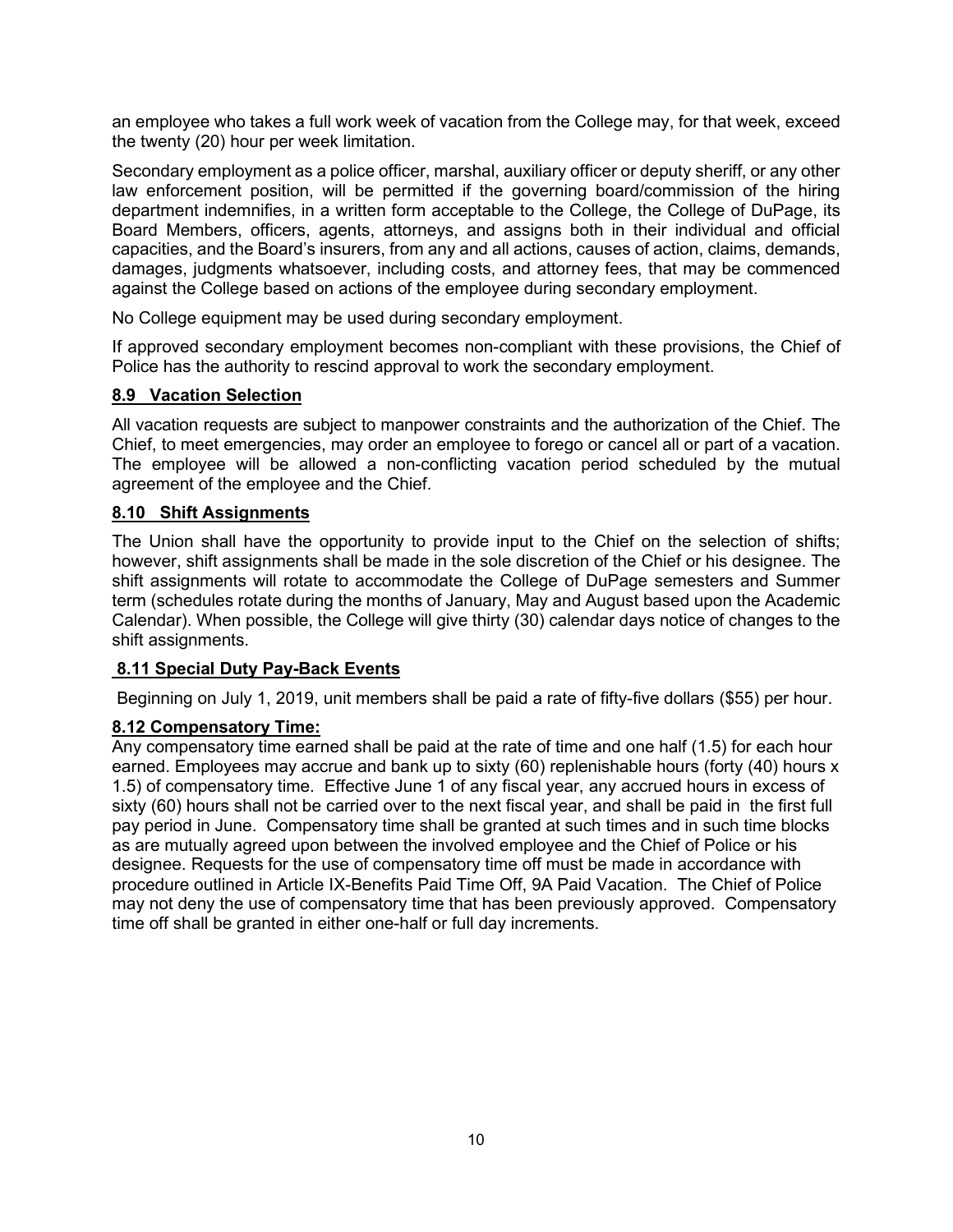an employee who takes a full work week of vacation from the College may, for that week, exceed the twenty (20) hour per week limitation.

Secondary employment as a police officer, marshal, auxiliary officer or deputy sheriff, or any other law enforcement position, will be permitted if the governing board/commission of the hiring department indemnifies, in a written form acceptable to the College, the College of DuPage, its Board Members, officers, agents, attorneys, and assigns both in their individual and official capacities, and the Board's insurers, from any and all actions, causes of action, claims, demands, damages, judgments whatsoever, including costs, and attorney fees, that may be commenced against the College based on actions of the employee during secondary employment.

No College equipment may be used during secondary employment.

If approved secondary employment becomes non-compliant with these provisions, the Chief of Police has the authority to rescind approval to work the secondary employment.

## **8.9 Vacation Selection**

All vacation requests are subject to manpower constraints and the authorization of the Chief. The Chief, to meet emergencies, may order an employee to forego or cancel all or part of a vacation. The employee will be allowed a non-conflicting vacation period scheduled by the mutual agreement of the employee and the Chief.

## **8.10 Shift Assignments**

The Union shall have the opportunity to provide input to the Chief on the selection of shifts; however, shift assignments shall be made in the sole discretion of the Chief or his designee. The shift assignments will rotate to accommodate the College of DuPage semesters and Summer term (schedules rotate during the months of January, May and August based upon the Academic Calendar). When possible, the College will give thirty (30) calendar days notice of changes to the shift assignments.

#### **8.11 Special Duty Pay-Back Events**

Beginning on July 1, 2019, unit members shall be paid a rate of fifty-five dollars (\$55) per hour.

## **8.12 Compensatory Time:**

Any compensatory time earned shall be paid at the rate of time and one half (1.5) for each hour earned. Employees may accrue and bank up to sixty (60) replenishable hours (forty (40) hours x 1.5) of compensatory time. Effective June 1 of any fiscal year, any accrued hours in excess of sixty (60) hours shall not be carried over to the next fiscal year, and shall be paid in the first full pay period in June. Compensatory time shall be granted at such times and in such time blocks as are mutually agreed upon between the involved employee and the Chief of Police or his designee. Requests for the use of compensatory time off must be made in accordance with procedure outlined in Article IX-Benefits Paid Time Off, 9A Paid Vacation. The Chief of Police may not deny the use of compensatory time that has been previously approved. Compensatory time off shall be granted in either one-half or full day increments.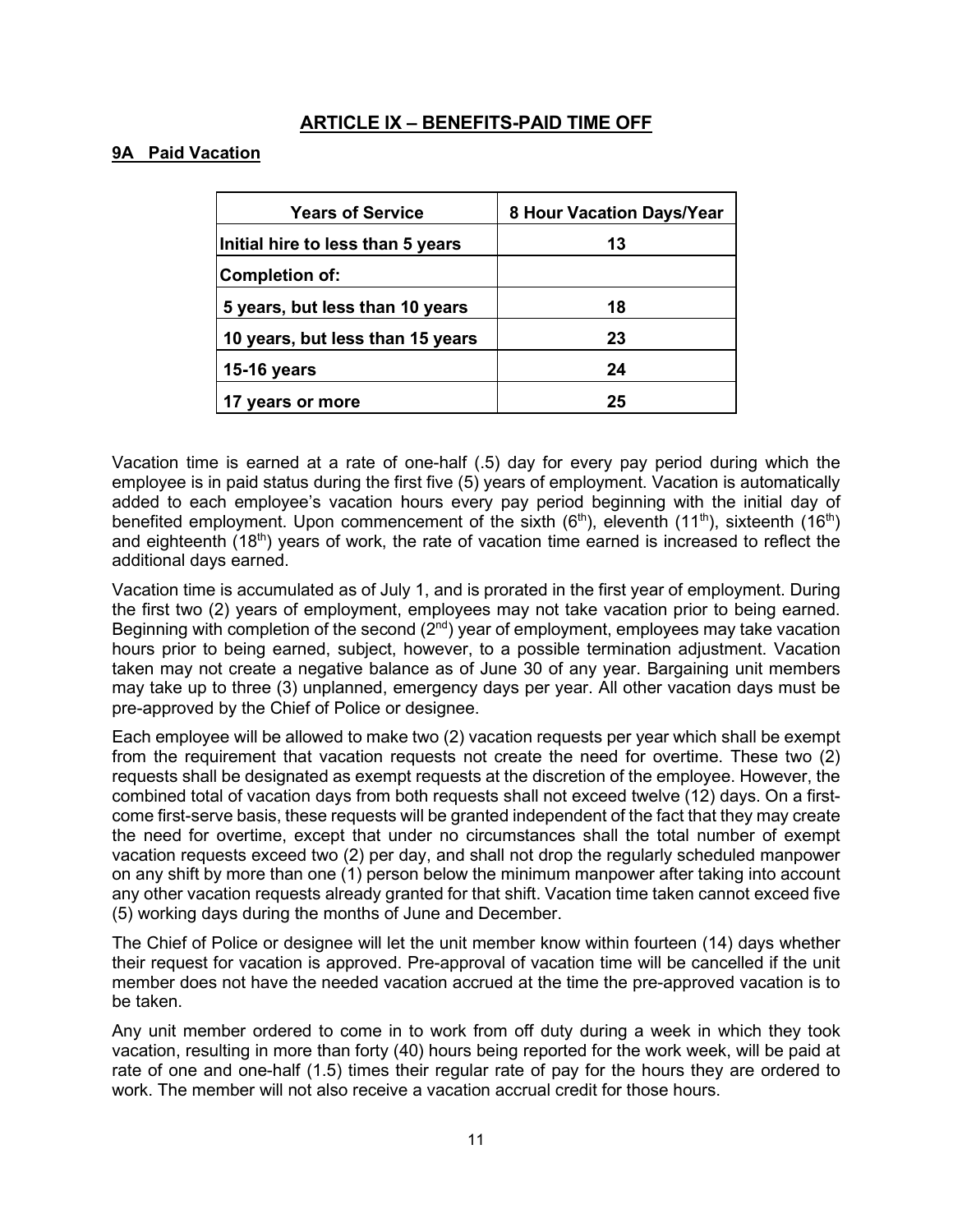### **ARTICLE IX – BENEFITS-PAID TIME OFF**

#### **9A Paid Vacation**

| <b>Years of Service</b>           | 8 Hour Vacation Days/Year |  |
|-----------------------------------|---------------------------|--|
| Initial hire to less than 5 years | 13                        |  |
| <b>Completion of:</b>             |                           |  |
| 5 years, but less than 10 years   | 18                        |  |
| 10 years, but less than 15 years  | 23                        |  |
| <b>15-16 years</b>                | 24                        |  |
| years or more                     | 25                        |  |

Vacation time is earned at a rate of one-half (.5) day for every pay period during which the employee is in paid status during the first five (5) years of employment. Vacation is automatically added to each employee's vacation hours every pay period beginning with the initial day of benefited employment. Upon commencement of the sixth  $(6<sup>th</sup>)$ , eleventh  $(11<sup>th</sup>)$ , sixteenth  $(16<sup>th</sup>)$ and eighteenth (18<sup>th</sup>) years of work, the rate of vacation time earned is increased to reflect the additional days earned.

Vacation time is accumulated as of July 1, and is prorated in the first year of employment. During the first two (2) years of employment, employees may not take vacation prior to being earned. Beginning with completion of the second  $(2<sup>nd</sup>)$  year of employment, employees may take vacation hours prior to being earned, subject, however, to a possible termination adjustment. Vacation taken may not create a negative balance as of June 30 of any year. Bargaining unit members may take up to three (3) unplanned, emergency days per year. All other vacation days must be pre-approved by the Chief of Police or designee.

Each employee will be allowed to make two (2) vacation requests per year which shall be exempt from the requirement that vacation requests not create the need for overtime. These two (2) requests shall be designated as exempt requests at the discretion of the employee. However, the combined total of vacation days from both requests shall not exceed twelve (12) days. On a firstcome first-serve basis, these requests will be granted independent of the fact that they may create the need for overtime, except that under no circumstances shall the total number of exempt vacation requests exceed two (2) per day, and shall not drop the regularly scheduled manpower on any shift by more than one (1) person below the minimum manpower after taking into account any other vacation requests already granted for that shift. Vacation time taken cannot exceed five (5) working days during the months of June and December.

The Chief of Police or designee will let the unit member know within fourteen (14) days whether their request for vacation is approved. Pre-approval of vacation time will be cancelled if the unit member does not have the needed vacation accrued at the time the pre-approved vacation is to be taken.

Any unit member ordered to come in to work from off duty during a week in which they took vacation, resulting in more than forty (40) hours being reported for the work week, will be paid at rate of one and one-half (1.5) times their regular rate of pay for the hours they are ordered to work. The member will not also receive a vacation accrual credit for those hours.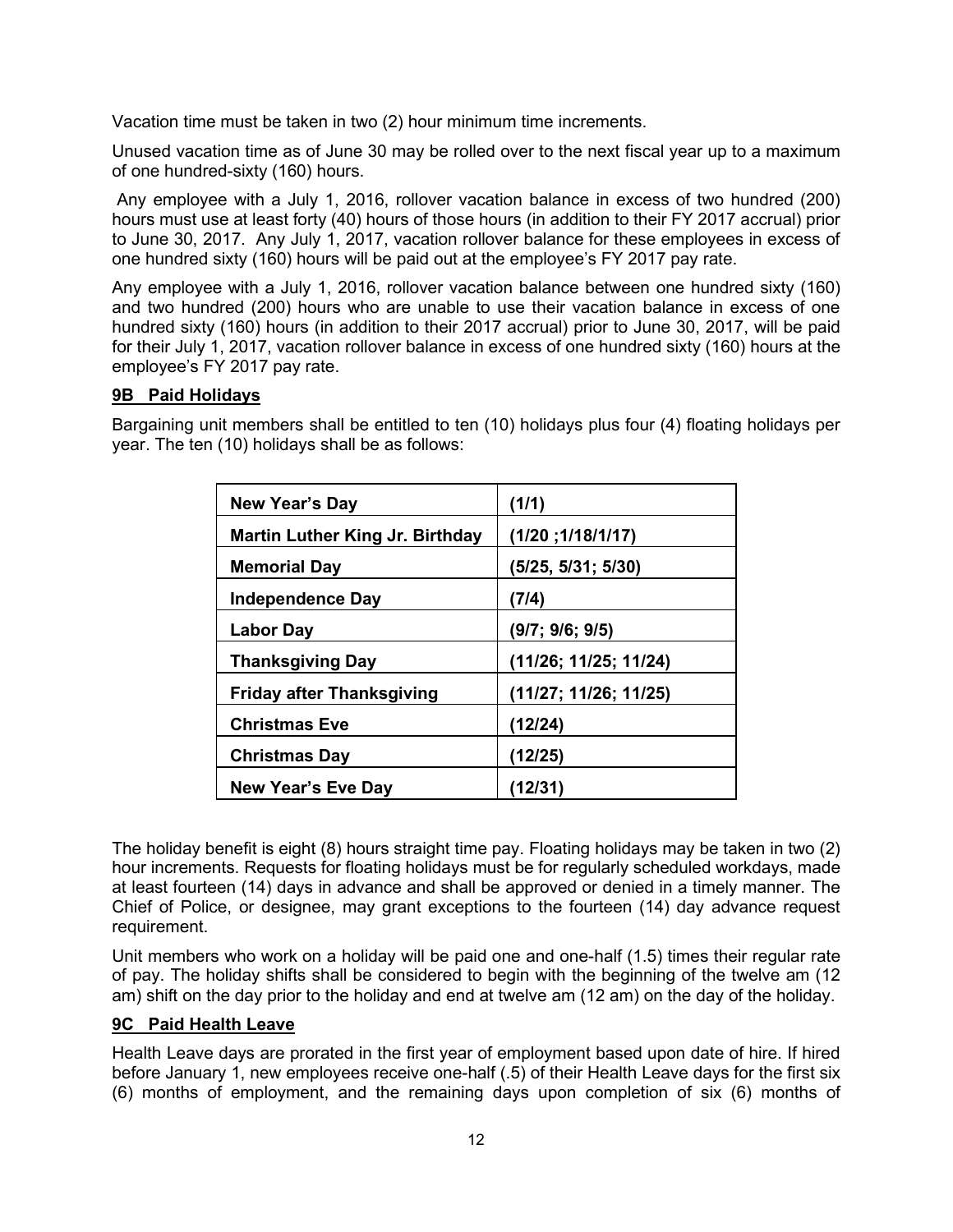Vacation time must be taken in two (2) hour minimum time increments.

Unused vacation time as of June 30 may be rolled over to the next fiscal year up to a maximum of one hundred-sixty (160) hours.

Any employee with a July 1, 2016, rollover vacation balance in excess of two hundred (200) hours must use at least forty (40) hours of those hours (in addition to their FY 2017 accrual) prior to June 30, 2017. Any July 1, 2017, vacation rollover balance for these employees in excess of one hundred sixty (160) hours will be paid out at the employee's FY 2017 pay rate.

Any employee with a July 1, 2016, rollover vacation balance between one hundred sixty (160) and two hundred (200) hours who are unable to use their vacation balance in excess of one hundred sixty (160) hours (in addition to their 2017 accrual) prior to June 30, 2017, will be paid for their July 1, 2017, vacation rollover balance in excess of one hundred sixty (160) hours at the employee's FY 2017 pay rate.

#### **9B Paid Holidays**

Bargaining unit members shall be entitled to ten (10) holidays plus four (4) floating holidays per year. The ten (10) holidays shall be as follows:

| <b>New Year's Day</b>                  | (1/1)                 |
|----------------------------------------|-----------------------|
| <b>Martin Luther King Jr. Birthday</b> | (1/20; 1/18/1/17)     |
| <b>Memorial Day</b>                    | (5/25, 5/31; 5/30)    |
| <b>Independence Day</b>                | (7/4)                 |
| <b>Labor Day</b>                       | (9/7; 9/6; 9/5)       |
| <b>Thanksgiving Day</b>                | (11/26; 11/25; 11/24) |
| <b>Friday after Thanksgiving</b>       | (11/27; 11/26; 11/25) |
| <b>Christmas Eve</b>                   | (12/24)               |
| <b>Christmas Day</b>                   | (12/25)               |
| New Year's Eve Day                     | (12/31)               |

The holiday benefit is eight (8) hours straight time pay. Floating holidays may be taken in two (2) hour increments. Requests for floating holidays must be for regularly scheduled workdays, made at least fourteen (14) days in advance and shall be approved or denied in a timely manner. The Chief of Police, or designee, may grant exceptions to the fourteen (14) day advance request requirement.

Unit members who work on a holiday will be paid one and one-half (1.5) times their regular rate of pay. The holiday shifts shall be considered to begin with the beginning of the twelve am (12 am) shift on the day prior to the holiday and end at twelve am (12 am) on the day of the holiday.

#### **9C Paid Health Leave**

Health Leave days are prorated in the first year of employment based upon date of hire. If hired before January 1, new employees receive one-half (.5) of their Health Leave days for the first six (6) months of employment, and the remaining days upon completion of six (6) months of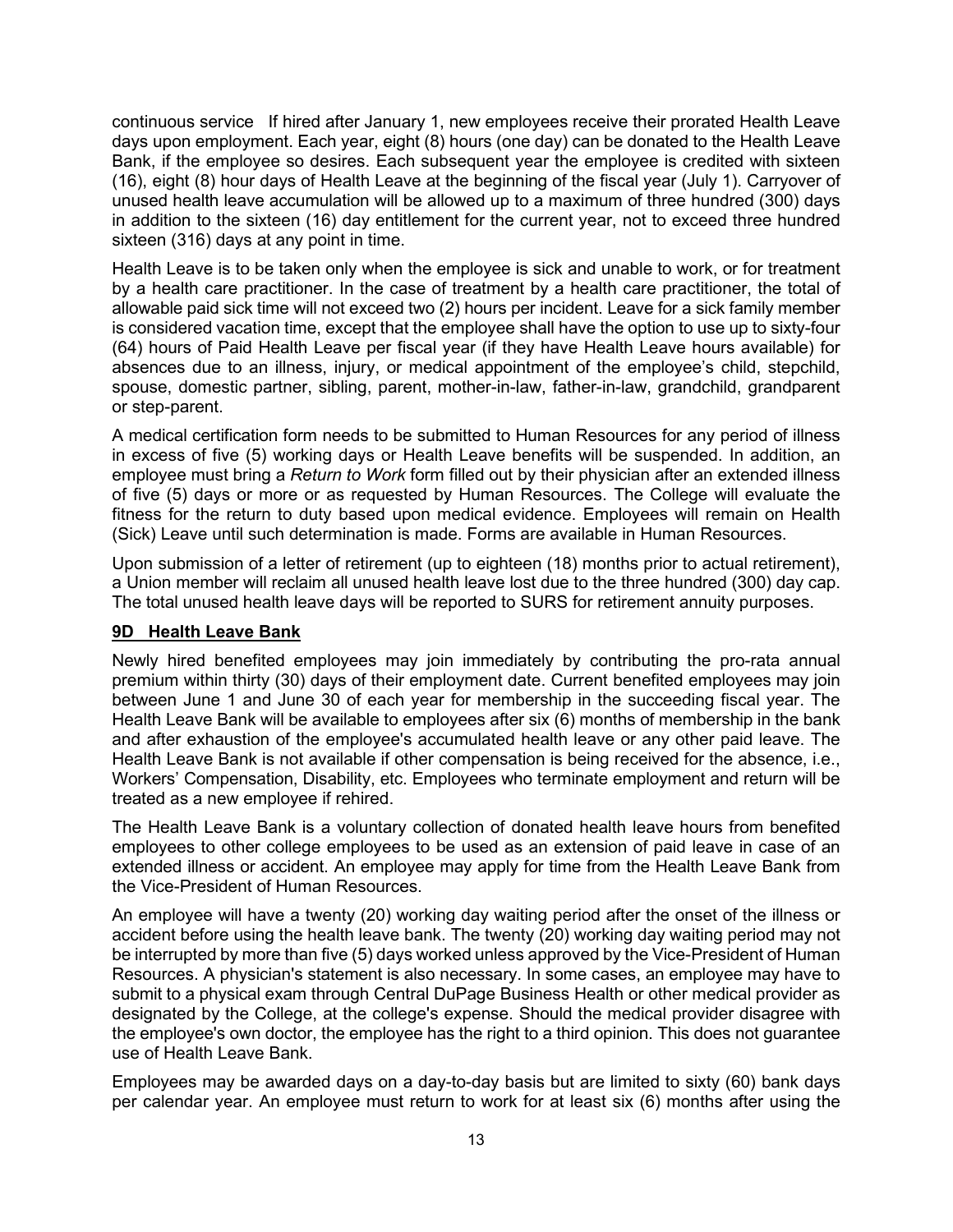continuous service If hired after January 1, new employees receive their prorated Health Leave days upon employment. Each year, eight (8) hours (one day) can be donated to the Health Leave Bank, if the employee so desires. Each subsequent year the employee is credited with sixteen (16), eight (8) hour days of Health Leave at the beginning of the fiscal year (July 1). Carryover of unused health leave accumulation will be allowed up to a maximum of three hundred (300) days in addition to the sixteen (16) day entitlement for the current year, not to exceed three hundred sixteen (316) days at any point in time.

Health Leave is to be taken only when the employee is sick and unable to work, or for treatment by a health care practitioner. In the case of treatment by a health care practitioner, the total of allowable paid sick time will not exceed two (2) hours per incident. Leave for a sick family member is considered vacation time, except that the employee shall have the option to use up to sixty-four (64) hours of Paid Health Leave per fiscal year (if they have Health Leave hours available) for absences due to an illness, injury, or medical appointment of the employee's child, stepchild, spouse, domestic partner, sibling, parent, mother-in-law, father-in-law, grandchild, grandparent or step-parent.

A medical certification form needs to be submitted to Human Resources for any period of illness in excess of five (5) working days or Health Leave benefits will be suspended. In addition, an employee must bring a *Return to Work* form filled out by their physician after an extended illness of five (5) days or more or as requested by Human Resources. The College will evaluate the fitness for the return to duty based upon medical evidence. Employees will remain on Health (Sick) Leave until such determination is made. Forms are available in Human Resources.

Upon submission of a letter of retirement (up to eighteen (18) months prior to actual retirement), a Union member will reclaim all unused health leave lost due to the three hundred (300) day cap. The total unused health leave days will be reported to SURS for retirement annuity purposes.

## **9D Health Leave Bank**

Newly hired benefited employees may join immediately by contributing the pro-rata annual premium within thirty (30) days of their employment date. Current benefited employees may join between June 1 and June 30 of each year for membership in the succeeding fiscal year. The Health Leave Bank will be available to employees after six (6) months of membership in the bank and after exhaustion of the employee's accumulated health leave or any other paid leave. The Health Leave Bank is not available if other compensation is being received for the absence, i.e., Workers' Compensation, Disability, etc. Employees who terminate employment and return will be treated as a new employee if rehired.

The Health Leave Bank is a voluntary collection of donated health leave hours from benefited employees to other college employees to be used as an extension of paid leave in case of an extended illness or accident. An employee may apply for time from the Health Leave Bank from the Vice-President of Human Resources.

An employee will have a twenty (20) working day waiting period after the onset of the illness or accident before using the health leave bank. The twenty (20) working day waiting period may not be interrupted by more than five (5) days worked unless approved by the Vice-President of Human Resources. A physician's statement is also necessary. In some cases, an employee may have to submit to a physical exam through Central DuPage Business Health or other medical provider as designated by the College, at the college's expense. Should the medical provider disagree with the employee's own doctor, the employee has the right to a third opinion. This does not guarantee use of Health Leave Bank.

Employees may be awarded days on a day-to-day basis but are limited to sixty (60) bank days per calendar year. An employee must return to work for at least six (6) months after using the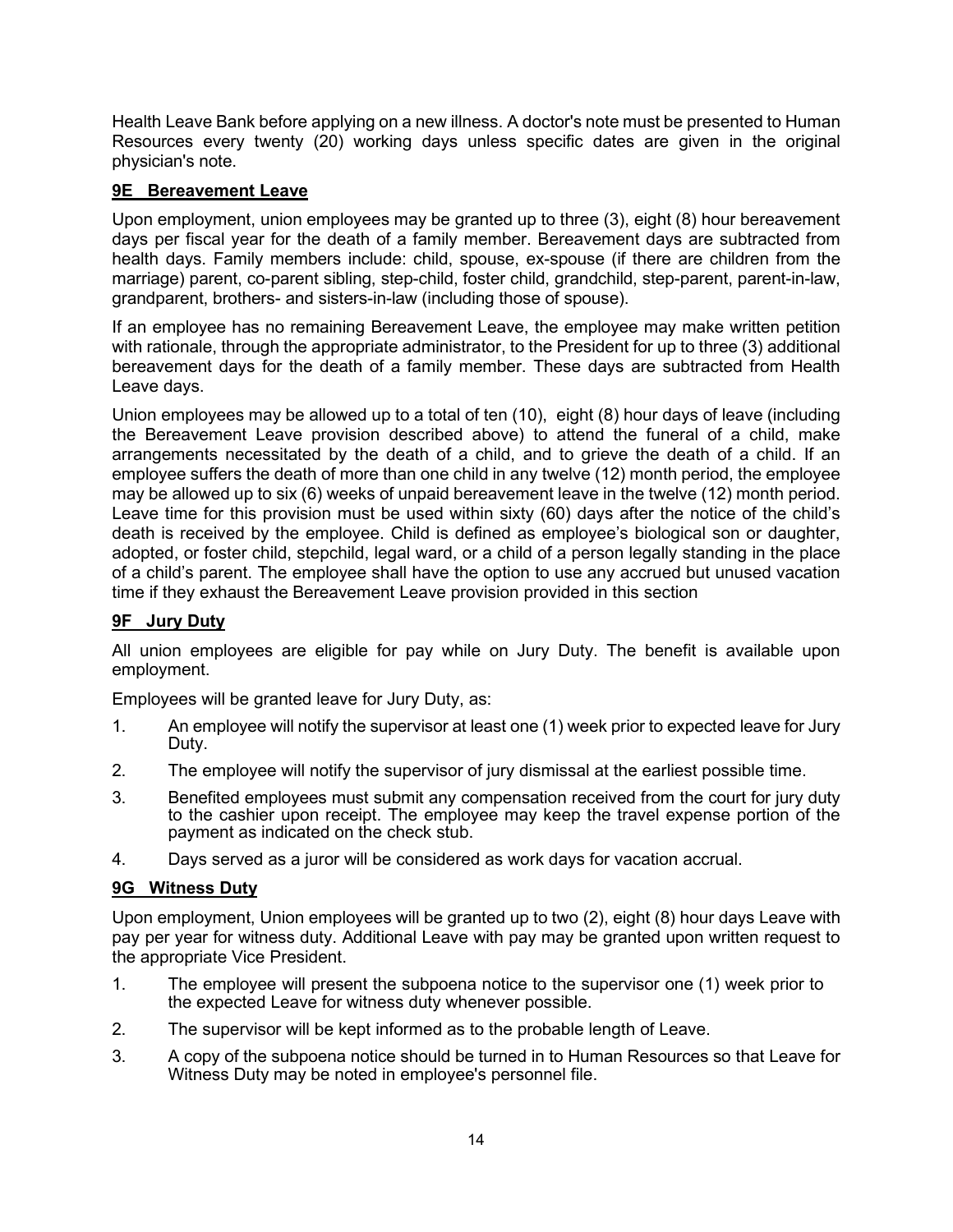Health Leave Bank before applying on a new illness. A doctor's note must be presented to Human Resources every twenty (20) working days unless specific dates are given in the original physician's note.

## **9E Bereavement Leave**

Upon employment, union employees may be granted up to three (3), eight (8) hour bereavement days per fiscal year for the death of a family member. Bereavement days are subtracted from health days. Family members include: child, spouse, ex-spouse (if there are children from the marriage) parent, co-parent sibling, step-child, foster child, grandchild, step-parent, parent-in-law, grandparent, brothers- and sisters-in-law (including those of spouse).

If an employee has no remaining Bereavement Leave, the employee may make written petition with rationale, through the appropriate administrator, to the President for up to three (3) additional bereavement days for the death of a family member. These days are subtracted from Health Leave days.

Union employees may be allowed up to a total of ten (10), eight (8) hour days of leave (including the Bereavement Leave provision described above) to attend the funeral of a child, make arrangements necessitated by the death of a child, and to grieve the death of a child. If an employee suffers the death of more than one child in any twelve (12) month period, the employee may be allowed up to six (6) weeks of unpaid bereavement leave in the twelve (12) month period. Leave time for this provision must be used within sixty (60) days after the notice of the child's death is received by the employee. Child is defined as employee's biological son or daughter, adopted, or foster child, stepchild, legal ward, or a child of a person legally standing in the place of a child's parent. The employee shall have the option to use any accrued but unused vacation time if they exhaust the Bereavement Leave provision provided in this section

## **9F Jury Duty**

All union employees are eligible for pay while on Jury Duty. The benefit is available upon employment.

Employees will be granted leave for Jury Duty, as:

- 1. An employee will notify the supervisor at least one (1) week prior to expected leave for Jury Duty.
- 2. The employee will notify the supervisor of jury dismissal at the earliest possible time.
- 3. Benefited employees must submit any compensation received from the court for jury duty to the cashier upon receipt. The employee may keep the travel expense portion of the payment as indicated on the check stub.
- 4. Days served as a juror will be considered as work days for vacation accrual.

#### **9G Witness Duty**

Upon employment, Union employees will be granted up to two (2), eight (8) hour days Leave with pay per year for witness duty. Additional Leave with pay may be granted upon written request to the appropriate Vice President.

- 1. The employee will present the subpoena notice to the supervisor one (1) week prior to the expected Leave for witness duty whenever possible.
- 2. The supervisor will be kept informed as to the probable length of Leave.
- 3. A copy of the subpoena notice should be turned in to Human Resources so that Leave for Witness Duty may be noted in employee's personnel file.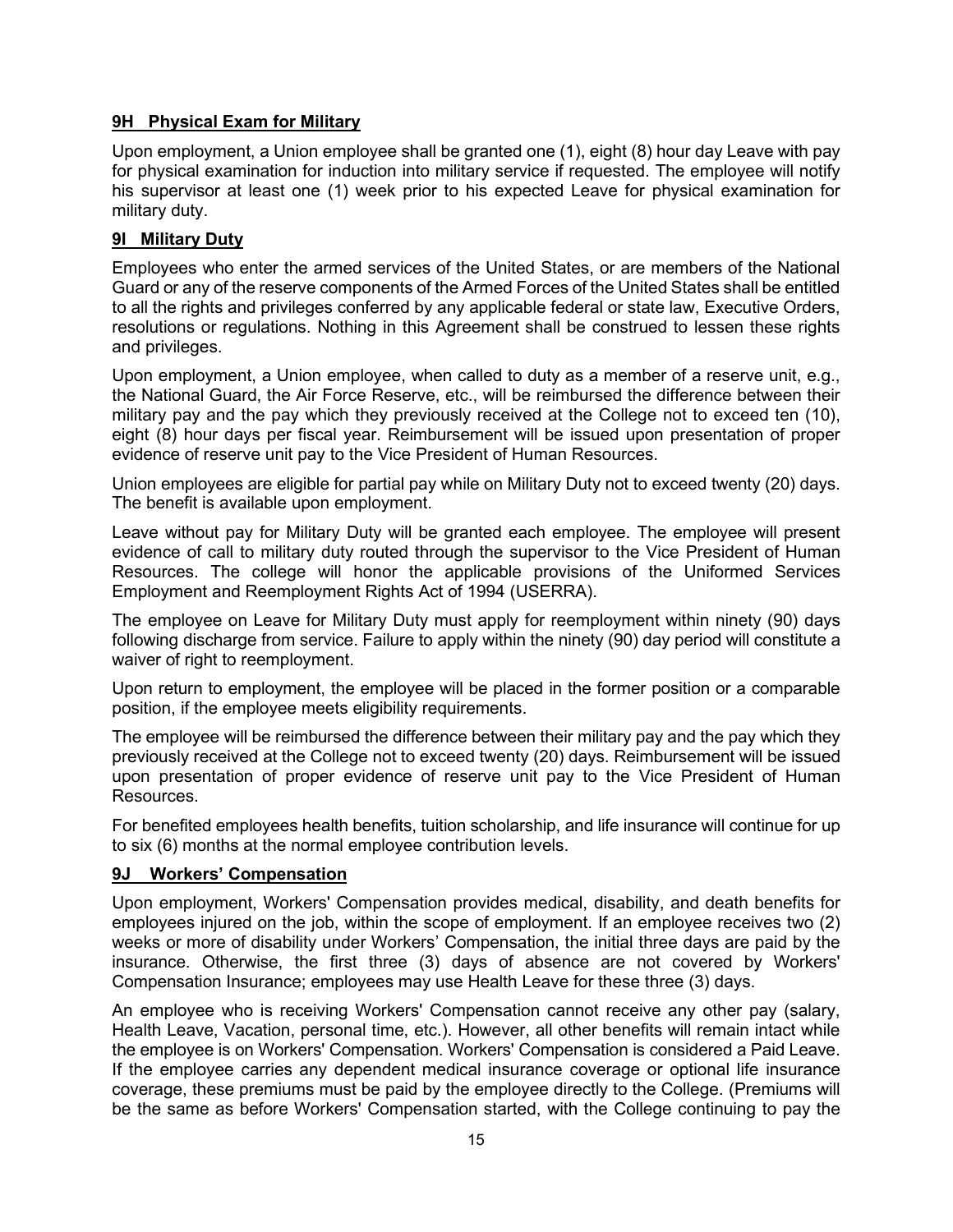#### **9H Physical Exam for Military**

Upon employment, a Union employee shall be granted one (1), eight (8) hour day Leave with pay for physical examination for induction into military service if requested. The employee will notify his supervisor at least one (1) week prior to his expected Leave for physical examination for military duty.

### **9I Military Duty**

Employees who enter the armed services of the United States, or are members of the National Guard or any of the reserve components of the Armed Forces of the United States shall be entitled to all the rights and privileges conferred by any applicable federal or state law, Executive Orders, resolutions or regulations. Nothing in this Agreement shall be construed to lessen these rights and privileges.

Upon employment, a Union employee, when called to duty as a member of a reserve unit, e.g., the National Guard, the Air Force Reserve, etc., will be reimbursed the difference between their military pay and the pay which they previously received at the College not to exceed ten (10), eight (8) hour days per fiscal year. Reimbursement will be issued upon presentation of proper evidence of reserve unit pay to the Vice President of Human Resources.

Union employees are eligible for partial pay while on Military Duty not to exceed twenty (20) days. The benefit is available upon employment.

Leave without pay for Military Duty will be granted each employee. The employee will present evidence of call to military duty routed through the supervisor to the Vice President of Human Resources. The college will honor the applicable provisions of the Uniformed Services Employment and Reemployment Rights Act of 1994 (USERRA).

The employee on Leave for Military Duty must apply for reemployment within ninety (90) days following discharge from service. Failure to apply within the ninety (90) day period will constitute a waiver of right to reemployment.

Upon return to employment, the employee will be placed in the former position or a comparable position, if the employee meets eligibility requirements.

The employee will be reimbursed the difference between their military pay and the pay which they previously received at the College not to exceed twenty (20) days. Reimbursement will be issued upon presentation of proper evidence of reserve unit pay to the Vice President of Human Resources.

For benefited employees health benefits, tuition scholarship, and life insurance will continue for up to six (6) months at the normal employee contribution levels.

#### **9J Workers' Compensation**

Upon employment, Workers' Compensation provides medical, disability, and death benefits for employees injured on the job, within the scope of employment. If an employee receives two (2) weeks or more of disability under Workers' Compensation, the initial three days are paid by the insurance. Otherwise, the first three (3) days of absence are not covered by Workers' Compensation Insurance; employees may use Health Leave for these three (3) days.

An employee who is receiving Workers' Compensation cannot receive any other pay (salary, Health Leave, Vacation, personal time, etc.). However, all other benefits will remain intact while the employee is on Workers' Compensation. Workers' Compensation is considered a Paid Leave. If the employee carries any dependent medical insurance coverage or optional life insurance coverage, these premiums must be paid by the employee directly to the College. (Premiums will be the same as before Workers' Compensation started, with the College continuing to pay the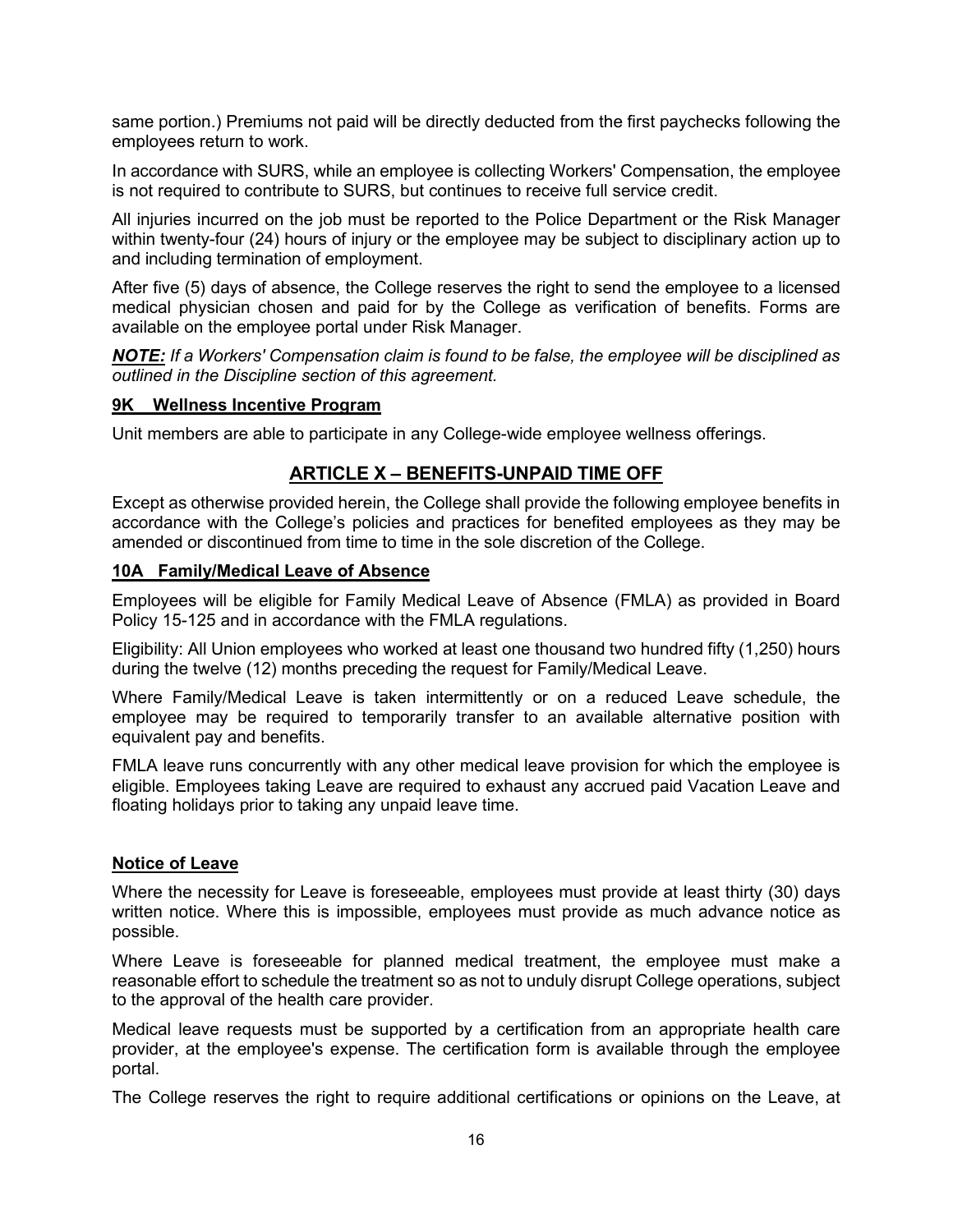same portion.) Premiums not paid will be directly deducted from the first paychecks following the employees return to work.

In accordance with SURS, while an employee is collecting Workers' Compensation, the employee is not required to contribute to SURS, but continues to receive full service credit.

All injuries incurred on the job must be reported to the Police Department or the Risk Manager within twenty-four (24) hours of injury or the employee may be subject to disciplinary action up to and including termination of employment.

After five (5) days of absence, the College reserves the right to send the employee to a licensed medical physician chosen and paid for by the College as verification of benefits. Forms are available on the employee portal under Risk Manager.

*NOTE: If a Workers' Compensation claim is found to be false, the employee will be disciplined as outlined in the Discipline section of this agreement.*

#### **9K Wellness Incentive Program**

Unit members are able to participate in any College-wide employee wellness offerings.

## **ARTICLE X – BENEFITS-UNPAID TIME OFF**

Except as otherwise provided herein, the College shall provide the following employee benefits in accordance with the College's policies and practices for benefited employees as they may be amended or discontinued from time to time in the sole discretion of the College.

#### **10A Family/Medical Leave of Absence**

Employees will be eligible for Family Medical Leave of Absence (FMLA) as provided in Board Policy 15-125 and in accordance with the FMLA regulations.

Eligibility: All Union employees who worked at least one thousand two hundred fifty (1,250) hours during the twelve (12) months preceding the request for Family/Medical Leave.

Where Family/Medical Leave is taken intermittently or on a reduced Leave schedule, the employee may be required to temporarily transfer to an available alternative position with equivalent pay and benefits.

FMLA leave runs concurrently with any other medical leave provision for which the employee is eligible. Employees taking Leave are required to exhaust any accrued paid Vacation Leave and floating holidays prior to taking any unpaid leave time.

#### **Notice of Leave**

Where the necessity for Leave is foreseeable, employees must provide at least thirty (30) days written notice. Where this is impossible, employees must provide as much advance notice as possible.

Where Leave is foreseeable for planned medical treatment, the employee must make a reasonable effort to schedule the treatment so as not to unduly disrupt College operations, subject to the approval of the health care provider.

Medical leave requests must be supported by a certification from an appropriate health care provider, at the employee's expense. The certification form is available through the employee portal.

The College reserves the right to require additional certifications or opinions on the Leave, at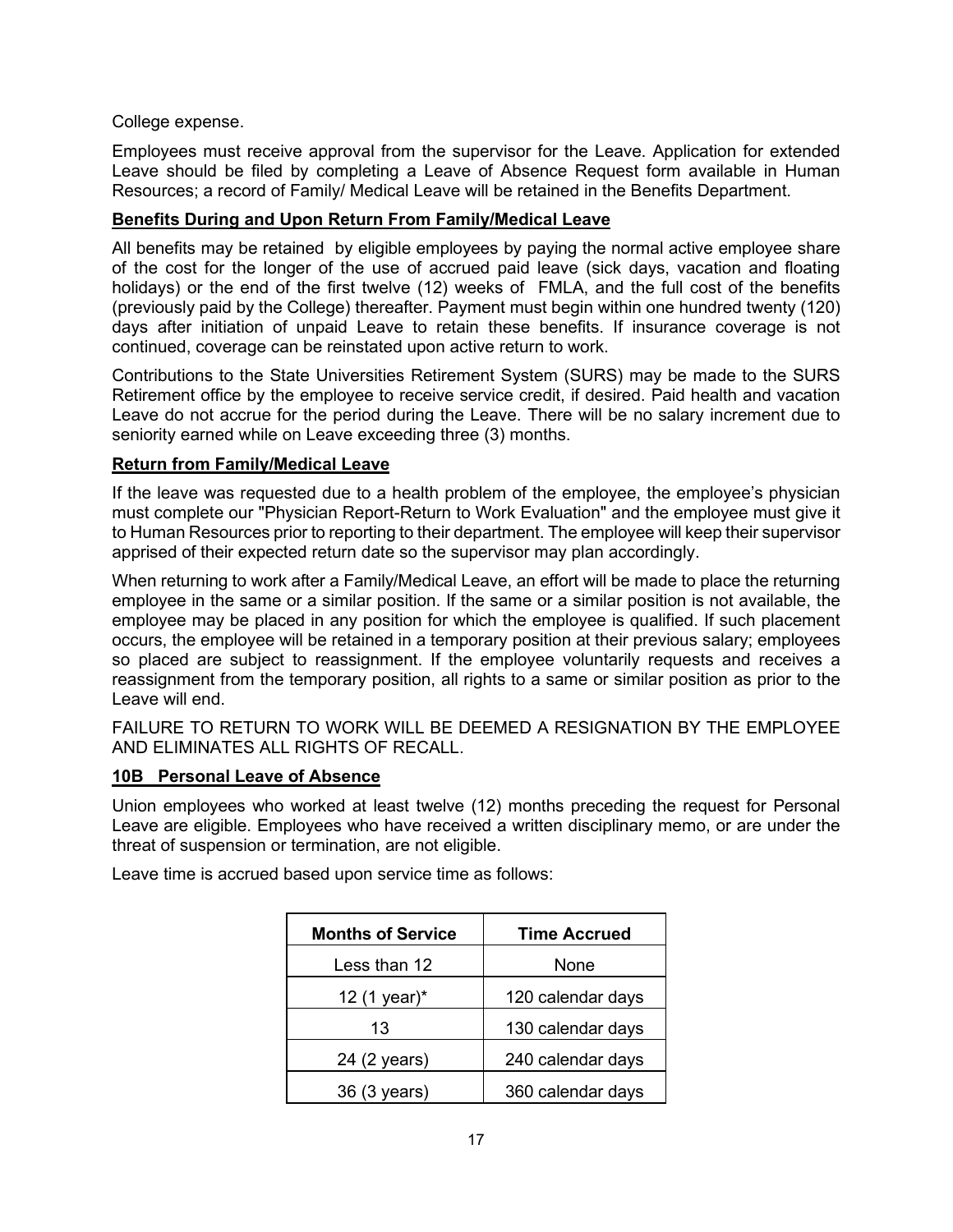#### College expense.

Employees must receive approval from the supervisor for the Leave. Application for extended Leave should be filed by completing a Leave of Absence Request form available in Human Resources; a record of Family/ Medical Leave will be retained in the Benefits Department.

#### **Benefits During and Upon Return From Family/Medical Leave**

All benefits may be retained by eligible employees by paying the normal active employee share of the cost for the longer of the use of accrued paid leave (sick days, vacation and floating holidays) or the end of the first twelve (12) weeks of FMLA, and the full cost of the benefits (previously paid by the College) thereafter. Payment must begin within one hundred twenty (120) days after initiation of unpaid Leave to retain these benefits. If insurance coverage is not continued, coverage can be reinstated upon active return to work.

Contributions to the State Universities Retirement System (SURS) may be made to the SURS Retirement office by the employee to receive service credit, if desired. Paid health and vacation Leave do not accrue for the period during the Leave. There will be no salary increment due to seniority earned while on Leave exceeding three (3) months.

#### **Return from Family/Medical Leave**

If the leave was requested due to a health problem of the employee, the employee's physician must complete our "Physician Report-Return to Work Evaluation" and the employee must give it to Human Resources prior to reporting to their department. The employee will keep their supervisor apprised of their expected return date so the supervisor may plan accordingly.

When returning to work after a Family/Medical Leave, an effort will be made to place the returning employee in the same or a similar position. If the same or a similar position is not available, the employee may be placed in any position for which the employee is qualified. If such placement occurs, the employee will be retained in a temporary position at their previous salary; employees so placed are subject to reassignment. If the employee voluntarily requests and receives a reassignment from the temporary position, all rights to a same or similar position as prior to the Leave will end.

FAILURE TO RETURN TO WORK WILL BE DEEMED A RESIGNATION BY THE EMPLOYEE AND ELIMINATES ALL RIGHTS OF RECALL.

#### **10B Personal Leave of Absence**

Union employees who worked at least twelve (12) months preceding the request for Personal Leave are eligible. Employees who have received a written disciplinary memo, or are under the threat of suspension or termination, are not eligible.

Leave time is accrued based upon service time as follows:

| <b>Months of Service</b> | <b>Time Accrued</b> |  |
|--------------------------|---------------------|--|
| Less than 12             | None                |  |
| 12 (1 year)*             | 120 calendar days   |  |
| 13                       | 130 calendar days   |  |
| 24 (2 years)             | 240 calendar days   |  |
| 36 (3 years)             | 360 calendar days   |  |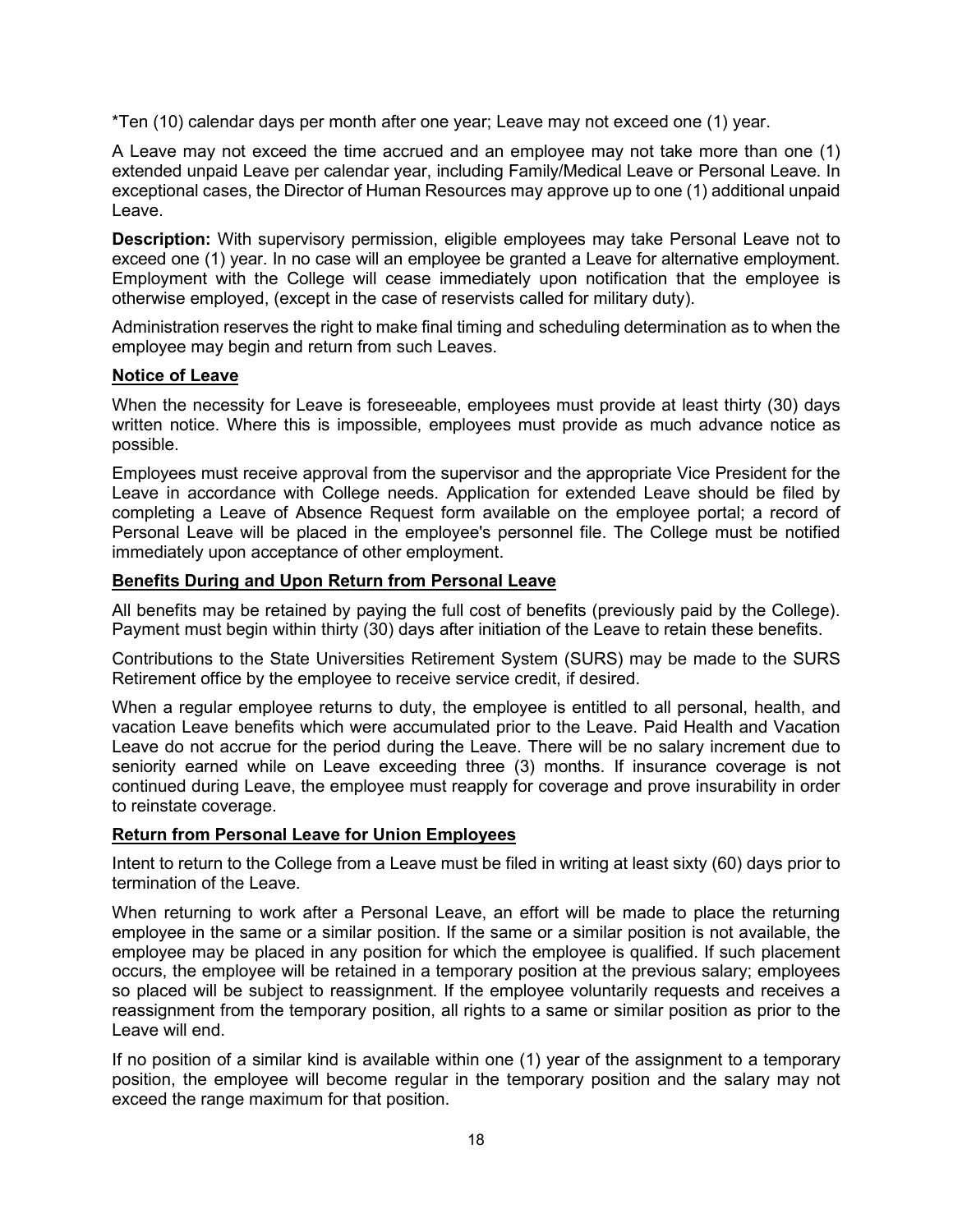\*Ten (10) calendar days per month after one year; Leave may not exceed one (1) year.

A Leave may not exceed the time accrued and an employee may not take more than one (1) extended unpaid Leave per calendar year, including Family/Medical Leave or Personal Leave. In exceptional cases, the Director of Human Resources may approve up to one (1) additional unpaid Leave.

**Description:** With supervisory permission, eligible employees may take Personal Leave not to exceed one (1) year. In no case will an employee be granted a Leave for alternative employment. Employment with the College will cease immediately upon notification that the employee is otherwise employed, (except in the case of reservists called for military duty).

Administration reserves the right to make final timing and scheduling determination as to when the employee may begin and return from such Leaves.

#### **Notice of Leave**

When the necessity for Leave is foreseeable, employees must provide at least thirty (30) days written notice. Where this is impossible, employees must provide as much advance notice as possible.

Employees must receive approval from the supervisor and the appropriate Vice President for the Leave in accordance with College needs. Application for extended Leave should be filed by completing a Leave of Absence Request form available on the employee portal; a record of Personal Leave will be placed in the employee's personnel file. The College must be notified immediately upon acceptance of other employment.

#### **Benefits During and Upon Return from Personal Leave**

All benefits may be retained by paying the full cost of benefits (previously paid by the College). Payment must begin within thirty (30) days after initiation of the Leave to retain these benefits.

Contributions to the State Universities Retirement System (SURS) may be made to the SURS Retirement office by the employee to receive service credit, if desired.

When a regular employee returns to duty, the employee is entitled to all personal, health, and vacation Leave benefits which were accumulated prior to the Leave. Paid Health and Vacation Leave do not accrue for the period during the Leave. There will be no salary increment due to seniority earned while on Leave exceeding three (3) months. If insurance coverage is not continued during Leave, the employee must reapply for coverage and prove insurability in order to reinstate coverage.

#### **Return from Personal Leave for Union Employees**

Intent to return to the College from a Leave must be filed in writing at least sixty (60) days prior to termination of the Leave.

When returning to work after a Personal Leave, an effort will be made to place the returning employee in the same or a similar position. If the same or a similar position is not available, the employee may be placed in any position for which the employee is qualified. If such placement occurs, the employee will be retained in a temporary position at the previous salary; employees so placed will be subject to reassignment. If the employee voluntarily requests and receives a reassignment from the temporary position, all rights to a same or similar position as prior to the Leave will end.

If no position of a similar kind is available within one (1) year of the assignment to a temporary position, the employee will become regular in the temporary position and the salary may not exceed the range maximum for that position.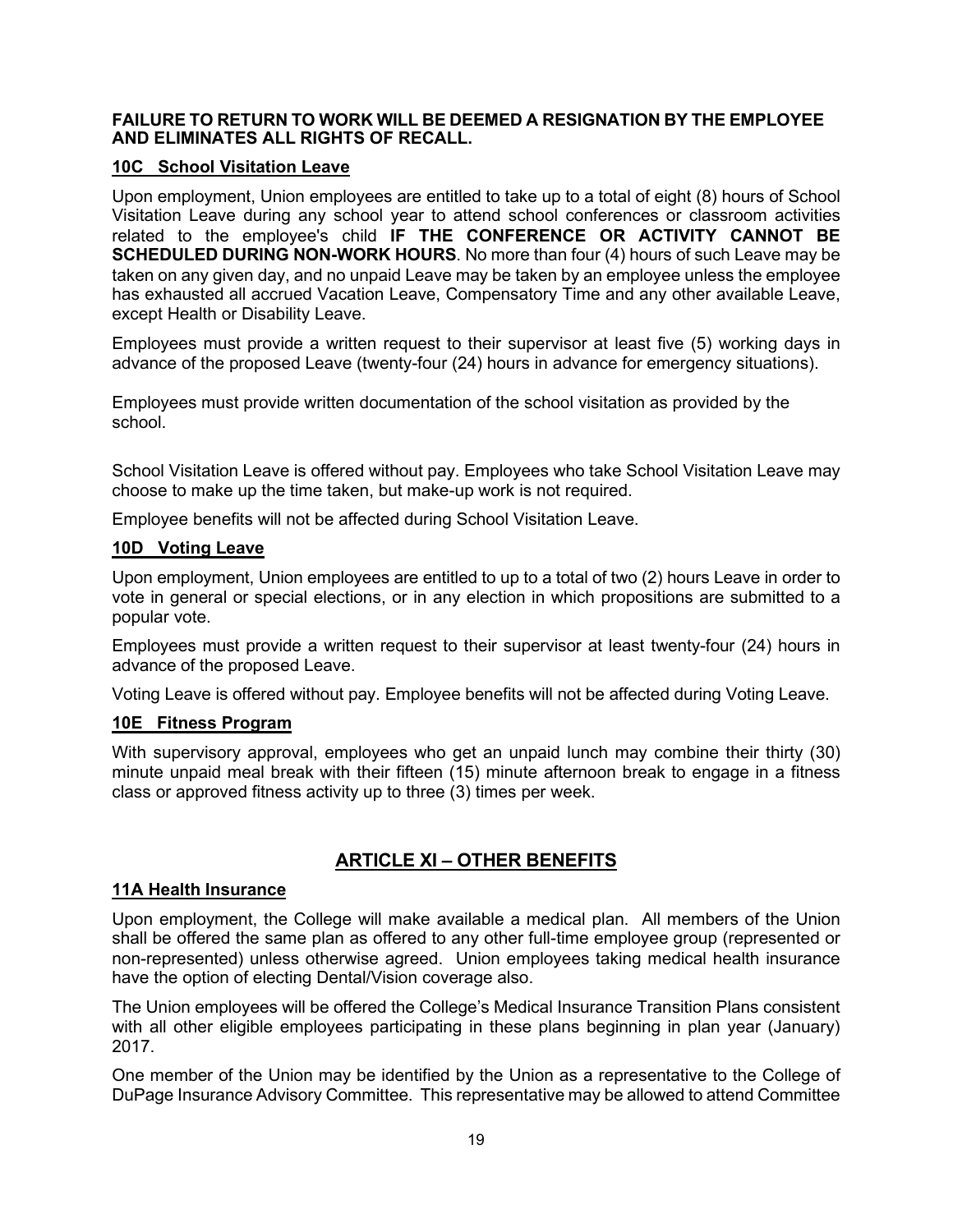#### **FAILURE TO RETURN TO WORK WILL BE DEEMED A RESIGNATION BY THE EMPLOYEE AND ELIMINATES ALL RIGHTS OF RECALL.**

#### **10C School Visitation Leave**

Upon employment, Union employees are entitled to take up to a total of eight (8) hours of School Visitation Leave during any school year to attend school conferences or classroom activities related to the employee's child **IF THE CONFERENCE OR ACTIVITY CANNOT BE SCHEDULED DURING NON-WORK HOURS**. No more than four (4) hours of such Leave may be taken on any given day, and no unpaid Leave may be taken by an employee unless the employee has exhausted all accrued Vacation Leave, Compensatory Time and any other available Leave, except Health or Disability Leave.

Employees must provide a written request to their supervisor at least five (5) working days in advance of the proposed Leave (twenty-four (24) hours in advance for emergency situations).

Employees must provide written documentation of the school visitation as provided by the school.

School Visitation Leave is offered without pay. Employees who take School Visitation Leave may choose to make up the time taken, but make-up work is not required.

Employee benefits will not be affected during School Visitation Leave.

#### **10D Voting Leave**

Upon employment, Union employees are entitled to up to a total of two (2) hours Leave in order to vote in general or special elections, or in any election in which propositions are submitted to a popular vote.

Employees must provide a written request to their supervisor at least twenty-four (24) hours in advance of the proposed Leave.

Voting Leave is offered without pay. Employee benefits will not be affected during Voting Leave.

#### **10E Fitness Program**

With supervisory approval, employees who get an unpaid lunch may combine their thirty (30) minute unpaid meal break with their fifteen (15) minute afternoon break to engage in a fitness class or approved fitness activity up to three (3) times per week.

## **ARTICLE XI – OTHER BENEFITS**

#### **11A Health Insurance**

Upon employment, the College will make available a medical plan. All members of the Union shall be offered the same plan as offered to any other full-time employee group (represented or non-represented) unless otherwise agreed. Union employees taking medical health insurance have the option of electing Dental/Vision coverage also.

The Union employees will be offered the College's Medical Insurance Transition Plans consistent with all other eligible employees participating in these plans beginning in plan year (January) 2017.

One member of the Union may be identified by the Union as a representative to the College of DuPage Insurance Advisory Committee. This representative may be allowed to attend Committee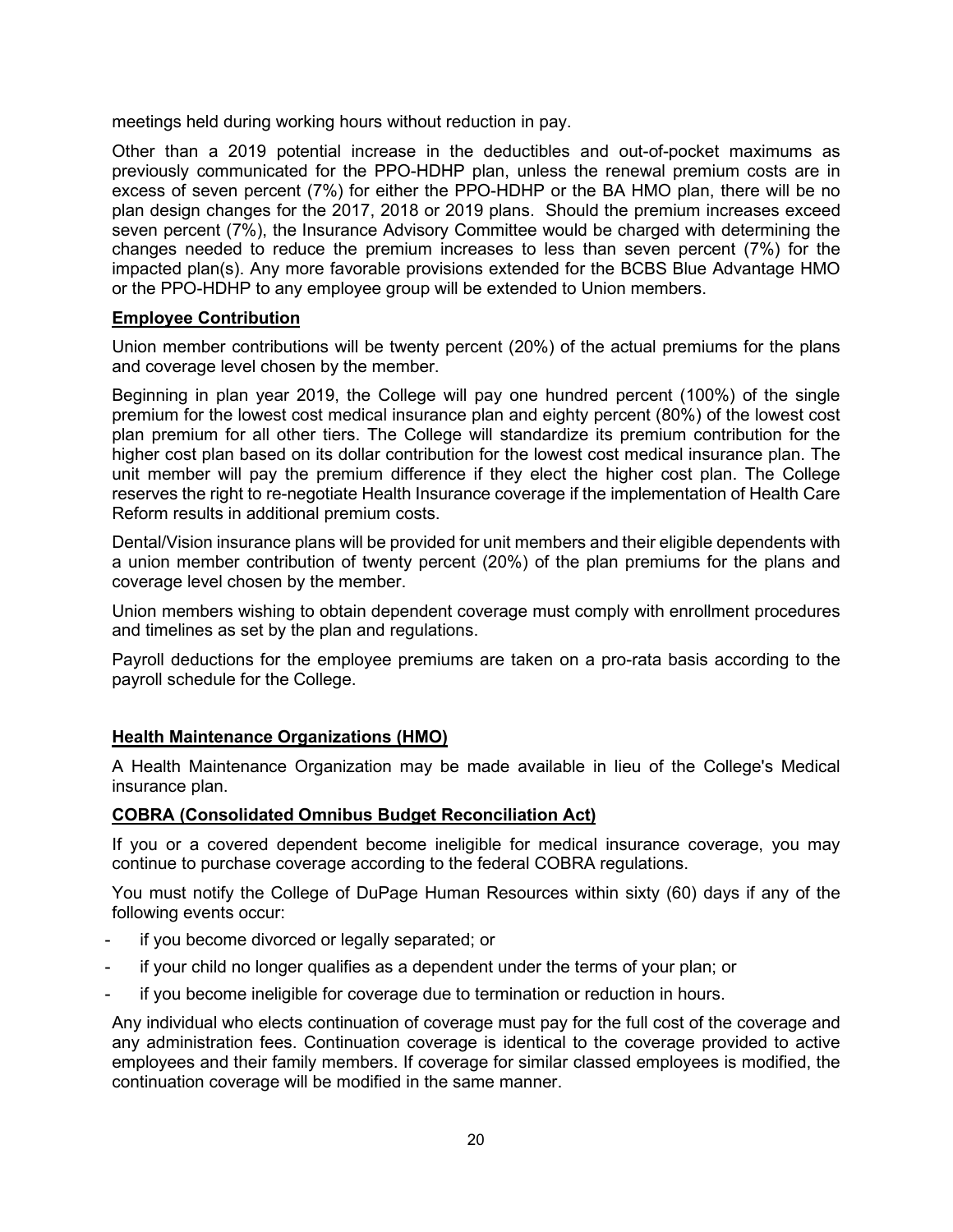meetings held during working hours without reduction in pay.

Other than a 2019 potential increase in the deductibles and out-of-pocket maximums as previously communicated for the PPO-HDHP plan, unless the renewal premium costs are in excess of seven percent (7%) for either the PPO-HDHP or the BA HMO plan, there will be no plan design changes for the 2017, 2018 or 2019 plans. Should the premium increases exceed seven percent (7%), the Insurance Advisory Committee would be charged with determining the changes needed to reduce the premium increases to less than seven percent (7%) for the impacted plan(s). Any more favorable provisions extended for the BCBS Blue Advantage HMO or the PPO-HDHP to any employee group will be extended to Union members.

## **Employee Contribution**

Union member contributions will be twenty percent (20%) of the actual premiums for the plans and coverage level chosen by the member.

Beginning in plan year 2019, the College will pay one hundred percent (100%) of the single premium for the lowest cost medical insurance plan and eighty percent (80%) of the lowest cost plan premium for all other tiers. The College will standardize its premium contribution for the higher cost plan based on its dollar contribution for the lowest cost medical insurance plan. The unit member will pay the premium difference if they elect the higher cost plan. The College reserves the right to re-negotiate Health Insurance coverage if the implementation of Health Care Reform results in additional premium costs.

Dental/Vision insurance plans will be provided for unit members and their eligible dependents with a union member contribution of twenty percent (20%) of the plan premiums for the plans and coverage level chosen by the member.

Union members wishing to obtain dependent coverage must comply with enrollment procedures and timelines as set by the plan and regulations.

Payroll deductions for the employee premiums are taken on a pro-rata basis according to the payroll schedule for the College.

## **Health Maintenance Organizations (HMO)**

A Health Maintenance Organization may be made available in lieu of the College's Medical insurance plan.

#### **COBRA (Consolidated Omnibus Budget Reconciliation Act)**

If you or a covered dependent become ineligible for medical insurance coverage, you may continue to purchase coverage according to the federal COBRA regulations.

You must notify the College of DuPage Human Resources within sixty (60) days if any of the following events occur:

- if you become divorced or legally separated; or
- if your child no longer qualifies as a dependent under the terms of your plan; or
- if you become ineligible for coverage due to termination or reduction in hours.

Any individual who elects continuation of coverage must pay for the full cost of the coverage and any administration fees. Continuation coverage is identical to the coverage provided to active employees and their family members. If coverage for similar classed employees is modified, the continuation coverage will be modified in the same manner.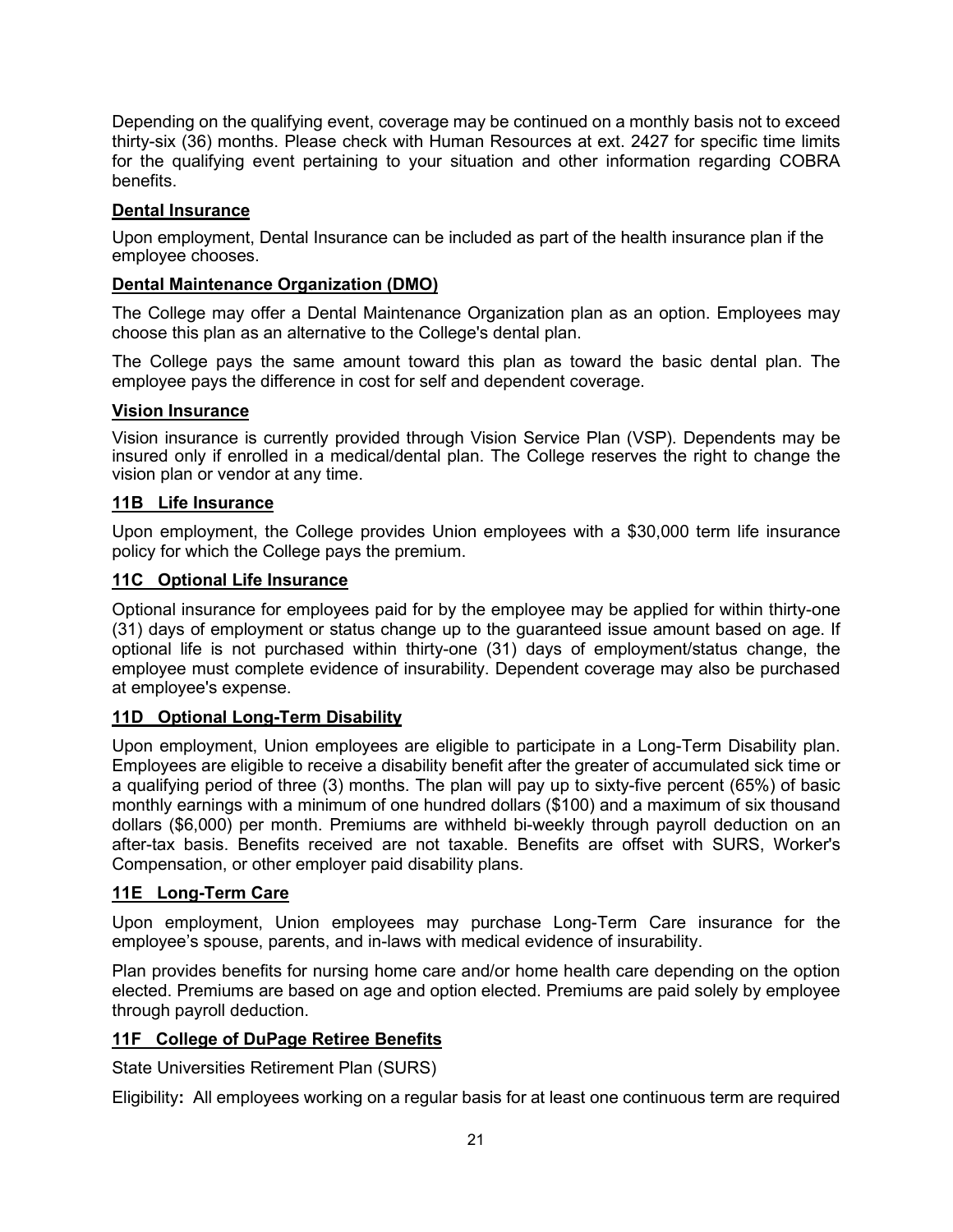Depending on the qualifying event, coverage may be continued on a monthly basis not to exceed thirty-six (36) months. Please check with Human Resources at ext. 2427 for specific time limits for the qualifying event pertaining to your situation and other information regarding COBRA benefits.

## **Dental Insurance**

Upon employment, Dental Insurance can be included as part of the health insurance plan if the employee chooses.

#### **Dental Maintenance Organization (DMO)**

The College may offer a Dental Maintenance Organization plan as an option. Employees may choose this plan as an alternative to the College's dental plan.

The College pays the same amount toward this plan as toward the basic dental plan. The employee pays the difference in cost for self and dependent coverage.

#### **Vision Insurance**

Vision insurance is currently provided through Vision Service Plan (VSP). Dependents may be insured only if enrolled in a medical/dental plan. The College reserves the right to change the vision plan or vendor at any time.

#### **11B Life Insurance**

Upon employment, the College provides Union employees with a \$30,000 term life insurance policy for which the College pays the premium.

#### **11C Optional Life Insurance**

Optional insurance for employees paid for by the employee may be applied for within thirty-one (31) days of employment or status change up to the guaranteed issue amount based on age. If optional life is not purchased within thirty-one (31) days of employment/status change, the employee must complete evidence of insurability. Dependent coverage may also be purchased at employee's expense.

#### **11D Optional Long-Term Disability**

Upon employment, Union employees are eligible to participate in a Long-Term Disability plan. Employees are eligible to receive a disability benefit after the greater of accumulated sick time or a qualifying period of three (3) months. The plan will pay up to sixty-five percent (65%) of basic monthly earnings with a minimum of one hundred dollars (\$100) and a maximum of six thousand dollars (\$6,000) per month. Premiums are withheld bi-weekly through payroll deduction on an after-tax basis. Benefits received are not taxable. Benefits are offset with SURS, Worker's Compensation, or other employer paid disability plans.

#### **11E Long-Term Care**

Upon employment, Union employees may purchase Long-Term Care insurance for the employee's spouse, parents, and in-laws with medical evidence of insurability.

Plan provides benefits for nursing home care and/or home health care depending on the option elected. Premiums are based on age and option elected. Premiums are paid solely by employee through payroll deduction.

#### **11F College of DuPage Retiree Benefits**

State Universities Retirement Plan (SURS)

Eligibility**:** All employees working on a regular basis for at least one continuous term are required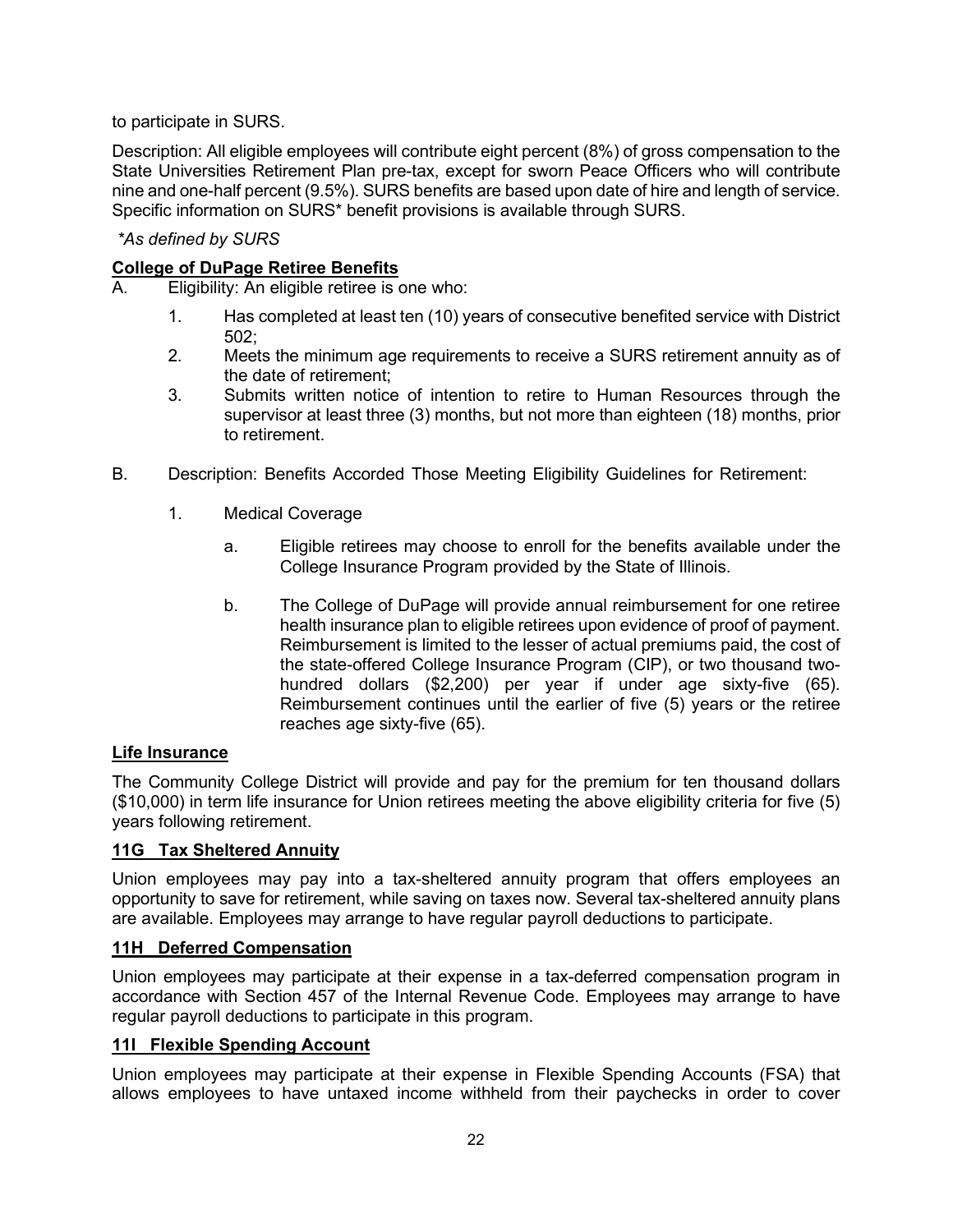to participate in SURS.

Description: All eligible employees will contribute eight percent (8%) of gross compensation to the State Universities Retirement Plan pre-tax, except for sworn Peace Officers who will contribute nine and one-half percent (9.5%). SURS benefits are based upon date of hire and length of service. Specific information on SURS\* benefit provisions is available through SURS.

#### *\*As defined by SURS*

## **College of DuPage Retiree Benefits**

- A. Eligibility: An eligible retiree is one who:
	- 1. Has completed at least ten (10) years of consecutive benefited service with District 502;
	- 2. Meets the minimum age requirements to receive a SURS retirement annuity as of the date of retirement;
	- 3. Submits written notice of intention to retire to Human Resources through the supervisor at least three (3) months, but not more than eighteen (18) months, prior to retirement.
- B. Description: Benefits Accorded Those Meeting Eligibility Guidelines for Retirement:
	- 1. Medical Coverage
		- a. Eligible retirees may choose to enroll for the benefits available under the College Insurance Program provided by the State of Illinois.
		- b. The College of DuPage will provide annual reimbursement for one retiree health insurance plan to eligible retirees upon evidence of proof of payment. Reimbursement is limited to the lesser of actual premiums paid, the cost of the state-offered College Insurance Program (CIP), or two thousand twohundred dollars (\$2,200) per year if under age sixty-five (65). Reimbursement continues until the earlier of five (5) years or the retiree reaches age sixty-five (65).

#### **Life Insurance**

The Community College District will provide and pay for the premium for ten thousand dollars (\$10,000) in term life insurance for Union retirees meeting the above eligibility criteria for five (5) years following retirement.

#### **11G Tax Sheltered Annuity**

Union employees may pay into a tax-sheltered annuity program that offers employees an opportunity to save for retirement, while saving on taxes now. Several tax-sheltered annuity plans are available. Employees may arrange to have regular payroll deductions to participate.

#### **11H Deferred Compensation**

Union employees may participate at their expense in a tax-deferred compensation program in accordance with Section 457 of the Internal Revenue Code. Employees may arrange to have regular payroll deductions to participate in this program.

#### **11I Flexible Spending Account**

Union employees may participate at their expense in Flexible Spending Accounts (FSA) that allows employees to have untaxed income withheld from their paychecks in order to cover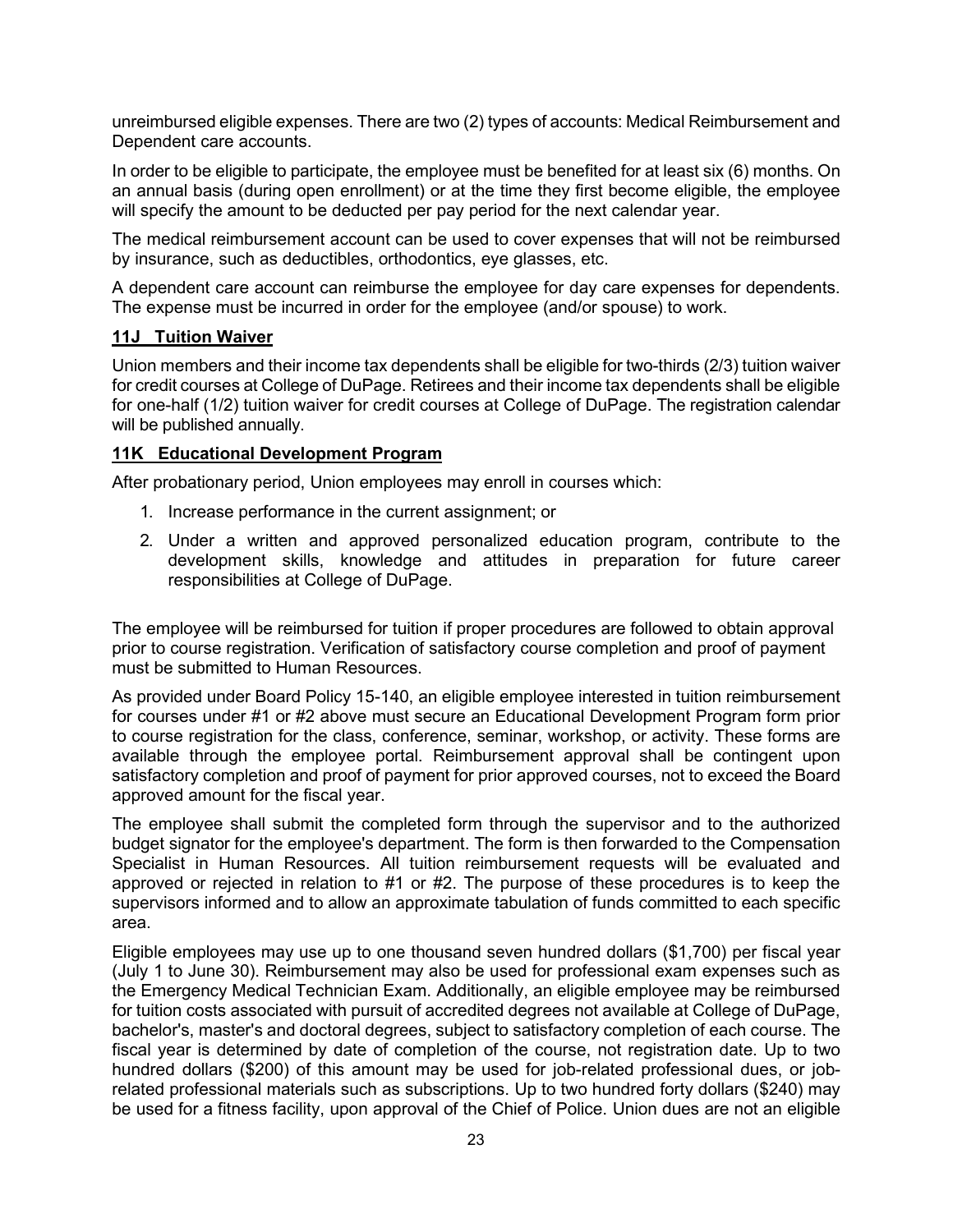unreimbursed eligible expenses. There are two (2) types of accounts: Medical Reimbursement and Dependent care accounts.

In order to be eligible to participate, the employee must be benefited for at least six (6) months. On an annual basis (during open enrollment) or at the time they first become eligible, the employee will specify the amount to be deducted per pay period for the next calendar year.

The medical reimbursement account can be used to cover expenses that will not be reimbursed by insurance, such as deductibles, orthodontics, eye glasses, etc.

A dependent care account can reimburse the employee for day care expenses for dependents. The expense must be incurred in order for the employee (and/or spouse) to work.

#### **11J Tuition Waiver**

Union members and their income tax dependents shall be eligible for two-thirds (2/3) tuition waiver for credit courses at College of DuPage. Retirees and their income tax dependents shall be eligible for one-half (1/2) tuition waiver for credit courses at College of DuPage. The registration calendar will be published annually.

#### **11K Educational Development Program**

After probationary period, Union employees may enroll in courses which:

- 1. Increase performance in the current assignment; or
- 2. Under a written and approved personalized education program, contribute to the development skills, knowledge and attitudes in preparation for future career responsibilities at College of DuPage.

The employee will be reimbursed for tuition if proper procedures are followed to obtain approval prior to course registration. Verification of satisfactory course completion and proof of payment must be submitted to Human Resources.

As provided under Board Policy 15-140, an eligible employee interested in tuition reimbursement for courses under #1 or #2 above must secure an Educational Development Program form prior to course registration for the class, conference, seminar, workshop, or activity. These forms are available through the employee portal. Reimbursement approval shall be contingent upon satisfactory completion and proof of payment for prior approved courses, not to exceed the Board approved amount for the fiscal year.

The employee shall submit the completed form through the supervisor and to the authorized budget signator for the employee's department. The form is then forwarded to the Compensation Specialist in Human Resources. All tuition reimbursement requests will be evaluated and approved or rejected in relation to #1 or #2. The purpose of these procedures is to keep the supervisors informed and to allow an approximate tabulation of funds committed to each specific area.

Eligible employees may use up to one thousand seven hundred dollars (\$1,700) per fiscal year (July 1 to June 30). Reimbursement may also be used for professional exam expenses such as the Emergency Medical Technician Exam. Additionally, an eligible employee may be reimbursed for tuition costs associated with pursuit of accredited degrees not available at College of DuPage, bachelor's, master's and doctoral degrees, subject to satisfactory completion of each course. The fiscal year is determined by date of completion of the course, not registration date. Up to two hundred dollars (\$200) of this amount may be used for job-related professional dues, or jobrelated professional materials such as subscriptions. Up to two hundred forty dollars (\$240) may be used for a fitness facility, upon approval of the Chief of Police. Union dues are not an eligible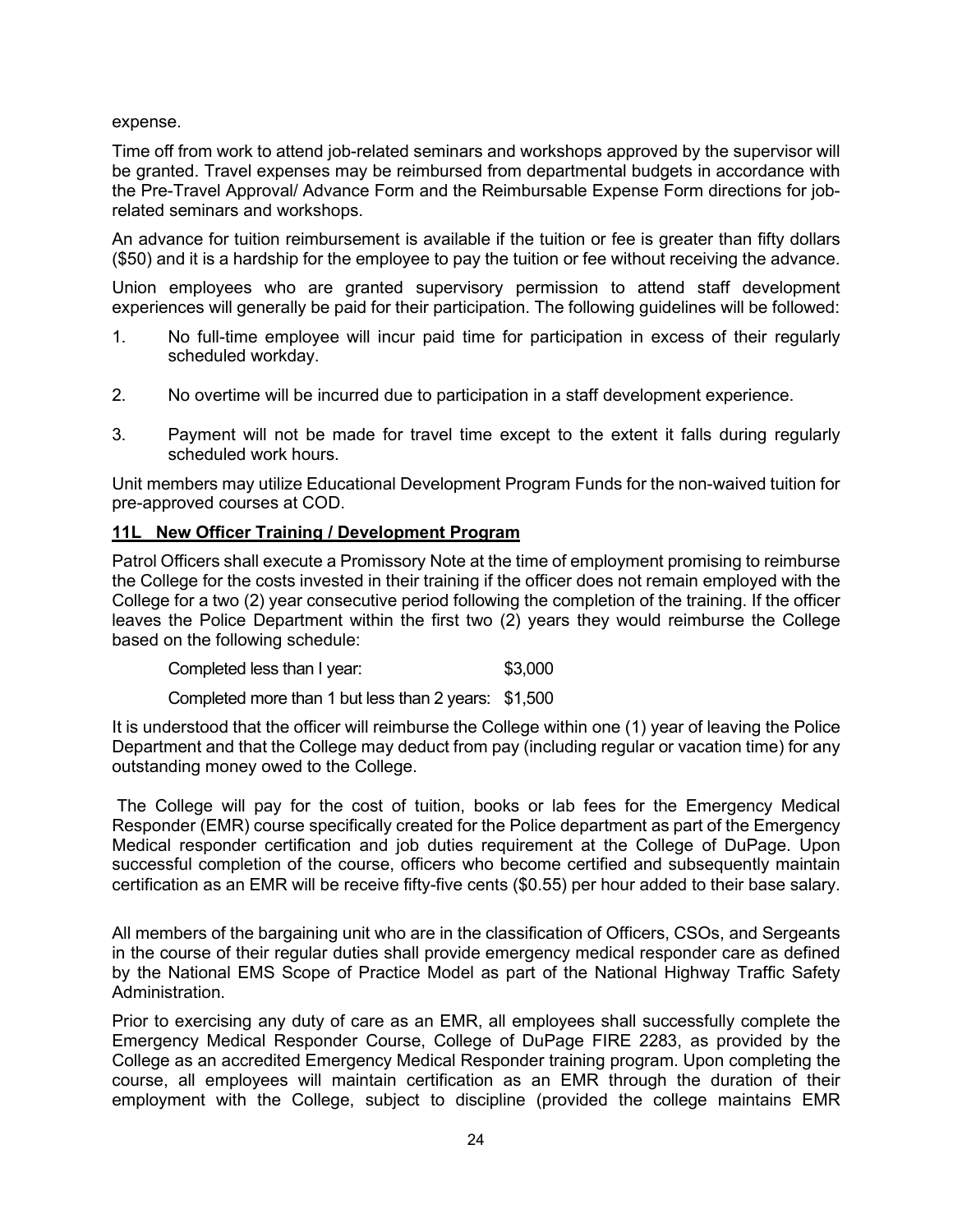expense.

Time off from work to attend job-related seminars and workshops approved by the supervisor will be granted. Travel expenses may be reimbursed from departmental budgets in accordance with the Pre-Travel Approval/ Advance Form and the Reimbursable Expense Form directions for jobrelated seminars and workshops.

An advance for tuition reimbursement is available if the tuition or fee is greater than fifty dollars (\$50) and it is a hardship for the employee to pay the tuition or fee without receiving the advance.

Union employees who are granted supervisory permission to attend staff development experiences will generally be paid for their participation. The following guidelines will be followed:

- 1. No full-time employee will incur paid time for participation in excess of their regularly scheduled workday.
- 2. No overtime will be incurred due to participation in a staff development experience.
- 3. Payment will not be made for travel time except to the extent it falls during regularly scheduled work hours.

Unit members may utilize Educational Development Program Funds for the non-waived tuition for pre-approved courses at COD.

#### **11L New Officer Training / Development Program**

Patrol Officers shall execute a Promissory Note at the time of employment promising to reimburse the College for the costs invested in their training if the officer does not remain employed with the College for a two (2) year consecutive period following the completion of the training. If the officer leaves the Police Department within the first two (2) years they would reimburse the College based on the following schedule:

| Completed less than I year: | \$3,000 |
|-----------------------------|---------|
|                             |         |

Completed more than 1 but less than 2 years: \$1,500

It is understood that the officer will reimburse the College within one (1) year of leaving the Police Department and that the College may deduct from pay (including regular or vacation time) for any outstanding money owed to the College.

The College will pay for the cost of tuition, books or lab fees for the Emergency Medical Responder (EMR) course specifically created for the Police department as part of the Emergency Medical responder certification and job duties requirement at the College of DuPage. Upon successful completion of the course, officers who become certified and subsequently maintain certification as an EMR will be receive fifty-five cents (\$0.55) per hour added to their base salary.

All members of the bargaining unit who are in the classification of Officers, CSOs, and Sergeants in the course of their regular duties shall provide emergency medical responder care as defined by the National EMS Scope of Practice Model as part of the National Highway Traffic Safety Administration.

Prior to exercising any duty of care as an EMR, all employees shall successfully complete the Emergency Medical Responder Course, College of DuPage FIRE 2283, as provided by the College as an accredited Emergency Medical Responder training program. Upon completing the course, all employees will maintain certification as an EMR through the duration of their employment with the College, subject to discipline (provided the college maintains EMR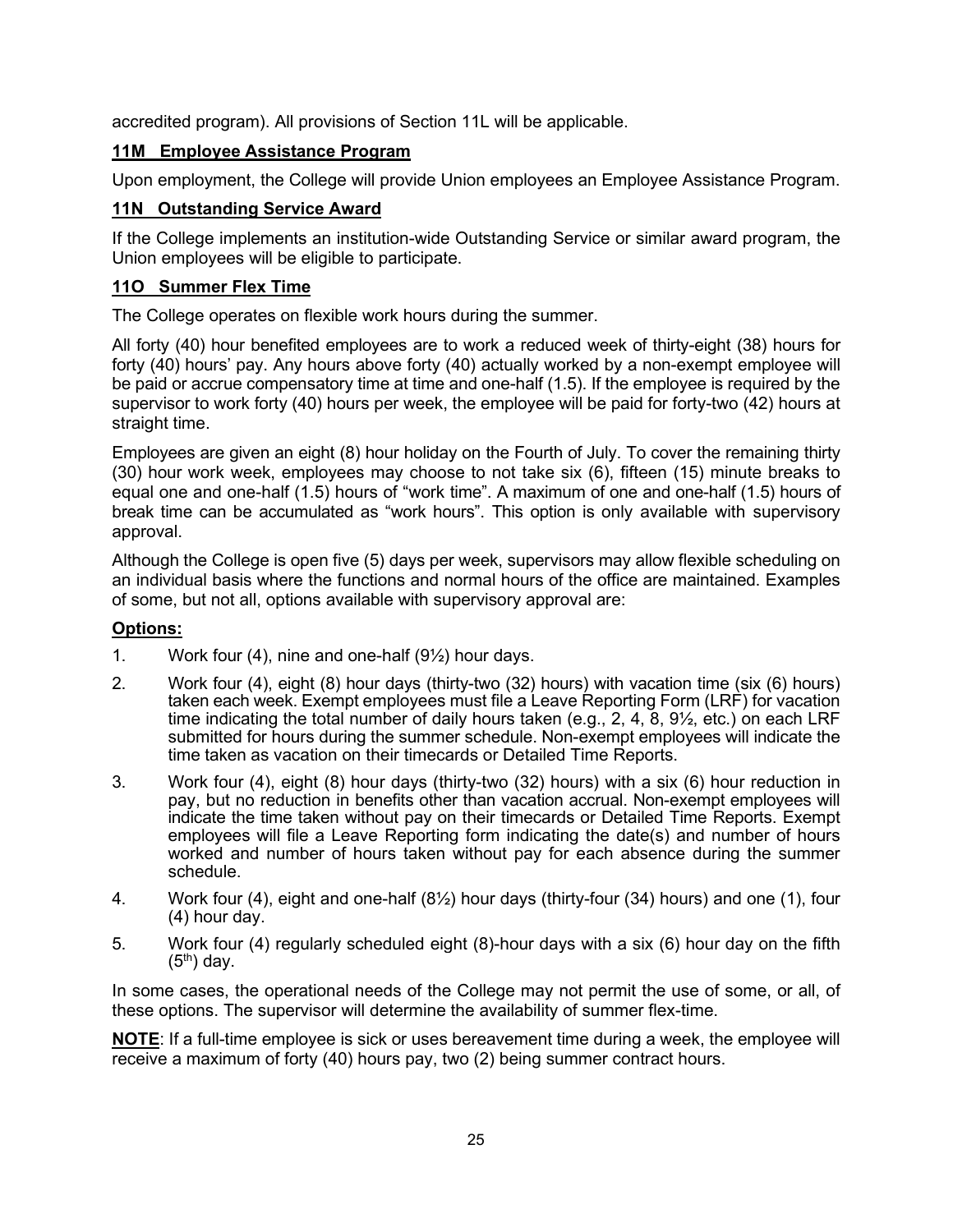accredited program). All provisions of Section 11L will be applicable.

## **11M Employee Assistance Program**

Upon employment, the College will provide Union employees an Employee Assistance Program.

## **11N Outstanding Service Award**

If the College implements an institution-wide Outstanding Service or similar award program, the Union employees will be eligible to participate.

## **11O Summer Flex Time**

The College operates on flexible work hours during the summer.

All forty (40) hour benefited employees are to work a reduced week of thirty-eight (38) hours for forty (40) hours' pay. Any hours above forty (40) actually worked by a non-exempt employee will be paid or accrue compensatory time at time and one-half (1.5). If the employee is required by the supervisor to work forty (40) hours per week, the employee will be paid for forty-two (42) hours at straight time.

Employees are given an eight (8) hour holiday on the Fourth of July. To cover the remaining thirty (30) hour work week, employees may choose to not take six (6), fifteen (15) minute breaks to equal one and one-half (1.5) hours of "work time". A maximum of one and one-half (1.5) hours of break time can be accumulated as "work hours". This option is only available with supervisory approval.

Although the College is open five (5) days per week, supervisors may allow flexible scheduling on an individual basis where the functions and normal hours of the office are maintained. Examples of some, but not all, options available with supervisory approval are:

## **Options:**

- 1. Work four (4), nine and one-half  $(9\frac{1}{2})$  hour days.
- 2. Work four (4), eight (8) hour days (thirty-two (32) hours) with vacation time (six (6) hours) taken each week. Exempt employees must file a Leave Reporting Form (LRF) for vacation time indicating the total number of daily hours taken (e.g., 2, 4, 8, 9 $\frac{1}{2}$ , etc.) on each LRF submitted for hours during the summer schedule. Non-exempt employees will indicate the time taken as vacation on their timecards or Detailed Time Reports.
- 3. Work four (4), eight (8) hour days (thirty-two (32) hours) with a six (6) hour reduction in pay, but no reduction in benefits other than vacation accrual. Non-exempt employees will indicate the time taken without pay on their timecards or Detailed Time Reports. Exempt employees will file a Leave Reporting form indicating the date(s) and number of hours worked and number of hours taken without pay for each absence during the summer schedule.
- 4. Work four (4), eight and one-half (8½) hour days (thirty-four (34) hours) and one (1), four (4) hour day.
- 5. Work four (4) regularly scheduled eight (8)-hour days with a six (6) hour day on the fifth  $(5<sup>th</sup>)$  day.

In some cases, the operational needs of the College may not permit the use of some, or all, of these options. The supervisor will determine the availability of summer flex-time.

**NOTE**: If a full-time employee is sick or uses bereavement time during a week, the employee will receive a maximum of forty (40) hours pay, two (2) being summer contract hours.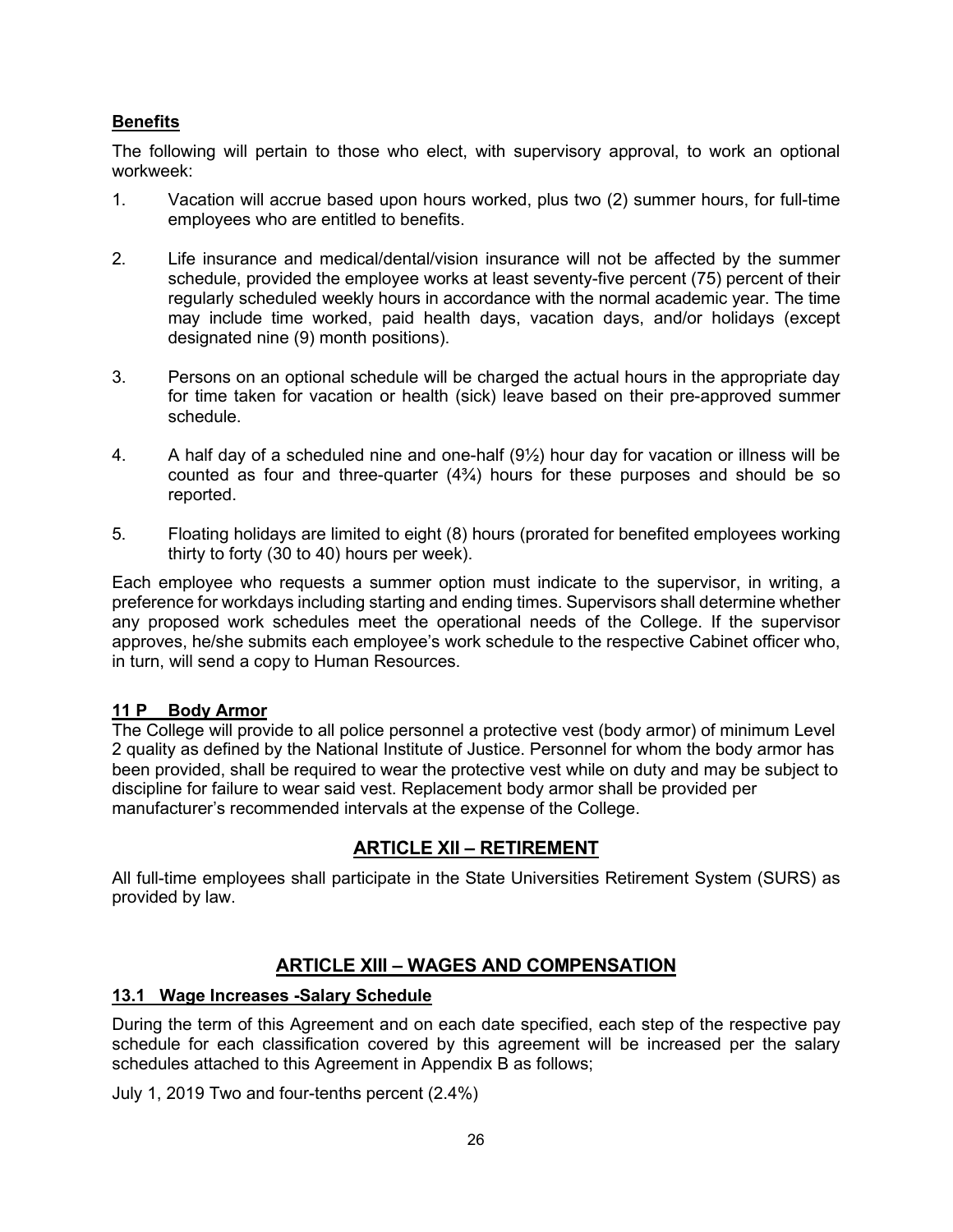## **Benefits**

The following will pertain to those who elect, with supervisory approval, to work an optional workweek:

- 1. Vacation will accrue based upon hours worked, plus two (2) summer hours, for full-time employees who are entitled to benefits.
- 2. Life insurance and medical/dental/vision insurance will not be affected by the summer schedule, provided the employee works at least seventy-five percent (75) percent of their regularly scheduled weekly hours in accordance with the normal academic year. The time may include time worked, paid health days, vacation days, and/or holidays (except designated nine (9) month positions).
- 3. Persons on an optional schedule will be charged the actual hours in the appropriate day for time taken for vacation or health (sick) leave based on their pre-approved summer schedule.
- 4. A half day of a scheduled nine and one-half  $(9\frac{1}{2})$  hour day for vacation or illness will be counted as four and three-quarter  $(4\frac{3}{4})$  hours for these purposes and should be so reported.
- 5. Floating holidays are limited to eight (8) hours (prorated for benefited employees working thirty to forty (30 to 40) hours per week).

Each employee who requests a summer option must indicate to the supervisor, in writing, a preference for workdays including starting and ending times. Supervisors shall determine whether any proposed work schedules meet the operational needs of the College. If the supervisor approves, he/she submits each employee's work schedule to the respective Cabinet officer who, in turn, will send a copy to Human Resources.

#### **11 P Body Armor**

The College will provide to all police personnel a protective vest (body armor) of minimum Level 2 quality as defined by the National Institute of Justice. Personnel for whom the body armor has been provided, shall be required to wear the protective vest while on duty and may be subject to discipline for failure to wear said vest. Replacement body armor shall be provided per manufacturer's recommended intervals at the expense of the College.

## **ARTICLE XII – RETIREMENT**

All full-time employees shall participate in the State Universities Retirement System (SURS) as provided by law.

## **ARTICLE XIII – WAGES AND COMPENSATION**

#### **13.1 Wage Increases -Salary Schedule**

During the term of this Agreement and on each date specified, each step of the respective pay schedule for each classification covered by this agreement will be increased per the salary schedules attached to this Agreement in Appendix B as follows;

July 1, 2019 Two and four-tenths percent (2.4%)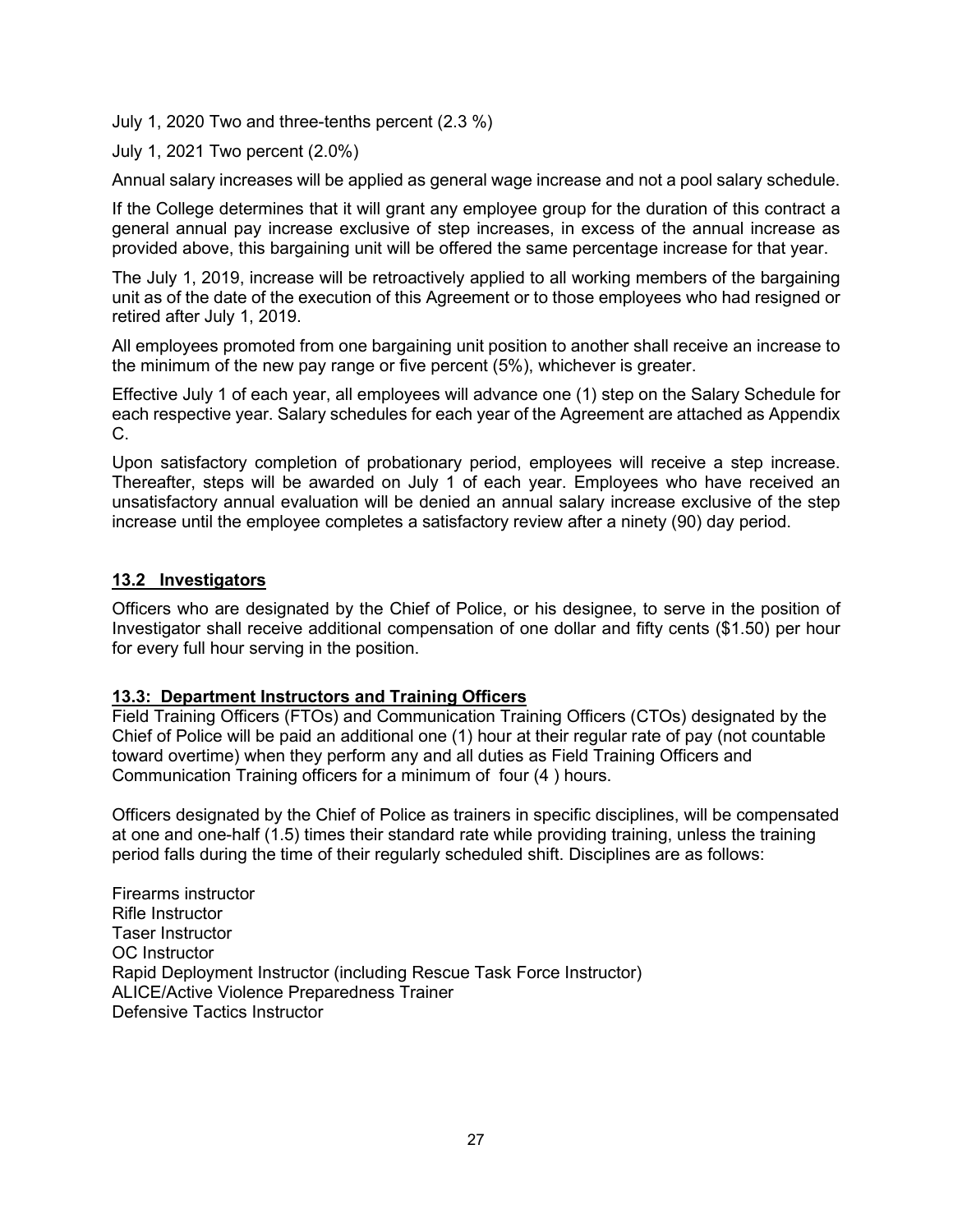July 1, 2020 Two and three-tenths percent (2.3 %)

July 1, 2021 Two percent (2.0%)

Annual salary increases will be applied as general wage increase and not a pool salary schedule.

If the College determines that it will grant any employee group for the duration of this contract a general annual pay increase exclusive of step increases, in excess of the annual increase as provided above, this bargaining unit will be offered the same percentage increase for that year.

The July 1, 2019, increase will be retroactively applied to all working members of the bargaining unit as of the date of the execution of this Agreement or to those employees who had resigned or retired after July 1, 2019.

All employees promoted from one bargaining unit position to another shall receive an increase to the minimum of the new pay range or five percent (5%), whichever is greater.

Effective July 1 of each year, all employees will advance one (1) step on the Salary Schedule for each respective year. Salary schedules for each year of the Agreement are attached as Appendix C.

Upon satisfactory completion of probationary period, employees will receive a step increase. Thereafter, steps will be awarded on July 1 of each year. Employees who have received an unsatisfactory annual evaluation will be denied an annual salary increase exclusive of the step increase until the employee completes a satisfactory review after a ninety (90) day period.

#### **13.2 Investigators**

Officers who are designated by the Chief of Police, or his designee, to serve in the position of Investigator shall receive additional compensation of one dollar and fifty cents (\$1.50) per hour for every full hour serving in the position.

## **13.3: Department Instructors and Training Officers**

Field Training Officers (FTOs) and Communication Training Officers (CTOs) designated by the Chief of Police will be paid an additional one (1) hour at their regular rate of pay (not countable toward overtime) when they perform any and all duties as Field Training Officers and Communication Training officers for a minimum of four (4 ) hours.

Officers designated by the Chief of Police as trainers in specific disciplines, will be compensated at one and one-half (1.5) times their standard rate while providing training, unless the training period falls during the time of their regularly scheduled shift. Disciplines are as follows:

Firearms instructor Rifle Instructor Taser Instructor OC Instructor Rapid Deployment Instructor (including Rescue Task Force Instructor) ALICE/Active Violence Preparedness Trainer Defensive Tactics Instructor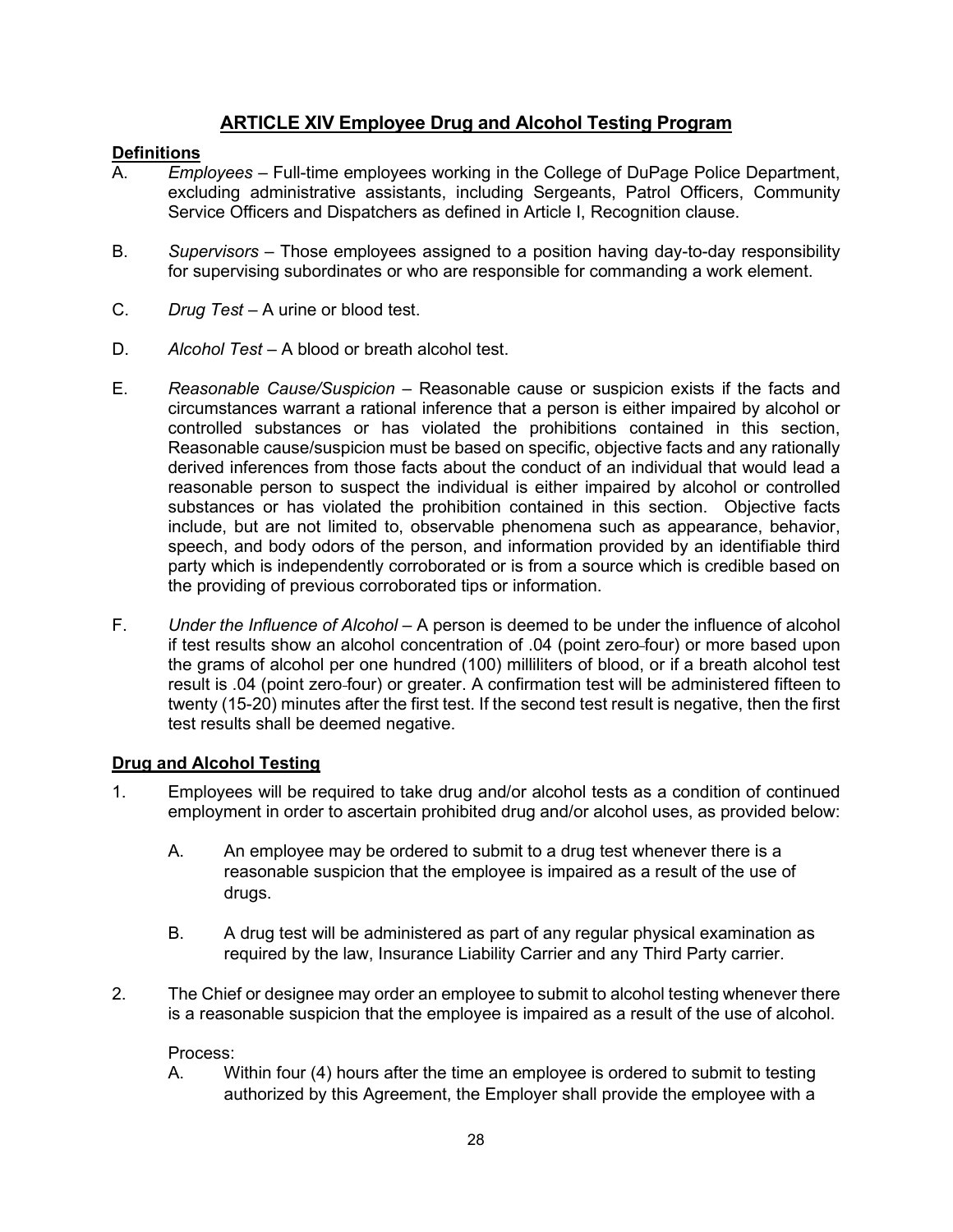## **ARTICLE XIV Employee Drug and Alcohol Testing Program**

## **Definitions**<br>A. Emp

- A. *Employees* Full-time employees working in the College of DuPage Police Department, excluding administrative assistants, including Sergeants, Patrol Officers, Community Service Officers and Dispatchers as defined in Article I, Recognition clause.
- B. *Supervisors* Those employees assigned to a position having day-to-day responsibility for supervising subordinates or who are responsible for commanding a work element.
- C. *Drug Test* A urine or blood test.
- D. *Alcohol Test* A blood or breath alcohol test.
- E. *Reasonable Cause/Suspicion* Reasonable cause or suspicion exists if the facts and circumstances warrant a rational inference that a person is either impaired by alcohol or controlled substances or has violated the prohibitions contained in this section, Reasonable cause/suspicion must be based on specific, objective facts and any rationally derived inferences from those facts about the conduct of an individual that would lead a reasonable person to suspect the individual is either impaired by alcohol or controlled substances or has violated the prohibition contained in this section. Objective facts include, but are not limited to, observable phenomena such as appearance, behavior, speech, and body odors of the person, and information provided by an identifiable third party which is independently corroborated or is from a source which is credible based on the providing of previous corroborated tips or information.
- F. *Under the Influence of Alcohol* A person is deemed to be under the influence of alcohol if test results show an alcohol concentration of .04 (point zero-four) or more based upon the grams of alcohol per one hundred (100) milliliters of blood, or if a breath alcohol test result is .04 (point zero-four) or greater. A confirmation test will be administered fifteen to twenty (15-20) minutes after the first test. If the second test result is negative, then the first test results shall be deemed negative.

#### **Drug and Alcohol Testing**

- 1. Employees will be required to take drug and/or alcohol tests as a condition of continued employment in order to ascertain prohibited drug and/or alcohol uses, as provided below:
	- A. An employee may be ordered to submit to a drug test whenever there is a reasonable suspicion that the employee is impaired as a result of the use of drugs.
	- B. A drug test will be administered as part of any regular physical examination as required by the law, Insurance Liability Carrier and any Third Party carrier.
- 2. The Chief or designee may order an employee to submit to alcohol testing whenever there is a reasonable suspicion that the employee is impaired as a result of the use of alcohol.

Process:

A. Within four (4) hours after the time an employee is ordered to submit to testing authorized by this Agreement, the Employer shall provide the employee with a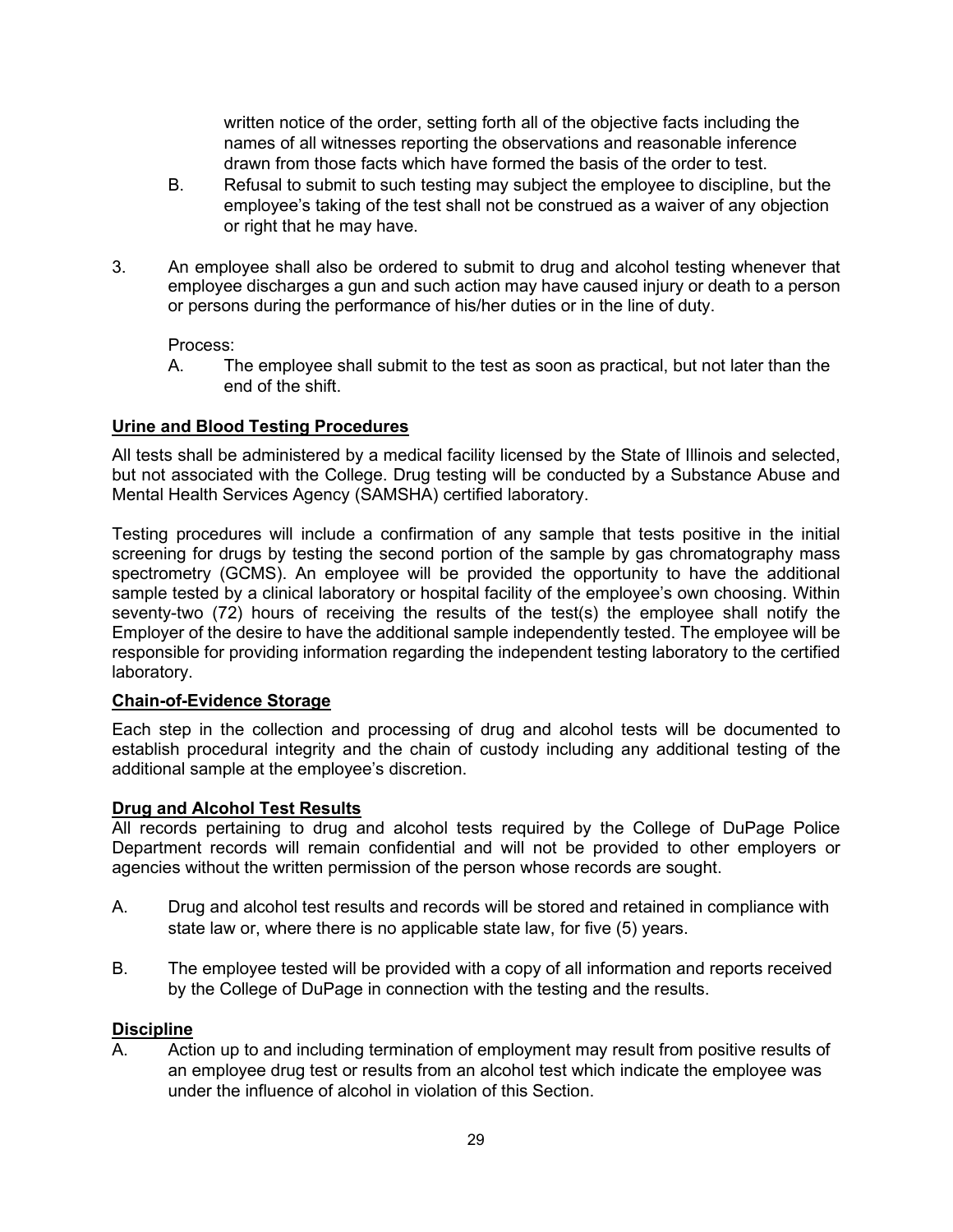written notice of the order, setting forth all of the objective facts including the names of all witnesses reporting the observations and reasonable inference drawn from those facts which have formed the basis of the order to test.

- B. Refusal to submit to such testing may subject the employee to discipline, but the employee's taking of the test shall not be construed as a waiver of any objection or right that he may have.
- 3. An employee shall also be ordered to submit to drug and alcohol testing whenever that employee discharges a gun and such action may have caused injury or death to a person or persons during the performance of his/her duties or in the line of duty.

Process:

A. The employee shall submit to the test as soon as practical, but not later than the end of the shift.

## **Urine and Blood Testing Procedures**

All tests shall be administered by a medical facility licensed by the State of Illinois and selected, but not associated with the College. Drug testing will be conducted by a Substance Abuse and Mental Health Services Agency (SAMSHA) certified laboratory.

Testing procedures will include a confirmation of any sample that tests positive in the initial screening for drugs by testing the second portion of the sample by gas chromatography mass spectrometry (GCMS). An employee will be provided the opportunity to have the additional sample tested by a clinical laboratory or hospital facility of the employee's own choosing. Within seventy-two (72) hours of receiving the results of the test(s) the employee shall notify the Employer of the desire to have the additional sample independently tested. The employee will be responsible for providing information regarding the independent testing laboratory to the certified laboratory.

#### **Chain-of-Evidence Storage**

Each step in the collection and processing of drug and alcohol tests will be documented to establish procedural integrity and the chain of custody including any additional testing of the additional sample at the employee's discretion.

#### **Drug and Alcohol Test Results**

All records pertaining to drug and alcohol tests required by the College of DuPage Police Department records will remain confidential and will not be provided to other employers or agencies without the written permission of the person whose records are sought.

- A. Drug and alcohol test results and records will be stored and retained in compliance with state law or, where there is no applicable state law, for five (5) years.
- B. The employee tested will be provided with a copy of all information and reports received by the College of DuPage in connection with the testing and the results.

#### **Discipline**

A. Action up to and including termination of employment may result from positive results of an employee drug test or results from an alcohol test which indicate the employee was under the influence of alcohol in violation of this Section.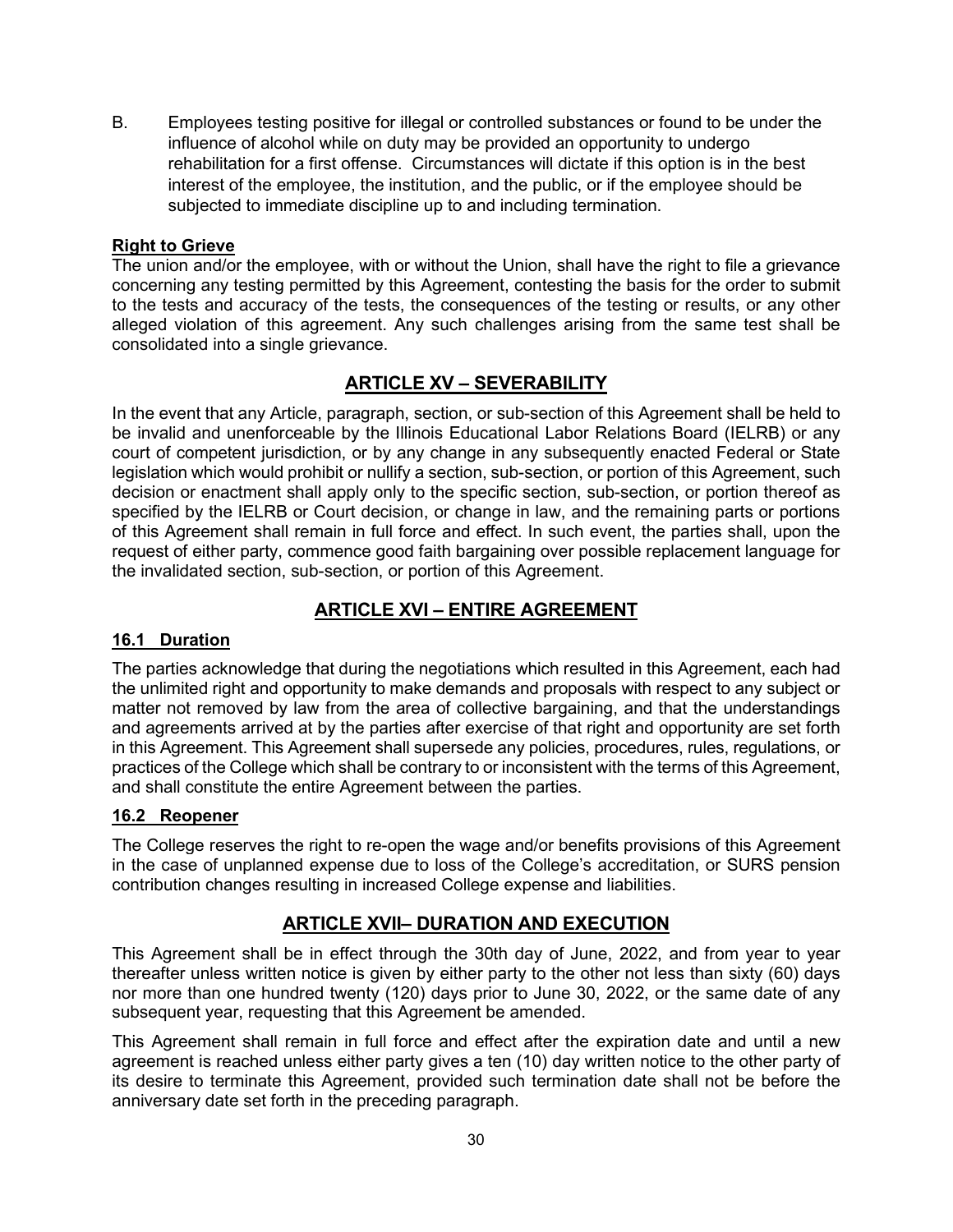B. Employees testing positive for illegal or controlled substances or found to be under the influence of alcohol while on duty may be provided an opportunity to undergo rehabilitation for a first offense. Circumstances will dictate if this option is in the best interest of the employee, the institution, and the public, or if the employee should be subjected to immediate discipline up to and including termination.

## **Right to Grieve**

The union and/or the employee, with or without the Union, shall have the right to file a grievance concerning any testing permitted by this Agreement, contesting the basis for the order to submit to the tests and accuracy of the tests, the consequences of the testing or results, or any other alleged violation of this agreement. Any such challenges arising from the same test shall be consolidated into a single grievance.

## **ARTICLE XV – SEVERABILITY**

In the event that any Article, paragraph, section, or sub-section of this Agreement shall be held to be invalid and unenforceable by the Illinois Educational Labor Relations Board (IELRB) or any court of competent jurisdiction, or by any change in any subsequently enacted Federal or State legislation which would prohibit or nullify a section, sub-section, or portion of this Agreement, such decision or enactment shall apply only to the specific section, sub-section, or portion thereof as specified by the IELRB or Court decision, or change in law, and the remaining parts or portions of this Agreement shall remain in full force and effect. In such event, the parties shall, upon the request of either party, commence good faith bargaining over possible replacement language for the invalidated section, sub-section, or portion of this Agreement.

## **ARTICLE XVI – ENTIRE AGREEMENT**

## **16.1 Duration**

The parties acknowledge that during the negotiations which resulted in this Agreement, each had the unlimited right and opportunity to make demands and proposals with respect to any subject or matter not removed by law from the area of collective bargaining, and that the understandings and agreements arrived at by the parties after exercise of that right and opportunity are set forth in this Agreement. This Agreement shall supersede any policies, procedures, rules, regulations, or practices of the College which shall be contrary to or inconsistent with the terms of this Agreement, and shall constitute the entire Agreement between the parties.

## **16.2 Reopener**

The College reserves the right to re-open the wage and/or benefits provisions of this Agreement in the case of unplanned expense due to loss of the College's accreditation, or SURS pension contribution changes resulting in increased College expense and liabilities.

## **ARTICLE XVII– DURATION AND EXECUTION**

This Agreement shall be in effect through the 30th day of June, 2022, and from year to year thereafter unless written notice is given by either party to the other not less than sixty (60) days nor more than one hundred twenty (120) days prior to June 30, 2022, or the same date of any subsequent year, requesting that this Agreement be amended.

This Agreement shall remain in full force and effect after the expiration date and until a new agreement is reached unless either party gives a ten (10) day written notice to the other party of its desire to terminate this Agreement, provided such termination date shall not be before the anniversary date set forth in the preceding paragraph.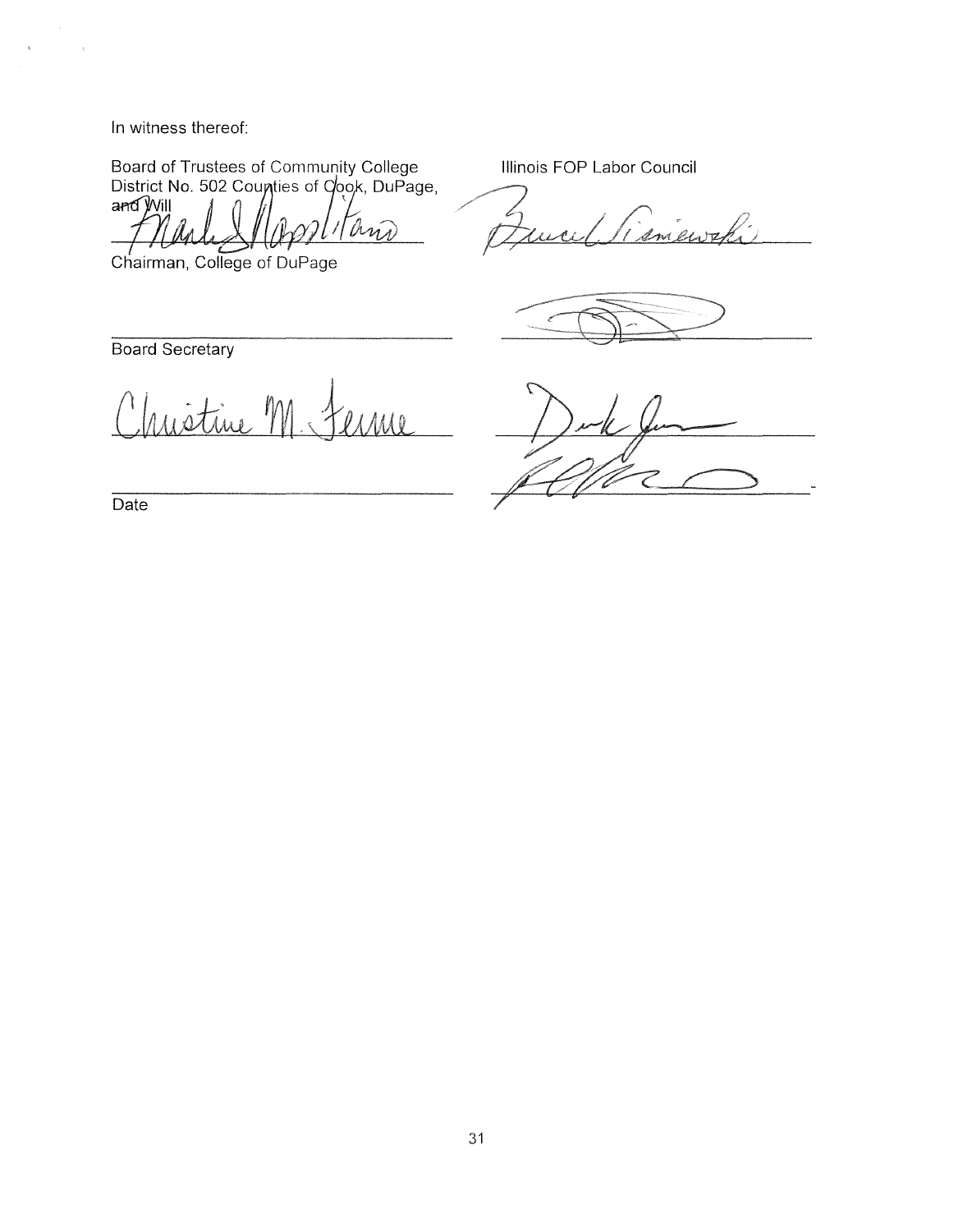In witness thereof:

 $\bar{\mathrm{s}}$ 

 $\sim$   $\lambda$ 

Board of Trustees of Community College<br>District No. 502 Coupties of Cook, DuPage, and Will Ar and

Illinois FOP Labor Council

Imente

Chairman, College of DuPage

Board Secretary

stine  $1/Ml$ 

Date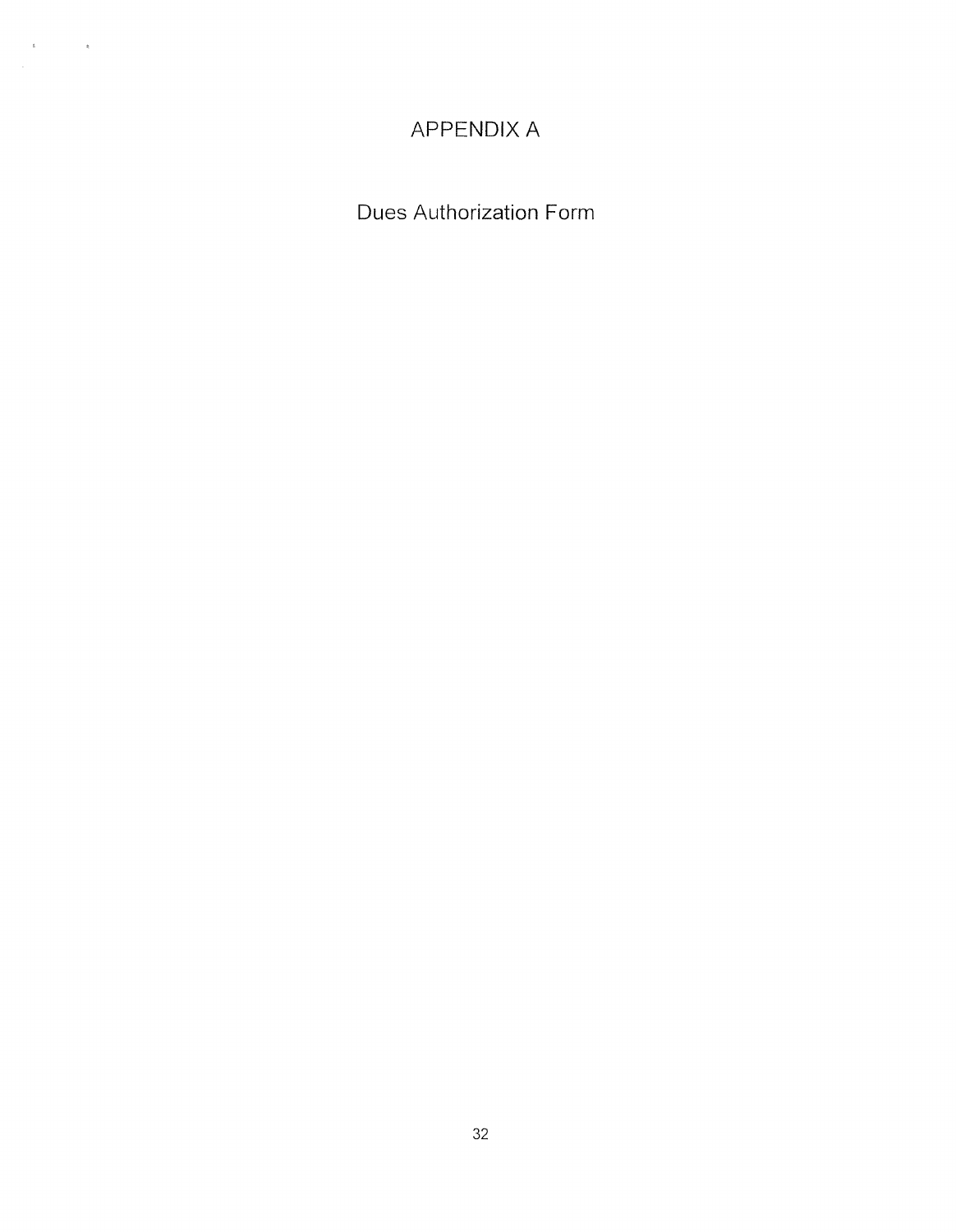## APPENDIX A

 $\mathbf{g}_{\mathbf{a}} = \mathbf{g}_{\mathbf{a}} \mathbf{g}_{\mathbf{a}}$ 

Dues Authorization Form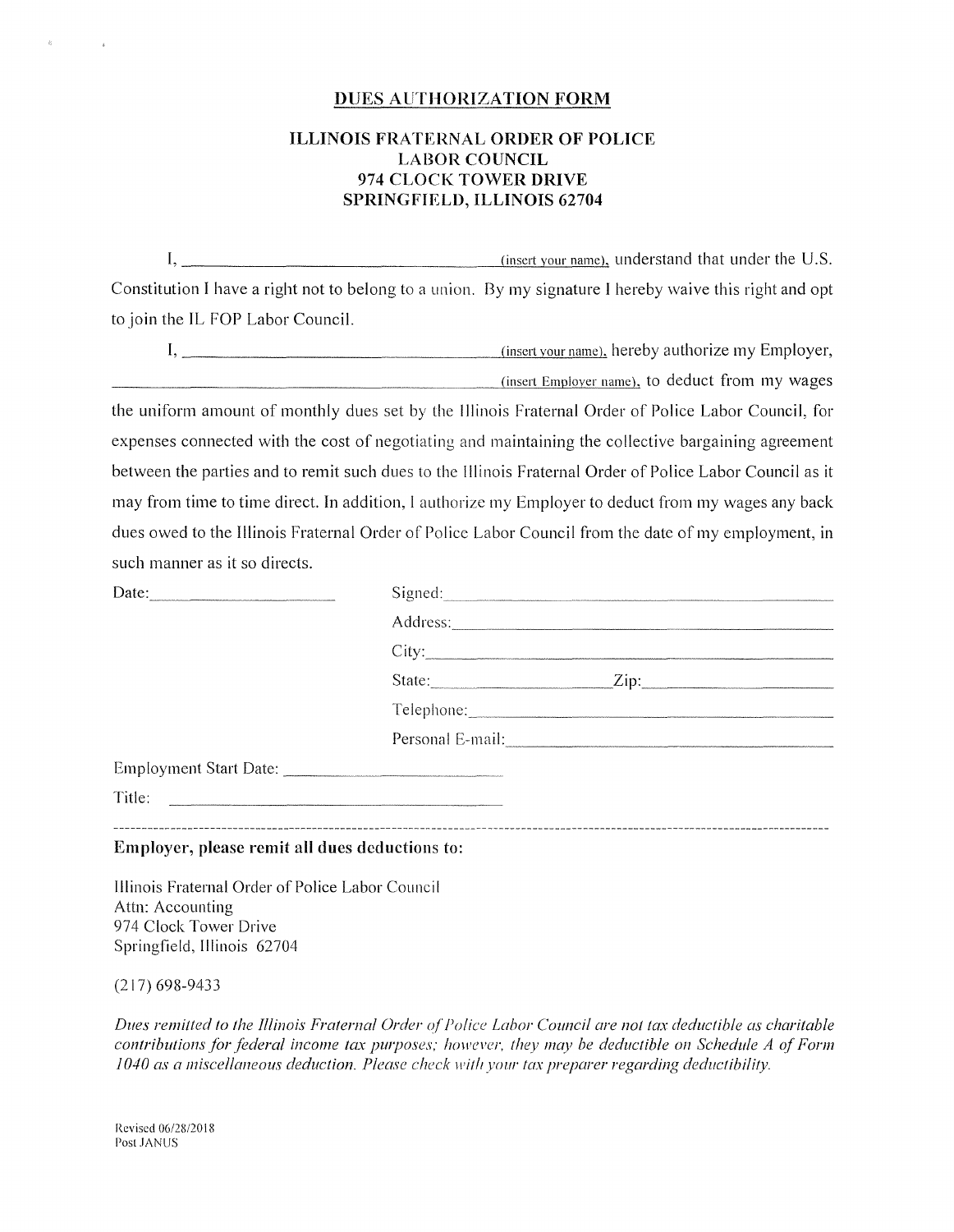#### DUES AUTHORIZATION FORM

#### **ILLINOIS FRATERNAL ORDER OF POLICE LABOR COUNCIL 974 CLOCK TOWER DRIVE SPRINGFIELD, ILLINOIS 62704**

 $I, \_\_\_\_\_\_\_\_\_\_\_\_\_\_\_\_\_\_$  (insert your name), understand that under the U.S. Constitution I have a right not to belong to a union. By my signature I hereby waive this right and opt to join the IL FOP Labor Council.

I, -----------------~<i=n=se=rtc.cv-=--ot=1r...c.n=ai=n~el. hereby authorize my Employer, ---------------------'--'-(in=s=e1"'"·t-"E=m=p=loc..c.v=e1\_,· 1=1a=m:.=..ue). to deduct from my wages

the uniform amount of monthly dues set by the Illinois Fraternal Order of Police Labor Council, for expenses connected with the cost of negotiating and maintaining the collective bargaining agreement between the parties and to remit such dues to the Illinois Fraternal Order of Police Labor Council as it may from time to time direct. In addition, I authorize my Employer to deduct from my wages any back dues owed to the Illinois Fraternal Order of Police Labor Council from the date of my employment, in such manner as it so directs.

| Date:                                                                                                           | Signed: |                                                                                                                |  |
|-----------------------------------------------------------------------------------------------------------------|---------|----------------------------------------------------------------------------------------------------------------|--|
|                                                                                                                 |         |                                                                                                                |  |
|                                                                                                                 |         |                                                                                                                |  |
|                                                                                                                 |         | State: <u>Zip:</u> Zip:                                                                                        |  |
|                                                                                                                 |         |                                                                                                                |  |
|                                                                                                                 |         | Personal E-mail: 2008 and 2008 and 2008 and 2008 and 2008 and 2008 and 2008 and 2008 and 2008 and 2008 and 200 |  |
| Employment Start Date:                                                                                          |         |                                                                                                                |  |
| Title: 2008. 2008. 2009. 2012. 2013. 2014. 2015. 2016. 2017. 2018. 2019. 2014. 2016. 2017. 2018. 2019. 2019. 20 |         |                                                                                                                |  |
|                                                                                                                 |         |                                                                                                                |  |
| Employer, please remit all dues deductions to:                                                                  |         |                                                                                                                |  |

Illinois Fraternal Order of Police Labor Council Attn: Accounting 974 Clock Tower Drive Springfield, Illinois 62704

(217) 698-9433

*Dues remitted to the Illinois Fraternal Order of'Po!ice Labor Council are not tax deductible as charitable contributions for federal income tax purposes; however, they may be deductible on Schedule A of Form 1040 as a miscellaneous deduction. Please check with your tax preparer regarding deductibility.* 

Revised 06/28/2018 Post JANUS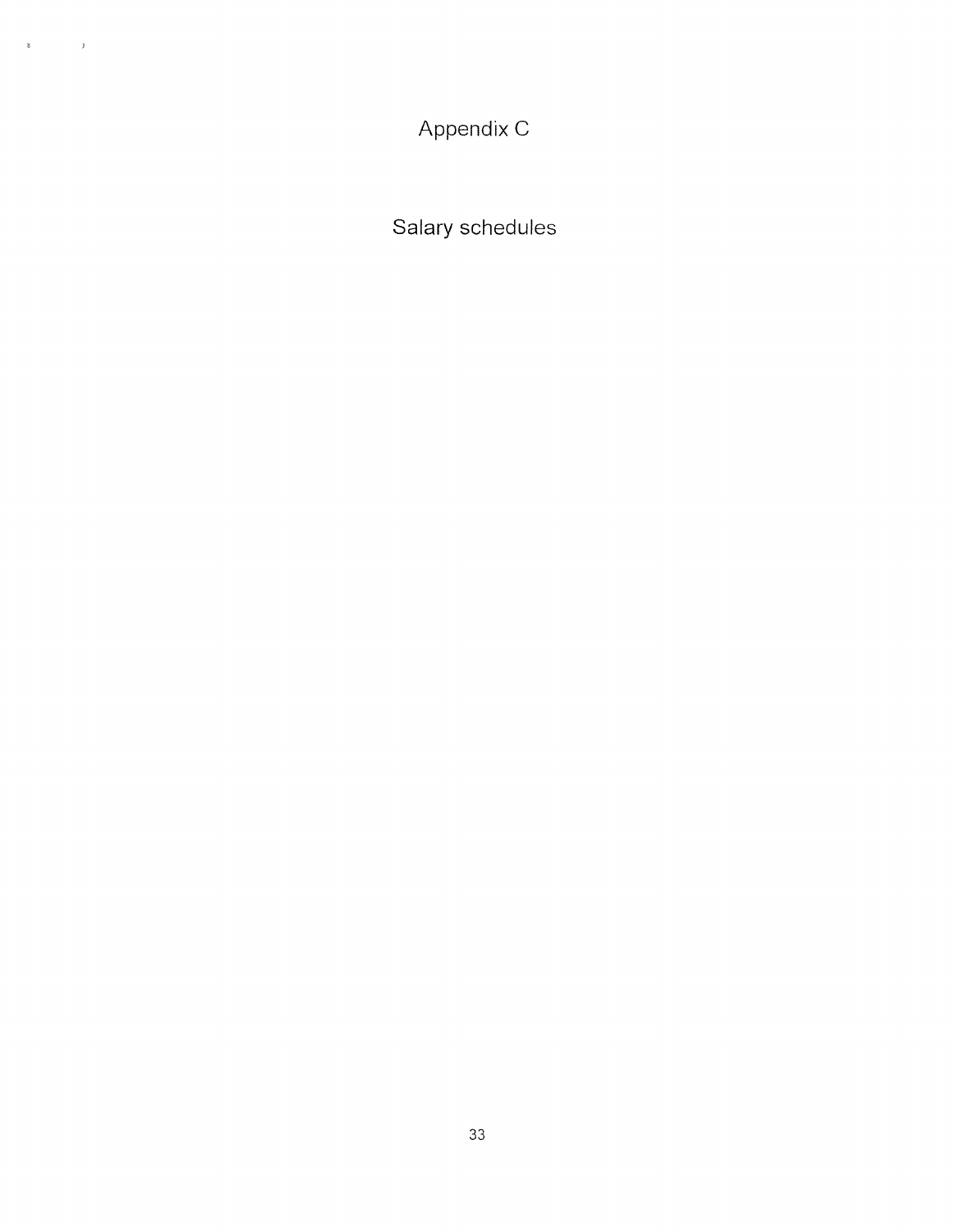Appendix C

 $\label{eq:3.1} \begin{array}{cccccccccc} \mathbf{R} & \mathbf{R} & \mathbf{R} & \mathbf{R} & \mathbf{R} & \mathbf{R} \\ \mathbf{R} & \mathbf{R} & \mathbf{R} & \mathbf{R} & \mathbf{R} & \mathbf{R} \\ \mathbf{R} & \mathbf{R} & \mathbf{R} & \mathbf{R} & \mathbf{R} & \mathbf{R} \\ \mathbf{R} & \mathbf{R} & \mathbf{R} & \mathbf{R} & \mathbf{R} & \mathbf{R} \\ \mathbf{R} & \mathbf{R} & \mathbf{R} & \mathbf{R} & \mathbf{R}$ 

Salary schedules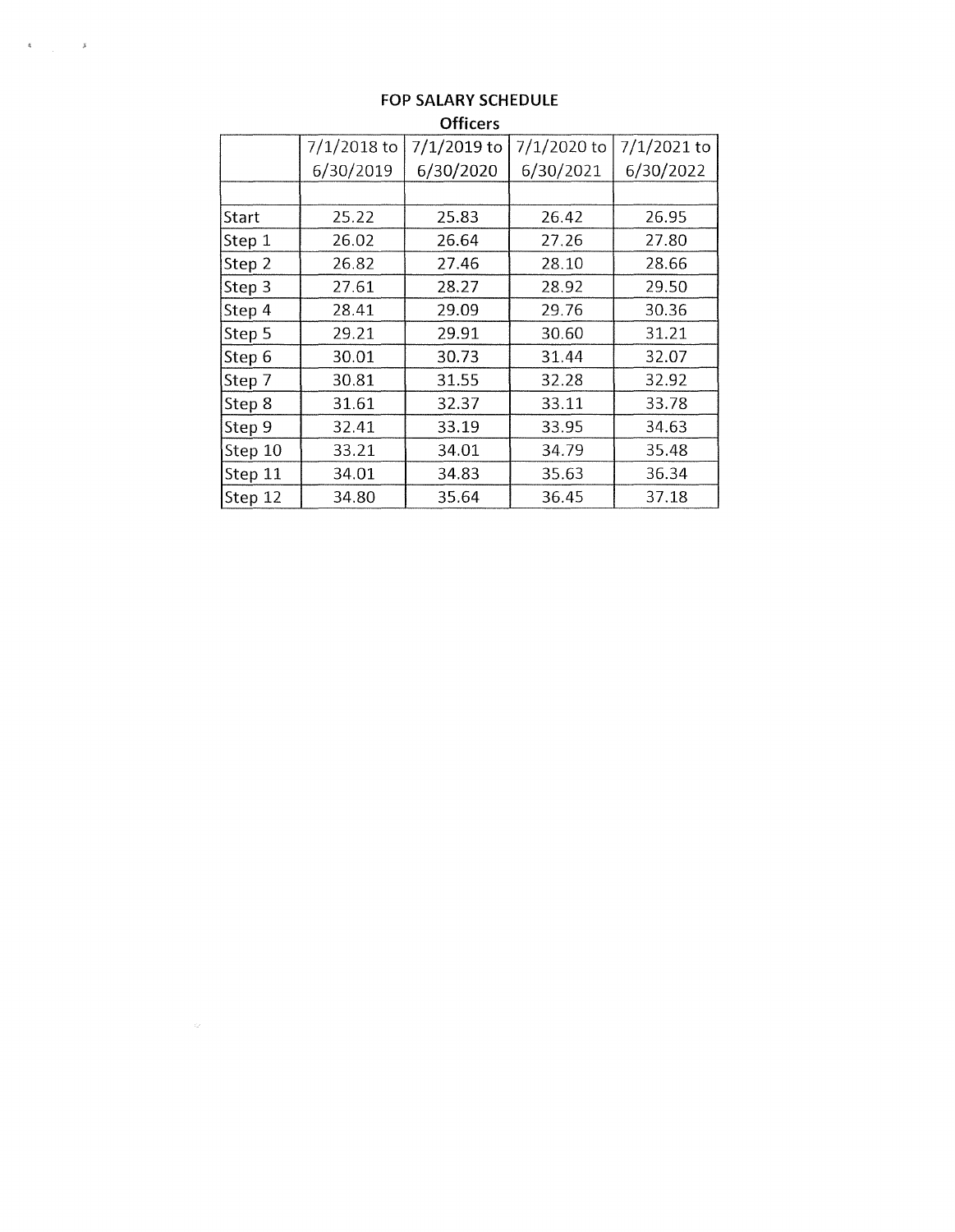| ------- |               |             |             |             |
|---------|---------------|-------------|-------------|-------------|
|         | $7/1/2018$ to | 7/1/2019 to | 7/1/2020 to | 7/1/2021 to |
|         | 6/30/2019     | 6/30/2020   | 6/30/2021   | 6/30/2022   |
|         |               |             |             |             |
| Start   | 25.22         | 25.83       | 26.42       | 26.95       |
| Step 1  | 26.02         | 26.64       | 27.26       | 27.80       |
| Step 2  | 26.82         | 27.46       | 28.10       | 28.66       |
| Step 3  | 27.61         | 28.27       | 28.92       | 29.50       |
| Step 4  | 28.41         | 29.09       | 29.76       | 30.36       |
| Step 5  | 29.21         | 29.91       | 30.60       | 31.21       |
| Step 6  | 30.01         | 30.73       | 31.44       | 32.07       |
| Step 7  | 30.81         | 31.55       | 32.28       | 32.92       |
| Step 8  | 31.61         | 32.37       | 33.11       | 33.78       |
| Step 9  | 32.41         | 33.19       | 33.95       | 34.63       |
| Step 10 | 33.21         | 34.01       | 34.79       | 35.48       |
| Step 11 | 34.01         | 34.83       | 35.63       | 36.34       |
| Step 12 | 34.80         | 35.64       | 36.45       | 37.18       |

#### **FOP SALARY SCHEDULE Officers**

 $\label{eq:4} \mathcal{A} = \begin{bmatrix} \mathcal{A} & \mathcal{A} & \mathcal{A} & \mathcal{A} \\ \mathcal{A} & \mathcal{A} & \mathcal{A} & \mathcal{A} \end{bmatrix}$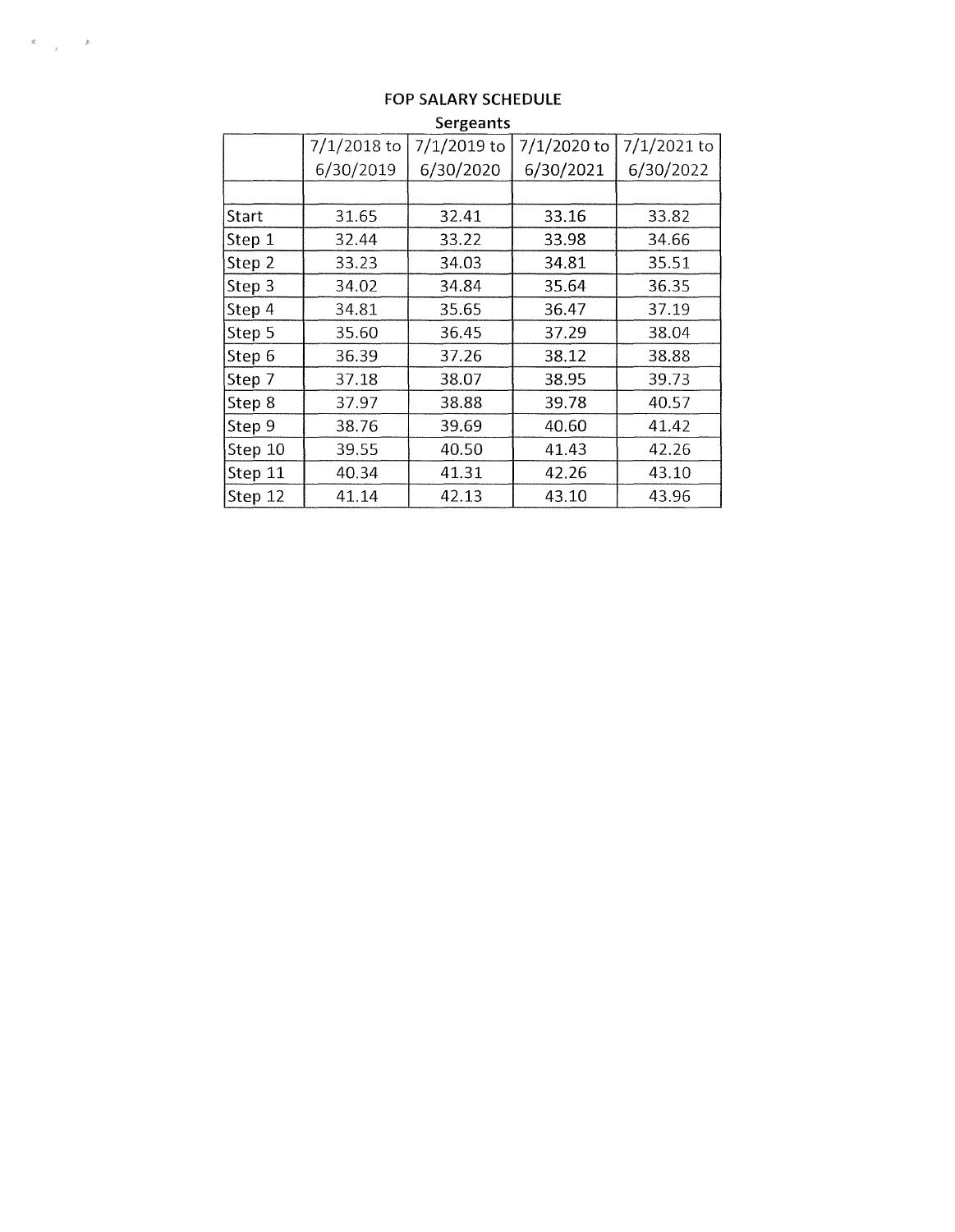|         | $7/1/2018$ to | 7/1/2019 to | 7/1/2020 to | $7/1/2021$ to |
|---------|---------------|-------------|-------------|---------------|
|         | 6/30/2019     | 6/30/2020   | 6/30/2021   | 6/30/2022     |
|         |               |             |             |               |
| Start   | 31.65         | 32.41       | 33.16       | 33.82         |
| Step 1  | 32.44         | 33.22       | 33.98       | 34.66         |
| Step 2  | 33.23         | 34.03       | 34.81       | 35.51         |
| Step 3  | 34.02         | 34.84       | 35.64       | 36.35         |
| Step 4  | 34.81         | 35.65       | 36.47       | 37.19         |
| Step 5  | 35.60         | 36.45       | 37.29       | 38.04         |
| Step 6  | 36.39         | 37.26       | 38.12       | 38.88         |
| Step 7  | 37.18         | 38.07       | 38.95       | 39.73         |
| Step 8  | 37.97         | 38.88       | 39.78       | 40.57         |
| Step 9  | 38.76         | 39.69       | 40.60       | 41.42         |
| Step 10 | 39.55         | 40.50       | 41.43       | 42.26         |
| Step 11 | 40.34         | 41.31       | 42.26       | 43.10         |
| Step 12 | 41.14         | 42.13       | 43.10       | 43.96         |

#### **FOP SALARY SCHEDULE Sergeants**

 $\label{eq:3.1} \begin{array}{ccccc} \mathfrak{E} & & & \mathfrak{E} \\ & & & \mathfrak{E} \\ & & & \mathfrak{E} \end{array}$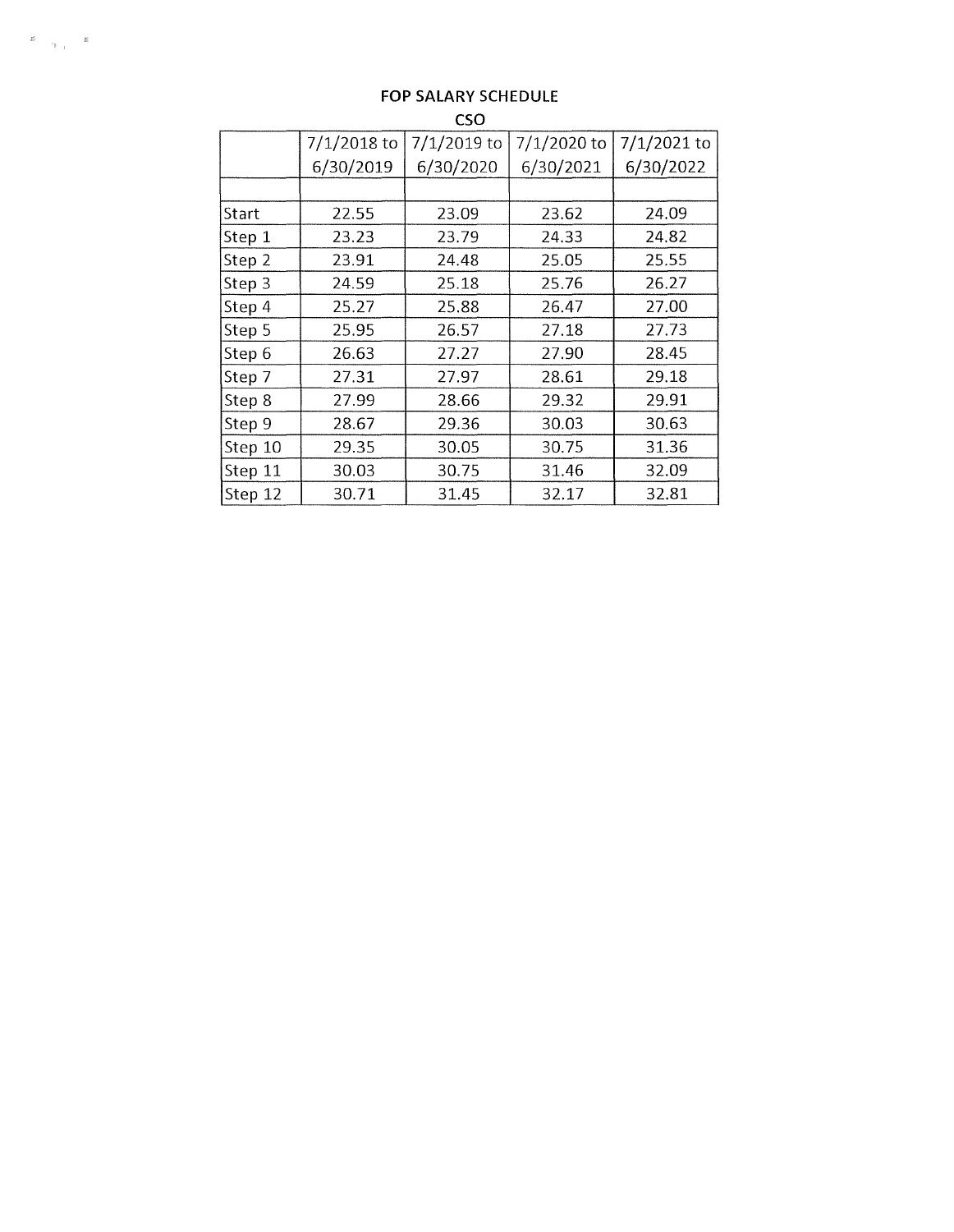|         | CSO           |             |             |             |  |
|---------|---------------|-------------|-------------|-------------|--|
|         | $7/1/2018$ to | 7/1/2019 to | 7/1/2020 to | 7/1/2021 to |  |
|         | 6/30/2019     | 6/30/2020   | 6/30/2021   | 6/30/2022   |  |
|         |               |             |             |             |  |
| Start   | 22.55         | 23.09       | 23.62       | 24.09       |  |
| Step 1  | 23.23         | 23.79       | 24.33       | 24.82       |  |
| Step 2  | 23.91         | 24.48       | 25.05       | 25.55       |  |
| Step 3  | 24.59         | 25.18       | 25.76       | 26.27       |  |
| Step 4  | 25.27         | 25.88       | 26.47       | 27.00       |  |
| Step 5  | 25.95         | 26.57       | 27.18       | 27.73       |  |
| Step 6  | 26.63         | 27.27       | 27.90       | 28.45       |  |
| Step 7  | 27.31         | 27.97       | 28.61       | 29.18       |  |
| Step 8  | 27.99         | 28.66       | 29.32       | 29.91       |  |
| Step 9  | 28.67         | 29.36       | 30.03       | 30.63       |  |
| Step 10 | 29.35         | 30.05       | 30.75       | 31.36       |  |
| Step 11 | 30.03         | 30.75       | 31.46       | 32.09       |  |
| Step 12 | 30.71         | 31.45       | 32.17       | 32.81       |  |

#### **FOP SALARY SCHEDULE**

 $\begin{array}{ccccc} \mathbf{g} & & \mathbf{g} & \\ & \mathbf{g}_{\mathcal{A},\mathcal{A}} & & \mathbf{g}_{\mathcal{A},\mathcal{A}} \end{array}$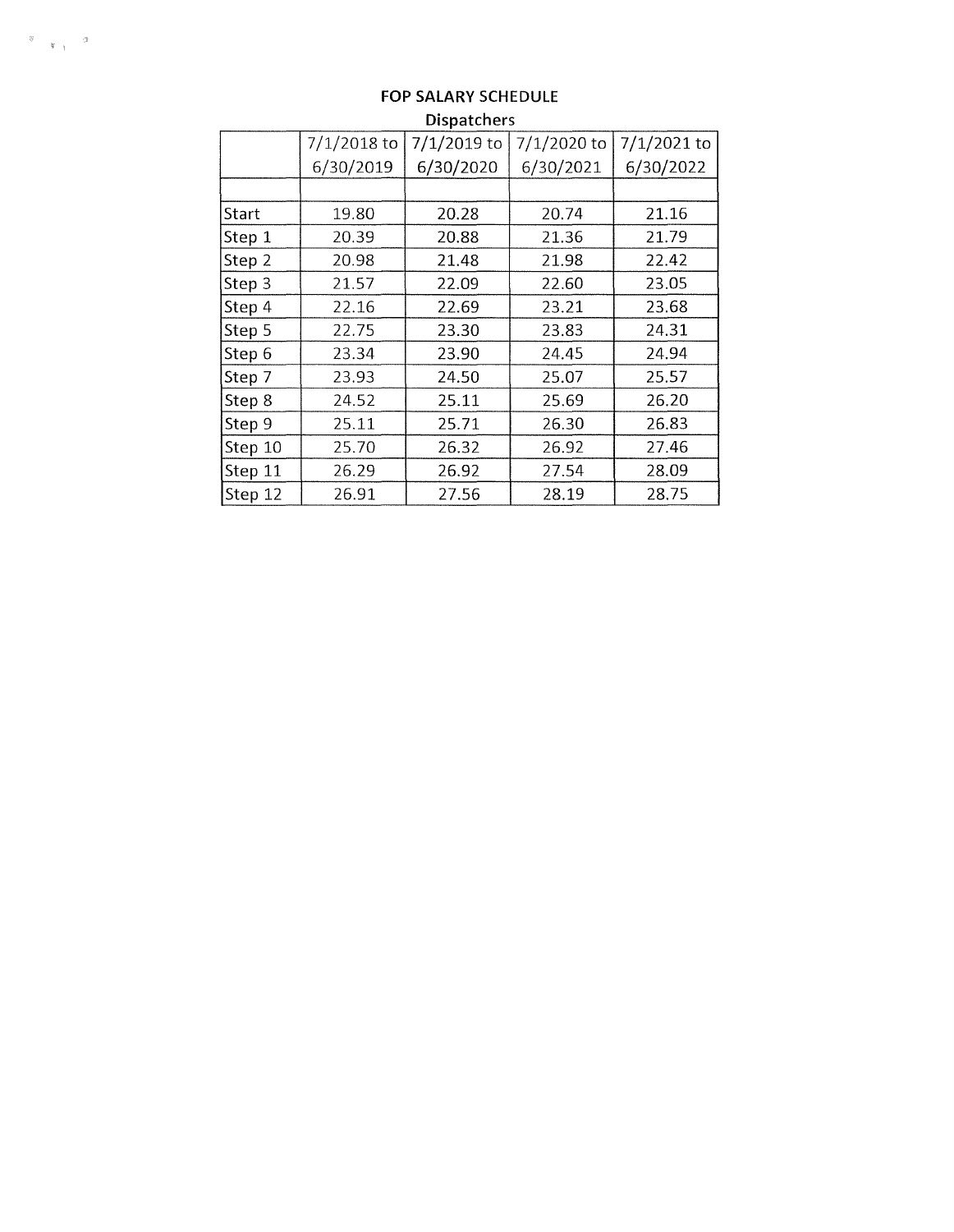|         | $7/1/2018$ to | 7/1/2019 to | 7/1/2020 to | 7/1/2021 to |
|---------|---------------|-------------|-------------|-------------|
|         | 6/30/2019     | 6/30/2020   | 6/30/2021   | 6/30/2022   |
|         |               |             |             |             |
| Start   | 19.80         | 20.28       | 20.74       | 21.16       |
| Step 1  | 20.39         | 20.88       | 21.36       | 21.79       |
| Step 2  | 20.98         | 21.48       | 21.98       | 22.42       |
| Step 3  | 21.57         | 22.09       | 22.60       | 23.05       |
| Step 4  | 22.16         | 22.69       | 23.21       | 23.68       |
| Step 5  | 22.75         | 23.30       | 23.83       | 24.31       |
| Step 6  | 23.34         | 23.90       | 24.45       | 24.94       |
| Step 7  | 23.93         | 24.50       | 25.07       | 25.57       |
| Step 8  | 24.52         | 25.11       | 25.69       | 26.20       |
| Step 9  | 25.11         | 25.71       | 26.30       | 26.83       |
| Step 10 | 25.70         | 26.32       | 26.92       | 27.46       |
| Step 11 | 26.29         | 26.92       | 27.54       | 28.09       |
| Step 12 | 26.91         | 27.56       | 28.19       | 28.75       |

## **FOP SALARY SCHEDULE Dispatchers**

 $\begin{array}{cc} \mathfrak{g} & \mathfrak{g} \\ & \mathfrak{g} \left( \begin{smallmatrix} 0 \\ 0 \\ 0 \end{smallmatrix} \right) \end{array}$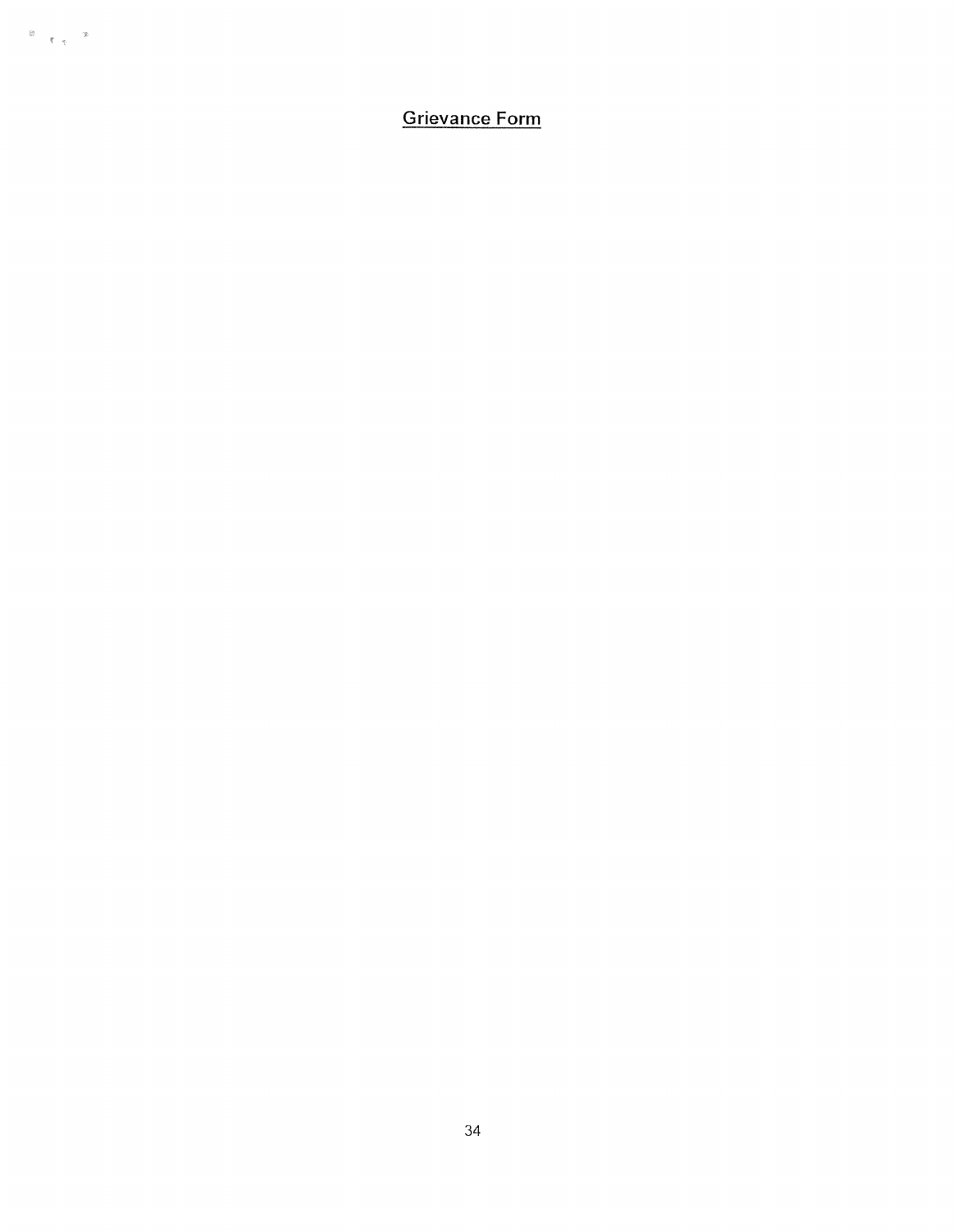**Grievance Form**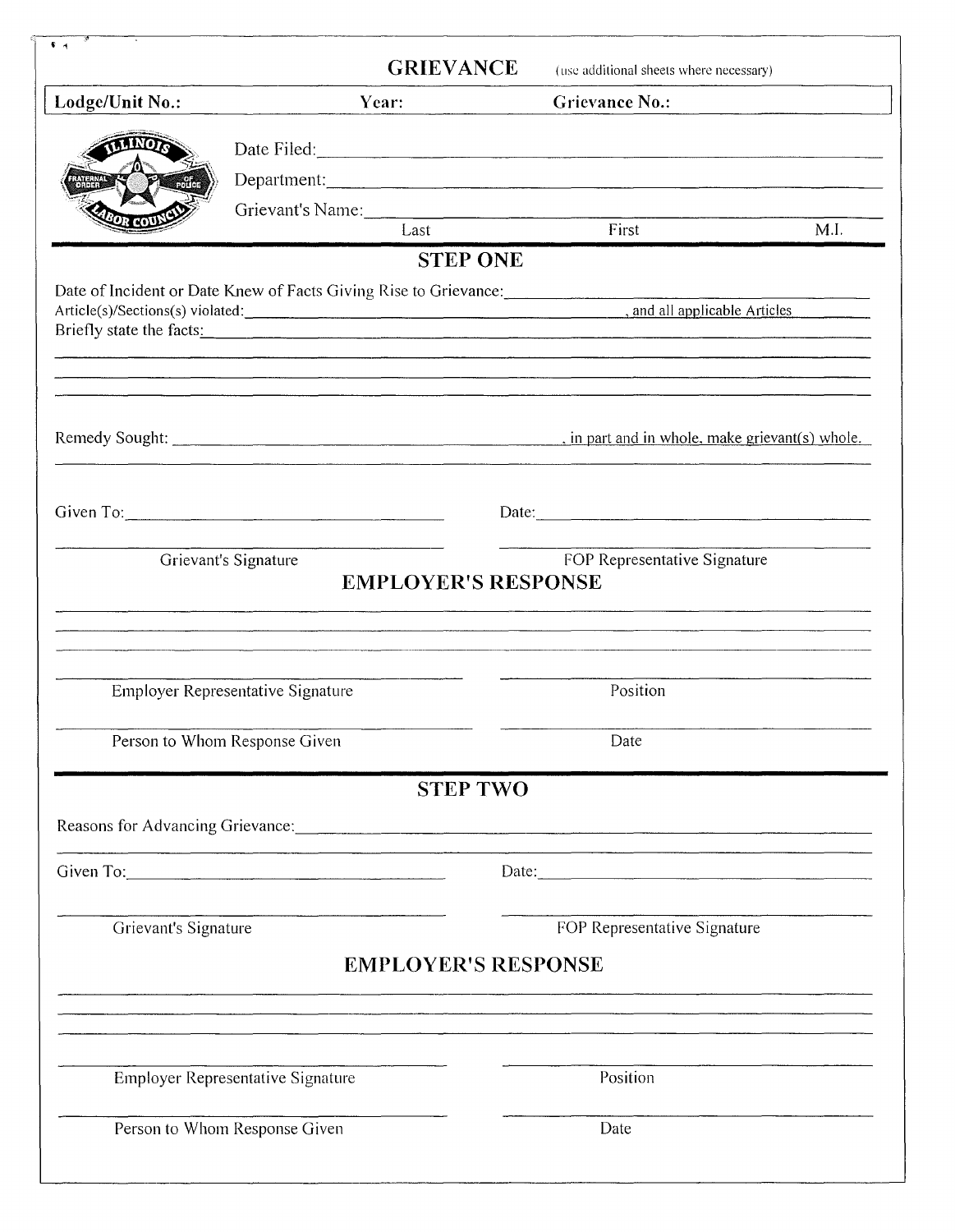|                      | <b>GRIEVANCE</b>                                                                                                                                                                                                                                                                                                                                                   | (use additional sheets where necessary)                                                                                                                                                                                        |
|----------------------|--------------------------------------------------------------------------------------------------------------------------------------------------------------------------------------------------------------------------------------------------------------------------------------------------------------------------------------------------------------------|--------------------------------------------------------------------------------------------------------------------------------------------------------------------------------------------------------------------------------|
| Lodge/Unit No.:      | Year:                                                                                                                                                                                                                                                                                                                                                              | <b>Grievance No.:</b>                                                                                                                                                                                                          |
|                      |                                                                                                                                                                                                                                                                                                                                                                    | Date Filed:                                                                                                                                                                                                                    |
|                      |                                                                                                                                                                                                                                                                                                                                                                    | Department:                                                                                                                                                                                                                    |
|                      |                                                                                                                                                                                                                                                                                                                                                                    | Grievant's Name: Last First                                                                                                                                                                                                    |
|                      |                                                                                                                                                                                                                                                                                                                                                                    |                                                                                                                                                                                                                                |
|                      | <b>STEP ONE</b><br>Date of Incident or Date Knew of Facts Giving Rise to Grievance:                                                                                                                                                                                                                                                                                |                                                                                                                                                                                                                                |
|                      |                                                                                                                                                                                                                                                                                                                                                                    | Article(s)/Sections(s) violated:<br>and all applicable Articles                                                                                                                                                                |
|                      |                                                                                                                                                                                                                                                                                                                                                                    |                                                                                                                                                                                                                                |
|                      |                                                                                                                                                                                                                                                                                                                                                                    |                                                                                                                                                                                                                                |
|                      | Given To: $\qquad \qquad$ Given To:                                                                                                                                                                                                                                                                                                                                | Date:                                                                                                                                                                                                                          |
|                      | Grievant's Signature<br><b>EMPLOYER'S RESPONSE</b>                                                                                                                                                                                                                                                                                                                 | FOP Representative Signature                                                                                                                                                                                                   |
|                      |                                                                                                                                                                                                                                                                                                                                                                    |                                                                                                                                                                                                                                |
|                      |                                                                                                                                                                                                                                                                                                                                                                    | <u> 2000 - Jan Lander, amerikansk politik (d. 1982)</u>                                                                                                                                                                        |
|                      | Employer Representative Signature                                                                                                                                                                                                                                                                                                                                  | Position                                                                                                                                                                                                                       |
|                      | Person to Whom Response Given                                                                                                                                                                                                                                                                                                                                      | Date                                                                                                                                                                                                                           |
|                      | <b>STEP TWO</b>                                                                                                                                                                                                                                                                                                                                                    |                                                                                                                                                                                                                                |
|                      |                                                                                                                                                                                                                                                                                                                                                                    | Reasons for Advancing Grievance: Call Contract Contract Contract Contract Contract Contract Contract Contract Contract Contract Contract Contract Contract Contract Contract Contract Contract Contract Contract Contract Cont |
|                      | Given To: $\qquad \qquad$ $\qquad \qquad$ $\qquad \qquad$ $\qquad \qquad$ $\qquad \qquad$ $\qquad \qquad$ $\qquad \qquad$ $\qquad \qquad$ $\qquad \qquad$ $\qquad \qquad$ $\qquad \qquad$ $\qquad \qquad$ $\qquad$ $\qquad$ $\qquad$ $\qquad$ $\qquad$ $\qquad$ $\qquad$ $\qquad$ $\qquad$ $\qquad$ $\qquad$ $\qquad$ $\qquad$ $\qquad$ $\qquad$ $\qquad$ $\qquad$ | Date:                                                                                                                                                                                                                          |
| Grievant's Signature |                                                                                                                                                                                                                                                                                                                                                                    | FOP Representative Signature                                                                                                                                                                                                   |
|                      |                                                                                                                                                                                                                                                                                                                                                                    | <b>EMPLOYER'S RESPONSE</b>                                                                                                                                                                                                     |
|                      |                                                                                                                                                                                                                                                                                                                                                                    |                                                                                                                                                                                                                                |
|                      | Employer Representative Signature                                                                                                                                                                                                                                                                                                                                  | Position                                                                                                                                                                                                                       |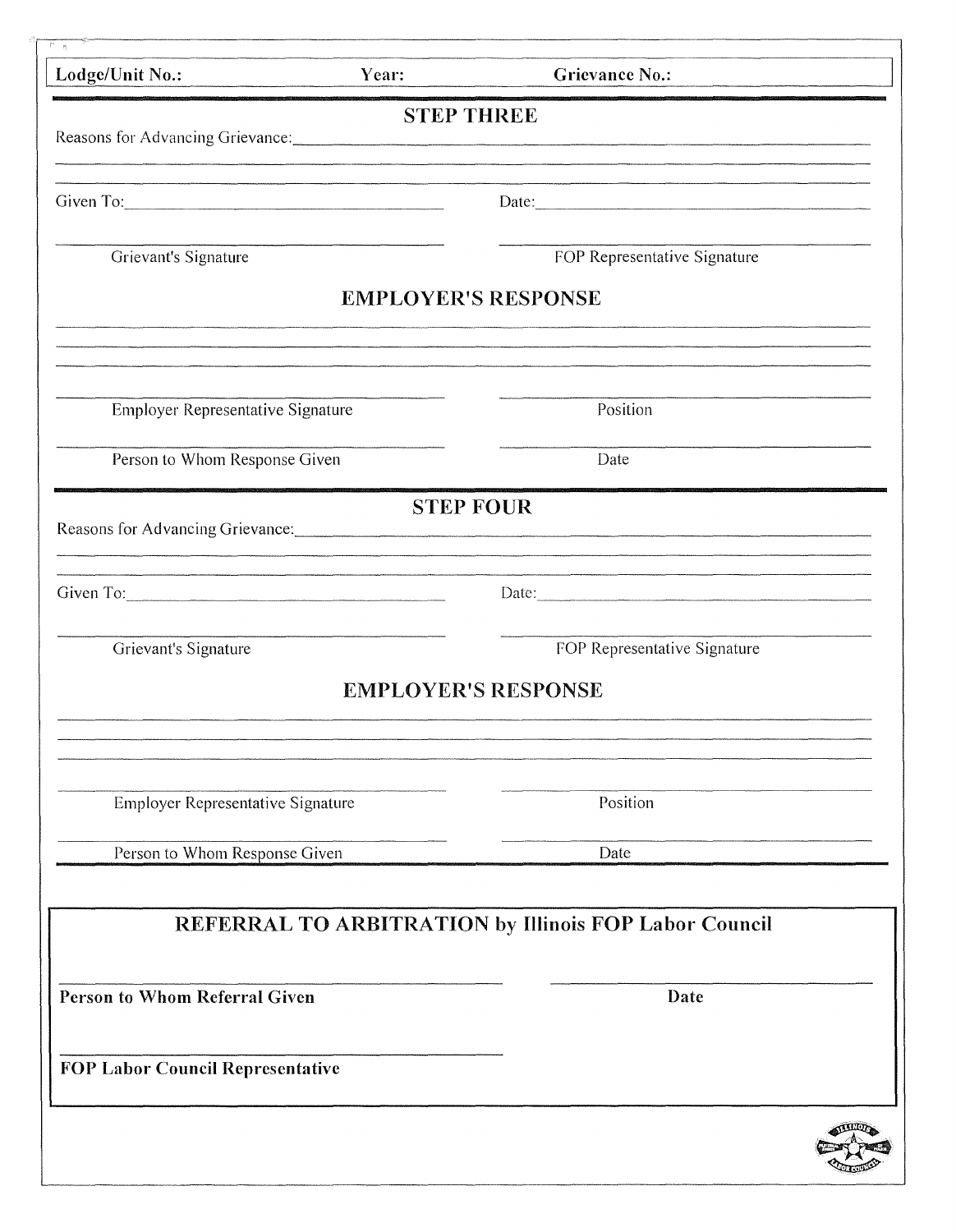| Lodge/Unit No.:                                                                                                                                                                                                                | Year: | <b>Grievance No.:</b>                                                                                                                                                                                                         |  |
|--------------------------------------------------------------------------------------------------------------------------------------------------------------------------------------------------------------------------------|-------|-------------------------------------------------------------------------------------------------------------------------------------------------------------------------------------------------------------------------------|--|
|                                                                                                                                                                                                                                |       | <b>STEP THREE</b><br>Reasons for Advancing Grievance: Manual Community of the Advancement of the Advancing Grievance:                                                                                                         |  |
| Given To: Call Communication of the Communication of the Communication of the Communication of the Communication of the Communication of the Communication of the Communication of the Communication of the Communication of t |       | Date: 2000 and 2000 and 2000 and 2000 and 2000 and 2000 and 2000 and 2000 and 2000 and 2000 and 2000 and 2000 and 2000 and 2000 and 2000 and 2000 and 2000 and 2000 and 2000 and 2000 and 2000 and 2000 and 2000 and 2000 and |  |
| Grievant's Signature                                                                                                                                                                                                           |       | FOP Representative Signature                                                                                                                                                                                                  |  |
|                                                                                                                                                                                                                                |       | <b>EMPLOYER'S RESPONSE</b>                                                                                                                                                                                                    |  |
| Employer Representative Signature                                                                                                                                                                                              |       | Position                                                                                                                                                                                                                      |  |
| Person to Whom Response Given                                                                                                                                                                                                  |       | Date                                                                                                                                                                                                                          |  |
|                                                                                                                                                                                                                                |       | <b>STEP FOUR</b><br><u> 1980 - Anna Carl Barbara, Amerikaansk politiker (d. 1980)</u>                                                                                                                                         |  |
| Given To:                                                                                                                                                                                                                      |       | Date:                                                                                                                                                                                                                         |  |
| Grievant's Signature                                                                                                                                                                                                           |       | FOP Representative Signature                                                                                                                                                                                                  |  |
|                                                                                                                                                                                                                                |       | <b>EMPLOYER'S RESPONSE</b>                                                                                                                                                                                                    |  |
| Employer Representative Signature                                                                                                                                                                                              |       | Position                                                                                                                                                                                                                      |  |
| Person to Whom Response Given                                                                                                                                                                                                  |       | Date                                                                                                                                                                                                                          |  |
|                                                                                                                                                                                                                                |       | REFERRAL TO ARBITRATION by Illinois FOP Labor Council                                                                                                                                                                         |  |
| <b>Person to Whom Referral Given</b>                                                                                                                                                                                           |       | Date                                                                                                                                                                                                                          |  |
| <b>FOP Labor Council Representative</b>                                                                                                                                                                                        |       |                                                                                                                                                                                                                               |  |
|                                                                                                                                                                                                                                |       |                                                                                                                                                                                                                               |  |